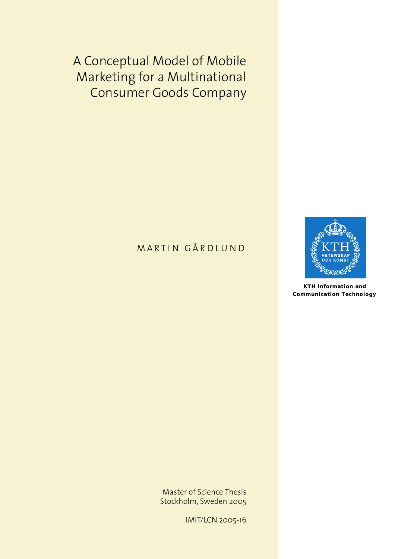A Conceptual Model of Mobile Marketing for a Multinational Consumer Goods Company

## MARTIN GÅRDLUND



**KTH Information and Communication Technology**

Master of Science Thesis Stockholm, Sweden 2005

IMIT/LCN 2005-16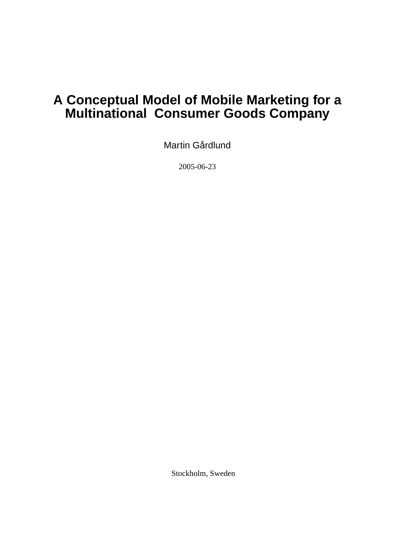# **A Conceptual Model of Mobile Marketing for a Multinational Consumer Goods Company**

Martin Gårdlund

2005-06-23

Stockholm, Sweden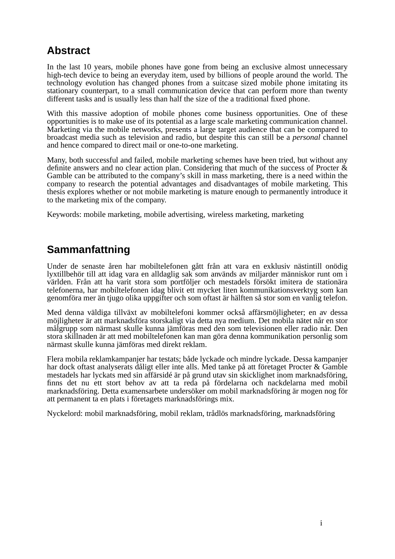# **Abstract**

In the last 10 years, mobile phones have gone from being an exclusive almost unnecessary high-tech device to being an everyday item, used by billions of people around the world. The technology evolution has changed phones from a suitcase sized mobile phone imitating its stationary counterpart, to a small communication device that can perform more than twenty different tasks and is usually less than half the size of the a traditional fixed phone.

With this massive adoption of mobile phones come business opportunities. One of these opportunities is to make use of its potential as a large scale marketing communication channel. Marketing via the mobile networks, presents a large target audience that can be compared to broadcast media such as television and radio, but despite this can still be a *personal* channel and hence compared to direct mail or one-to-one marketing.

Many, both successful and failed, mobile marketing schemes have been tried, but without any definite answers and no clear action plan. Considering that much of the success of Procter & Gamble can be attributed to the company's skill in mass marketing, there is a need within the company to research the potential advantages and disadvantages of mobile marketing. This thesis explores whether or not mobile marketing is mature enough to permanently introduce it to the marketing mix of the company.

Keywords: mobile marketing, mobile advertising, wireless marketing, marketing

## **Sammanfattning**

Under de senaste åren har mobiltelefonen gått från att vara en exklusiv nästintill onödig lyxtillbehör till att idag vara en alldaglig sak som används av miljarder människor runt om i världen. Från att ha varit stora som portföljer och mestadels försökt imitera de stationära telefonerna, har mobiltelefonen idag blivit ett mycket liten kommunikationsverktyg som kan genomföra mer än tjugo olika uppgifter och som oftast är hälften så stor som en vanlig telefon.

Med denna väldiga tillväxt av mobiltelefoni kommer också affärsmöjligheter; en av dessa möjligheter är att marknadsföra storskaligt via detta nya medium. Det mobila nätet når en stor målgrupp som närmast skulle kunna jämföras med den som televisionen eller radio når. Den stora skillnaden är att med mobiltelefonen kan man göra denna kommunikation personlig som närmast skulle kunna jämföras med direkt reklam.

Flera mobila reklamkampanjer har testats; både lyckade och mindre lyckade. Dessa kampanjer har dock oftast analyserats dåligt eller inte alls. Med tanke på att företaget Procter & Gamble mestadels har lyckats med sin affärsidé är på grund utav sin skicklighet inom marknadsföring, finns det nu ett stort behov av att ta reda på fördelarna och nackdelarna med mobil marknadsföring. Detta examensarbete undersöker om mobil marknadsföring är mogen nog för att permanent ta en plats i företagets marknadsförings mix.

Nyckelord: mobil marknadsföring, mobil reklam, trådlös marknadsföring, marknadsföring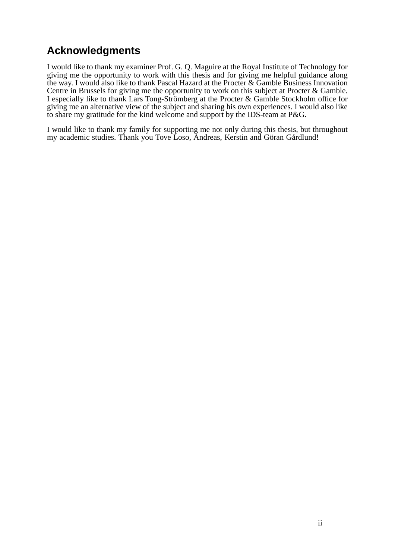# **Acknowledgments**

I would like to thank my examiner Prof. G. Q. Maguire at the Royal Institute of Technology for giving me the opportunity to work with this thesis and for giving me helpful guidance along the way. I would also like to thank Pascal Hazard at the Procter & Gamble Business Innovation Centre in Brussels for giving me the opportunity to work on this subject at Procter & Gamble. I especially like to thank Lars Tong-Strömberg at the Procter & Gamble Stockholm office for giving me an alternative view of the subject and sharing his own experiences. I would also like to share my gratitude for the kind welcome and support by the IDS-team at P&G.

I would like to thank my family for supporting me not only during this thesis, but throughout my academic studies. Thank you Tove Loso, Andreas, Kerstin and Göran Gårdlund!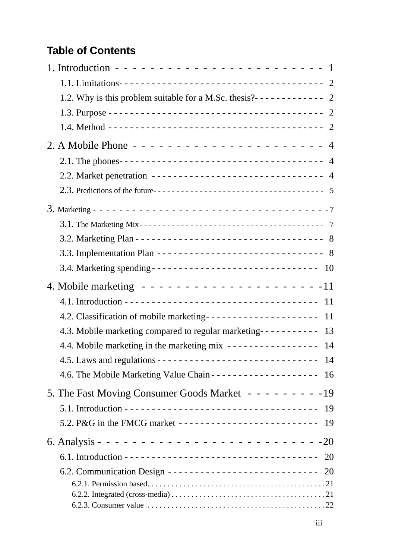# **Table of Contents**

| 1.2. Why is this problem suitable for a M.Sc. thesis?------------ 2 |
|---------------------------------------------------------------------|
|                                                                     |
|                                                                     |
|                                                                     |
|                                                                     |
| 2.2. Market penetration ------------------------------- 4           |
|                                                                     |
|                                                                     |
|                                                                     |
|                                                                     |
| 3.3. Implementation Plan ------------------------------ 8           |
|                                                                     |
|                                                                     |
|                                                                     |
| 4.2. Classification of mobile marketing-------------------- 11      |
| 4.3. Mobile marketing compared to regular marketing---------- 13    |
| 4.4. Mobile marketing in the marketing mix ---------------- 14      |
|                                                                     |
|                                                                     |
| 5. The Fast Moving Consumer Goods Market - - - - - - - - - 19       |
|                                                                     |
| 5.2. P&G in the FMCG market ---------------------------- 19         |
|                                                                     |
|                                                                     |
| 6.2. Communication Design --------------------------- 20            |
|                                                                     |
|                                                                     |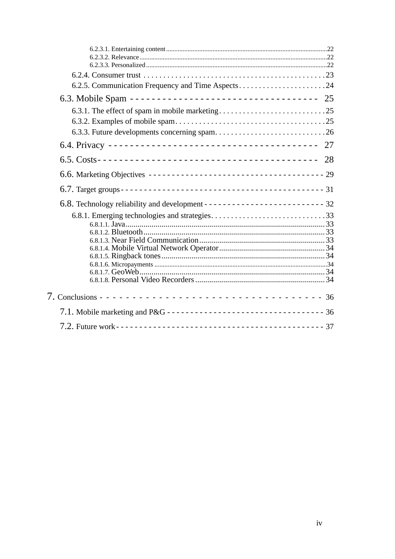| 6.2.5. Communication Frequency and Time Aspects24                   |  |
|---------------------------------------------------------------------|--|
| 6.3. Mobile Spam --------------------------------- 25               |  |
|                                                                     |  |
|                                                                     |  |
|                                                                     |  |
|                                                                     |  |
|                                                                     |  |
|                                                                     |  |
|                                                                     |  |
|                                                                     |  |
|                                                                     |  |
|                                                                     |  |
|                                                                     |  |
|                                                                     |  |
|                                                                     |  |
|                                                                     |  |
|                                                                     |  |
|                                                                     |  |
|                                                                     |  |
| 7.1. Mobile marketing and P&G ---------------------------------- 36 |  |
|                                                                     |  |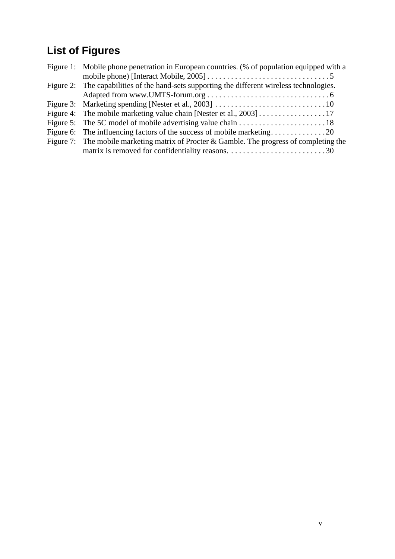# **List of Figures**

| Figure 1: Mobile phone penetration in European countries. (% of population equipped with a  |
|---------------------------------------------------------------------------------------------|
|                                                                                             |
| Figure 2: The capabilities of the hand-sets supporting the different wireless technologies. |
|                                                                                             |
|                                                                                             |
|                                                                                             |
|                                                                                             |
|                                                                                             |
| Figure 7: The mobile marketing matrix of Procter & Gamble. The progress of completing the   |
|                                                                                             |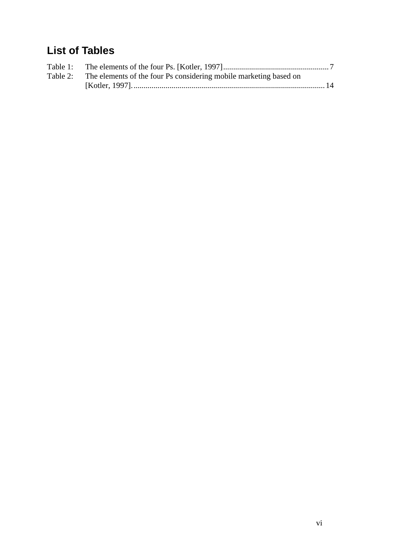# **List of Tables**

| Table 2: The elements of the four Ps considering mobile marketing based on |  |
|----------------------------------------------------------------------------|--|
|                                                                            |  |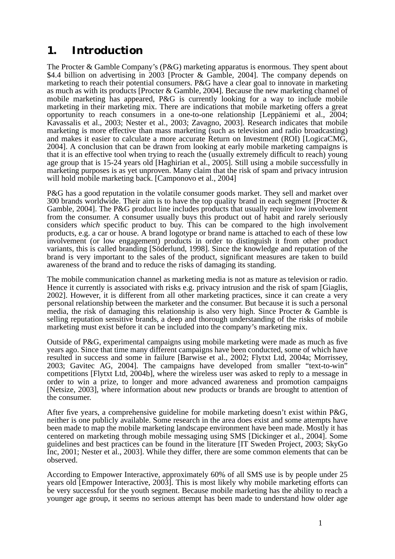# <span id="page-8-0"></span>**1. Introduction**

The Procter & Gamble Company's (P&G) marketing apparatus is enormous. They spent about \$4.4 billion on advertising in 2003 [Procter & Gamble, 2004]. The company depends on marketing to reach their potential consumers. P&G have a clear goal to innovate in marketing as much as with its products [Procter & Gamble, 2004]. Because the new marketing channel of mobile marketing has appeared, P&G is currently looking for a way to include mobile marketing in their marketing mix. There are indications that mobile marketing offers a great opportunity to reach consumers in a one-to-one relationship [Leppäniemi et al., 2004; Kavassalis et al., 2003; Nester et al., 2003; Zavagno, 2003]. Research indicates that mobile marketing is more effective than mass marketing (such as television and radio broadcasting) and makes it easier to calculate a more accurate Return on Investment (ROI) [LogicaCMG, 2004]. A conclusion that can be drawn from looking at early mobile marketing campaigns is that it is an effective tool when trying to reach the (usually extremely difficult to reach) young age group that is 15-24 years old [Haghirian et al., 2005]. Still using a mobile successfully in marketing purposes is as yet unproven. Many claim that the risk of spam and privacy intrusion will hold mobile marketing back. [Camponovo et al., 2004]

P&G has a good reputation in the volatile consumer goods market. They sell and market over 300 brands worldwide. Their aim is to have the top quality brand in each segment [Procter  $\&$ Gamble, 2004]. The P&G product line includes products that usually require low involvement from the consumer. A consumer usually buys this product out of habit and rarely seriously considers *which* specific product to buy. This can be compared to the high involvement products, e.g. a car or house. A brand logotype or brand name is attached to each of these low involvement (or low engagement) products in order to distinguish it from other product variants, this is called branding [Söderlund, 1998]. Since the knowledge and reputation of the brand is very important to the sales of the product, significant measures are taken to build awareness of the brand and to reduce the risks of damaging its standing.

The mobile communication channel as marketing media is not as mature as television or radio. Hence it currently is associated with risks e.g. privacy intrusion and the risk of spam [Giaglis, 2002]. However, it is different from all other marketing practices, since it can create a very personal relationship between the marketer and the consumer. But because it is such a personal media, the risk of damaging this relationship is also very high. Since Procter & Gamble is selling reputation sensitive brands, a deep and thorough understanding of the risks of mobile marketing must exist before it can be included into the company's marketing mix.

Outside of P&G, experimental campaigns using mobile marketing were made as much as five years ago. Since that time many different campaigns have been conducted, some of which have resulted in success and some in failure [Barwise et al., 2002; Flytxt Ltd, 2004a; Morrissey, 2003; Gavitec AG, 2004]. The campaigns have developed from smaller "text-to-win" competitions [Flytxt Ltd, 2004b], where the wireless user was asked to reply to a message in order to win a prize, to longer and more advanced awareness and promotion campaigns [Netsize, 2003], where information about new products or brands are brought to attention of the consumer.

After five years, a comprehensive guideline for mobile marketing doesn't exist within P&G, neither is one publicly available. Some research in the area does exist and some attempts have been made to map the mobile marketing landscape environment have been made. Mostly it has centered on marketing through mobile messaging using SMS [Dickinger et al., 2004]. Some guidelines and best practices can be found in the literature [IT Sweden Project, 2003; SkyGo Inc, 2001; Nester et al., 2003]. While they differ, there are some common elements that can be observed.

According to Empower Interactive, approximately 60% of all SMS use is by people under 25 years old [Empower Interactive, 2003]. This is most likely why mobile marketing efforts can be very successful for the youth segment. Because mobile marketing has the ability to reach a younger age group, it seems no serious attempt has been made to understand how older age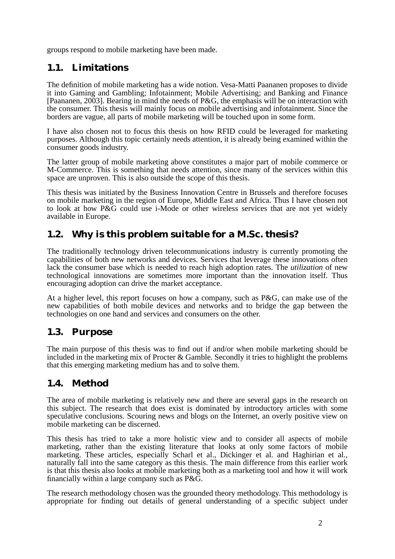groups respond to mobile marketing have been made.

## <span id="page-9-0"></span>**1.1. Limitations**

The definition of mobile marketing has a wide notion. Vesa-Matti Paananen proposes to divide it into Gaming and Gambling; Infotainment; Mobile Advertising; and Banking and Finance [Paananen, 2003]. Bearing in mind the needs of P&G, the emphasis will be on interaction with the consumer. This thesis will mainly focus on mobile advertising and infotainment. Since the borders are vague, all parts of mobile marketing will be touched upon in some form.

I have also chosen not to focus this thesis on how RFID could be leveraged for marketing purposes. Although this topic certainly needs attention, it is already being examined within the consumer goods industry.

The latter group of mobile marketing above constitutes a major part of mobile commerce or M-Commerce. This is something that needs attention, since many of the services within this space are unproven. This is also outside the scope of this thesis.

This thesis was initiated by the Business Innovation Centre in Brussels and therefore focuses on mobile marketing in the region of Europe, Middle East and Africa. Thus I have chosen not to look at how P&G could use i-Mode or other wireless services that are not yet widely available in Europe.

## <span id="page-9-1"></span>**1.2. Why is this problem suitable for a M.Sc. thesis?**

The traditionally technology driven telecommunications industry is currently promoting the capabilities of both new networks and devices. Services that leverage these innovations often lack the consumer base which is needed to reach high adoption rates. The *utilization* of new technological innovations are sometimes more important than the innovation itself. Thus encouraging adoption can drive the market acceptance.

At a higher level, this report focuses on how a company, such as P&G, can make use of the new capabilities of both mobile devices and networks and to bridge the gap between the technologies on one hand and services and consumers on the other.

## <span id="page-9-2"></span>**1.3. Purpose**

The main purpose of this thesis was to find out if and/or when mobile marketing should be included in the marketing mix of Procter & Gamble. Secondly it tries to highlight the problems that this emerging marketing medium has and to solve them.

## <span id="page-9-3"></span>**1.4. Method**

The area of mobile marketing is relatively new and there are several gaps in the research on this subject. The research that does exist is dominated by introductory articles with some speculative conclusions. Scouring news and blogs on the Internet, an overly positive view on mobile marketing can be discerned.

This thesis has tried to take a more holistic view and to consider all aspects of mobile marketing, rather than the existing literature that looks at only some factors of mobile marketing. These articles, especially Scharl et al., Dickinger et al. and Haghirian et al., naturally fall into the same category as this thesis. The main difference from this earlier work is that this thesis also looks at mobile marketing both as a marketing tool and how it will work financially within a large company such as P&G.

The research methodology chosen was the grounded theory methodology. This methodology is appropriate for finding out details of general understanding of a specific subject under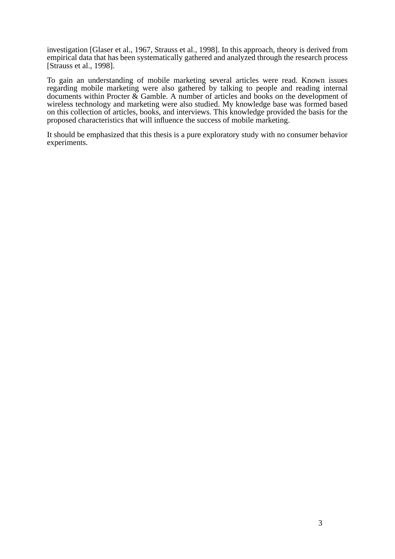investigation [Glaser et al., 1967, Strauss et al., 1998]. In this approach, theory is derived from empirical data that has been systematically gathered and analyzed through the research process [Strauss et al., 1998].

To gain an understanding of mobile marketing several articles were read. Known issues regarding mobile marketing were also gathered by talking to people and reading internal documents within Procter  $\&$  Gamble. A number of articles and books on the development of wireless technology and marketing were also studied. My knowledge base was formed based on this collection of articles, books, and interviews. This knowledge provided the basis for the proposed characteristics that will influence the success of mobile marketing.

It should be emphasized that this thesis is a pure exploratory study with no consumer behavior experiments.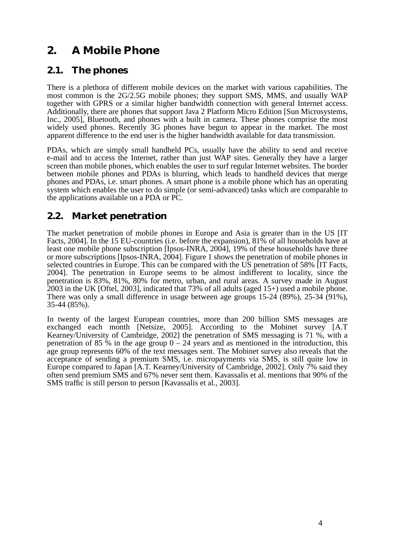# <span id="page-11-0"></span>**2. A Mobile Phone**

## <span id="page-11-1"></span>**2.1. The phones**

There is a plethora of different mobile devices on the market with various capabilities. The most common is the 2G/2.5G mobile phones; they support SMS, MMS, and usually WAP together with GPRS or a similar higher bandwidth connection with general Internet access. Additionally, there are phones that support Java 2 Platform Micro Edition [Sun Microsystems, Inc., 2005], Bluetooth, and phones with a built in camera. These phones comprise the most widely used phones. Recently 3G phones have begun to appear in the market. The most apparent difference to the end user is the higher bandwidth available for data transmission.

PDAs, which are simply small handheld PCs, usually have the ability to send and receive e-mail and to access the Internet, rather than just WAP sites. Generally they have a larger screen than mobile phones, which enables the user to surf regular Internet websites. The border between mobile phones and PDAs is blurring, which leads to handheld devices that merge phones and PDAs, i.e. smart phones. A smart phone is a mobile phone which has an operating system which enables the user to do simple (or semi-advanced) tasks which are comparable to the applications available on a PDA or PC.

## <span id="page-11-2"></span>**2.2. Market penetration**

The market penetration of mobile phones in Europe and Asia is greater than in the US [IT Facts, 2004]. In the 15 EU-countries (i.e. before the expansion), 81% of all households have at least one mobile phone subscription [Ipsos-INRA, 2004], 19% of these households have three or more subscriptions [Ipsos-INRA, 2004]. Figure 1 shows the penetration of mobile phones in selected countries in Europe. This can be compared with the US penetration of 58% [IT Facts, 2004]. The penetration in Europe seems to be almost indifferent to locality, since the penetration is 83%, 81%, 80% for metro, urban, and rural areas. A survey made in August 2003 in the UK [Oftel, 2003], indicated that 73% of all adults (aged 15+) used a mobile phone. There was only a small difference in usage between age groups 15-24 (89%), 25-34 (91%), 35-44 (85%).

In twenty of the largest European countries, more than 200 billion SMS messages are exchanged each month [Netsize, 2005]. According to the Mobinet survey [A.T Kearney/University of Cambridge, 2002] the penetration of SMS messaging is 71 %, with a penetration of 85 % in the age group  $0 - 24$  years and as mentioned in the introduction, this age group represents 60% of the text messages sent. The Mobinet survey also reveals that the acceptance of sending a premium SMS, i.e. micropayments via SMS, is still quite low in Europe compared to Japan [A.T. Kearney/University of Cambridge, 2002]. Only 7% said they often send premium SMS and 67% never sent them. Kavassalis et al. mentions that 90% of the SMS traffic is still person to person [Kavassalis et al., 2003].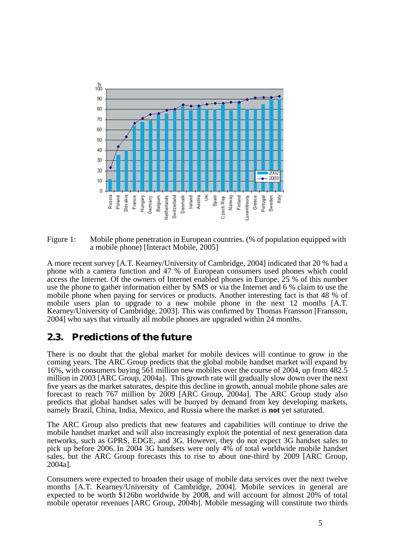

<span id="page-12-1"></span>Figure 1: Mobile phone penetration in European countries. (% of population equipped with a mobile phone) [Interact Mobile, 2005]

A more recent survey [A.T. Kearney/University of Cambridge, 2004] indicated that 20 % had a phone with a camera function and 47 % of European consumers used phones which could access the Internet. Of the owners of Internet enabled phones in Europe, 25 % of this number use the phone to gather information either by SMS or via the Internet and 6 % claim to use the mobile phone when paying for services or products. Another interesting fact is that 48 % of mobile users plan to upgrade to a new mobile phone in the next 12 months [A.T. Kearney/University of Cambridge, 2003]. This was confirmed by Thomas Fransson [Fransson, 2004] who says that virtually all mobile phones are upgraded within 24 months.

### <span id="page-12-0"></span>**2.3. Predictions of the future**

There is no doubt that the global market for mobile devices will continue to grow in the coming years. The ARC Group predicts that the global mobile handset market will expand by 16%, with consumers buying 561 million new mobiles over the course of 2004, up from 482.5 million in 2003 [ARC Group, 2004a]. This growth rate will gradually slow down over the next five years as the market saturates, despite this decline in growth, annual mobile phone sales are forecast to reach 767 million by 2009 [ARC Group, 2004a]. The ARC Group study also predicts that global handset sales will be buoyed by demand from key developing markets, namely Brazil, China, India, Mexico, and Russia where the market is **not** yet saturated.

The ARC Group also predicts that new features and capabilities will continue to drive the mobile handset market and will also increasingly exploit the potential of next generation data networks, such as GPRS, EDGE, and 3G. However, they do not expect 3G handset sales to pick up before 2006. In 2004 3G handsets were only 4% of total worldwide mobile handset sales, but the ARC Group forecasts this to rise to about one-third by 2009 [ARC Group, 2004a].

Consumers were expected to broaden their usage of mobile data services over the next twelve months [A.T. Kearney/University of Cambridge, 2004]. Mobile services in general are expected to be worth \$126bn worldwide by 2008, and will account for almost 20% of total mobile operator revenues [ARC Group, 2004b]. Mobile messaging will constitute two thirds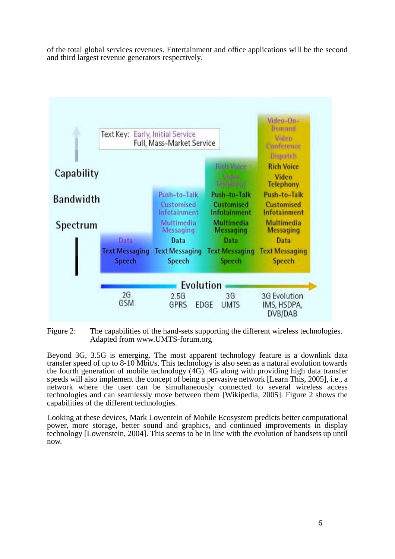of the total global services revenues. Entertainment and office applications will be the second and third largest revenue generators respectively.



<span id="page-13-0"></span>Figure 2: The capabilities of the hand-sets supporting the different wireless technologies. Adapted from www.UMTS-forum.org

Beyond 3G, 3.5G is emerging. The most apparent technology feature is a downlink data transfer speed of up to 8-10 Mbit/s. This technology is also seen as a natural evolution towards the fourth generation of mobile technology (4G). 4G along with providing high data transfer speeds will also implement the concept of being a pervasive network [Learn This, 2005], i.e., a network where the user can be simultaneously connected to several wireless access technologies and can seamlessly move between them [Wikipedia, 2005]. Figure 2 shows the capabilities of the different technologies.

Looking at these devices, Mark Lowentein of Mobile Ecosystem predicts better computational power, more storage, better sound and graphics, and continued improvements in display technology [Lowenstein, 2004]. This seems to be in line with the evolution of handsets up until now.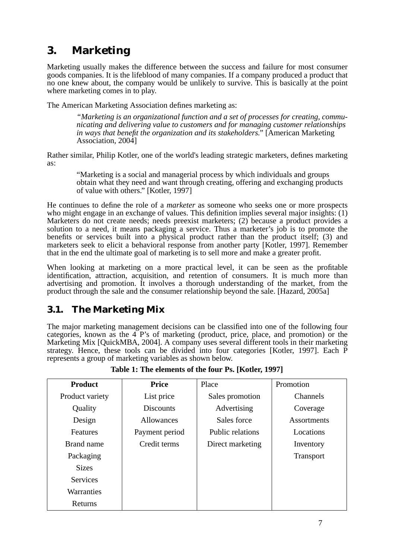# <span id="page-14-0"></span>**3. Marketing**

Marketing usually makes the difference between the success and failure for most consumer goods companies. It is the lifeblood of many companies. If a company produced a product that no one knew about, the company would be unlikely to survive. This is basically at the point where marketing comes in to play.

The American Marketing Association defines marketing as:

*"Marketing is an organizational function and a set of processes for creating, communicating and delivering value to customers and for managing customer relationships in ways that benefit the organization and its stakeholders."* [American Marketing Association, 2004]

Rather similar, Philip Kotler, one of the world's leading strategic marketers, defines marketing as:

"Marketing is a social and managerial process by which individuals and groups obtain what they need and want through creating, offering and exchanging products of value with others." [Kotler, 1997]

He continues to define the role of a *marketer* as someone who seeks one or more prospects who might engage in an exchange of values. This definition implies several major insights: (1) Marketers do not create needs; needs preexist marketers; (2) because a product provides a solution to a need, it means packaging a service. Thus a marketer's job is to promote the benefits or services built into a physical product rather than the product itself; (3) and marketers seek to elicit a behavioral response from another party [Kotler, 1997]. Remember that in the end the ultimate goal of marketing is to sell more and make a greater profit.

When looking at marketing on a more practical level, it can be seen as the profitable identification, attraction, acquisition, and retention of consumers. It is much more than advertising and promotion. It involves a thorough understanding of the market, from the product through the sale and the consumer relationship beyond the sale. [Hazard, 2005a]

## <span id="page-14-1"></span>**3.1. The Marketing Mix**

The major marketing management decisions can be classified into one of the following four categories, known as the 4 P's of marketing (product, price, place, and promotion) or the Marketing Mix [QuickMBA, 2004]. A company uses several different tools in their marketing strategy. Hence, these tools can be divided into four categories [Kotler, 1997]. Each P represents a group of marketing variables as shown below.

<span id="page-14-2"></span>

| <b>Product</b>  | <b>Price</b>     | Place            | Promotion          |
|-----------------|------------------|------------------|--------------------|
| Product variety | List price       | Sales promotion  | <b>Channels</b>    |
| Quality         | <b>Discounts</b> | Advertising      | Coverage           |
| Design          | Allowances       | Sales force      | <b>Assortments</b> |
| <b>Features</b> | Payment period   | Public relations | Locations          |
| Brand name      | Credit terms     | Direct marketing | Inventory          |
| Packaging       |                  |                  | <b>Transport</b>   |
| <b>Sizes</b>    |                  |                  |                    |
| <b>Services</b> |                  |                  |                    |
| Warranties      |                  |                  |                    |
| Returns         |                  |                  |                    |

**Table 1: The elements of the four Ps. [Kotler, 1997]**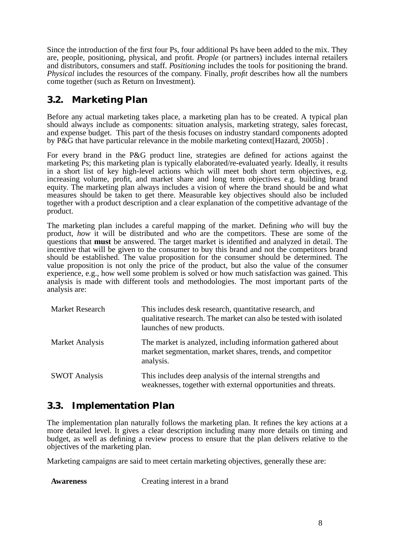Since the introduction of the first four Ps, four additional Ps have been added to the mix. They are, people, positioning, physical, and profit. *People* (or partners) includes internal retailers and distributors, consumers and staff. *Positioning* includes the tools for positioning the brand. *Physical* includes the resources of the company. Finally, *profit* describes how all the numbers come together (such as Return on Investment).

## <span id="page-15-0"></span>**3.2. Marketing Plan**

Before any actual marketing takes place, a marketing plan has to be created. A typical plan should always include as components: situation analysis, marketing strategy, sales forecast, and expense budget. This part of the thesis focuses on industry standard components adopted by P&G that have particular relevance in the mobile marketing context[Hazard, 2005b] .

For every brand in the P&G product line, strategies are defined for actions against the marketing Ps; this marketing plan is typically elaborated/re-evaluated yearly. Ideally, it results in a short list of key high-level actions which will meet both short term objectives, e.g. increasing volume, profit, and market share and long term objectives e.g. building brand equity. The marketing plan always includes a vision of where the brand should be and what measures should be taken to get there. Measurable key objectives should also be included together with a product description and a clear explanation of the competitive advantage of the product.

The marketing plan includes a careful mapping of the market. Defining *who* will buy the product, *how* it will be distributed and *who* are the competitors. These are some of the questions that **must** be answered. The target market is identified and analyzed in detail. The incentive that will be given to the consumer to buy this brand and not the competitors brand should be established. The value proposition for the consumer should be determined. The value proposition is not only the price of the product, but also the value of the consumer experience, e.g., how well some problem is solved or how much satisfaction was gained. This analysis is made with different tools and methodologies. The most important parts of the analysis are:

| <b>Market Research</b> | This includes desk research, quantitative research, and<br>qualitative research. The market can also be tested with isolated<br>launches of new products. |
|------------------------|-----------------------------------------------------------------------------------------------------------------------------------------------------------|
| <b>Market Analysis</b> | The market is analyzed, including information gathered about<br>market segmentation, market shares, trends, and competitor<br>analysis.                   |
| <b>SWOT Analysis</b>   | This includes deep analysis of the internal strengths and<br>weaknesses, together with external opportunities and threats.                                |

## <span id="page-15-1"></span>**3.3. Implementation Plan**

The implementation plan naturally follows the marketing plan. It refines the key actions at a more detailed level. It gives a clear description including many more details on timing and budget, as well as defining a review process to ensure that the plan delivers relative to the objectives of the marketing plan.

Marketing campaigns are said to meet certain marketing objectives, generally these are:

**Awareness** Creating interest in a brand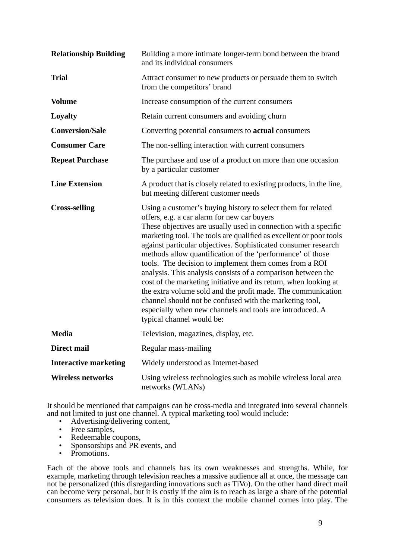| <b>Relationship Building</b> | Building a more intimate longer-term bond between the brand<br>and its individual consumers                                                                                                                                                                                                                                                                                                                                                                                                                                                                                                                                                                                                                                                                                                            |
|------------------------------|--------------------------------------------------------------------------------------------------------------------------------------------------------------------------------------------------------------------------------------------------------------------------------------------------------------------------------------------------------------------------------------------------------------------------------------------------------------------------------------------------------------------------------------------------------------------------------------------------------------------------------------------------------------------------------------------------------------------------------------------------------------------------------------------------------|
| <b>Trial</b>                 | Attract consumer to new products or persuade them to switch<br>from the competitors' brand                                                                                                                                                                                                                                                                                                                                                                                                                                                                                                                                                                                                                                                                                                             |
| <b>Volume</b>                | Increase consumption of the current consumers                                                                                                                                                                                                                                                                                                                                                                                                                                                                                                                                                                                                                                                                                                                                                          |
| Loyalty                      | Retain current consumers and avoiding churn                                                                                                                                                                                                                                                                                                                                                                                                                                                                                                                                                                                                                                                                                                                                                            |
| <b>Conversion/Sale</b>       | Converting potential consumers to <b>actual</b> consumers                                                                                                                                                                                                                                                                                                                                                                                                                                                                                                                                                                                                                                                                                                                                              |
| <b>Consumer Care</b>         | The non-selling interaction with current consumers                                                                                                                                                                                                                                                                                                                                                                                                                                                                                                                                                                                                                                                                                                                                                     |
| <b>Repeat Purchase</b>       | The purchase and use of a product on more than one occasion<br>by a particular customer                                                                                                                                                                                                                                                                                                                                                                                                                                                                                                                                                                                                                                                                                                                |
| <b>Line Extension</b>        | A product that is closely related to existing products, in the line,<br>but meeting different customer needs                                                                                                                                                                                                                                                                                                                                                                                                                                                                                                                                                                                                                                                                                           |
| <b>Cross-selling</b>         | Using a customer's buying history to select them for related<br>offers, e.g. a car alarm for new car buyers<br>These objectives are usually used in connection with a specific<br>marketing tool. The tools are qualified as excellent or poor tools<br>against particular objectives. Sophisticated consumer research<br>methods allow quantification of the 'performance' of those<br>tools. The decision to implement them comes from a ROI<br>analysis. This analysis consists of a comparison between the<br>cost of the marketing initiative and its return, when looking at<br>the extra volume sold and the profit made. The communication<br>channel should not be confused with the marketing tool,<br>especially when new channels and tools are introduced. A<br>typical channel would be: |
| <b>Media</b>                 | Television, magazines, display, etc.                                                                                                                                                                                                                                                                                                                                                                                                                                                                                                                                                                                                                                                                                                                                                                   |
| <b>Direct mail</b>           | Regular mass-mailing                                                                                                                                                                                                                                                                                                                                                                                                                                                                                                                                                                                                                                                                                                                                                                                   |
| <b>Interactive marketing</b> | Widely understood as Internet-based                                                                                                                                                                                                                                                                                                                                                                                                                                                                                                                                                                                                                                                                                                                                                                    |
| <b>Wireless networks</b>     | Using wireless technologies such as mobile wireless local area<br>networks (WLANs)                                                                                                                                                                                                                                                                                                                                                                                                                                                                                                                                                                                                                                                                                                                     |

It should be mentioned that campaigns can be cross-media and integrated into several channels and not limited to just one channel. A typical marketing tool would include:

- Advertising/delivering content,<br>• Free samples
- Free samples,
- Redeemable coupons,
- Sponsorships and PR events, and<br>• Promotions
- Promotions.

Each of the above tools and channels has its own weaknesses and strengths. While, for example, marketing through television reaches a massive audience all at once, the message can not be personalized (this disregarding innovations such as TiVo). On the other hand direct mail can become very personal, but it is costly if the aim is to reach as large a share of the potential consumers as television does. It is in this context the mobile channel comes into play. The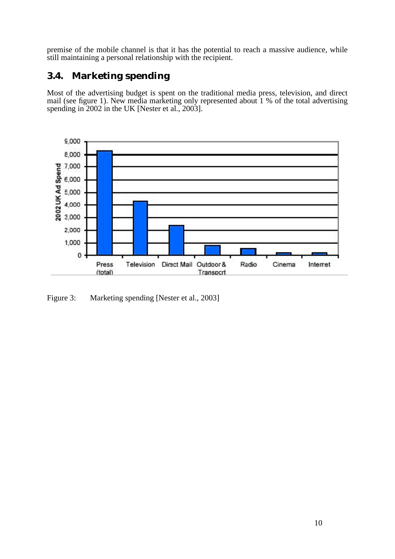premise of the mobile channel is that it has the potential to reach a massive audience, while still maintaining a personal relationship with the recipient.

## <span id="page-17-0"></span>**3.4. Marketing spending**

Most of the advertising budget is spent on the traditional media press, television, and direct mail (see figure 1). New media marketing only represented about 1 % of the total advertising spending in 2002 in the UK [Nester et al., 2003].



<span id="page-17-1"></span>Figure 3: Marketing spending [Nester et al., 2003]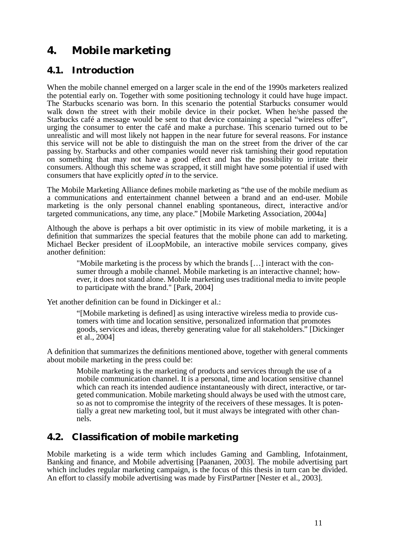# <span id="page-18-0"></span>**4. Mobile marketing**

### <span id="page-18-1"></span>**4.1. Introduction**

When the mobile channel emerged on a larger scale in the end of the 1990s marketers realized the potential early on. Together with some positioning technology it could have huge impact. The Starbucks scenario was born. In this scenario the potential Starbucks consumer would walk down the street with their mobile device in their pocket. When he/she passed the Starbucks café a message would be sent to that device containing a special "wireless offer", urging the consumer to enter the café and make a purchase. This scenario turned out to be unrealistic and will most likely not happen in the near future for several reasons. For instance this service will not be able to distinguish the man on the street from the driver of the car passing by. Starbucks and other companies would never risk tarnishing their good reputation on something that may not have a good effect and has the possibility to irritate their consumers. Although this scheme was scrapped, it still might have some potential if used with consumers that have explicitly *opted in* to the service.

The Mobile Marketing Alliance defines mobile marketing as "the use of the mobile medium as a communications and entertainment channel between a brand and an end-user. Mobile marketing is the only personal channel enabling spontaneous, direct, interactive and/or targeted communications, any time, any place." [Mobile Marketing Association, 2004a]

Although the above is perhaps a bit over optimistic in its view of mobile marketing, it is a definition that summarizes the special features that the mobile phone can add to marketing. Michael Becker president of iLoopMobile, an interactive mobile services company, gives another definition:

"Mobile marketing is the process by which the brands […] interact with the consumer through a mobile channel. Mobile marketing is an interactive channel; however, it does not stand alone. Mobile marketing uses traditional media to invite people to participate with the brand." [Park, 2004]

Yet another definition can be found in Dickinger et al.:

"[Mobile marketing is defined] as using interactive wireless media to provide customers with time and location sensitive, personalized information that promotes goods, services and ideas, thereby generating value for all stakeholders." [Dickinger et al., 2004]

A definition that summarizes the definitions mentioned above, together with general comments about mobile marketing in the press could be:

Mobile marketing is the marketing of products and services through the use of a mobile communication channel. It is a personal, time and location sensitive channel which can reach its intended audience instantaneously with direct, interactive, or targeted communication. Mobile marketing should always be used with the utmost care, so as not to compromise the integrity of the receivers of these messages. It is potentially a great new marketing tool, but it must always be integrated with other channels.

## <span id="page-18-2"></span>**4.2. Classification of mobile marketing**

Mobile marketing is a wide term which includes Gaming and Gambling, Infotainment, Banking and finance, and Mobile advertising [Paananen, 2003]. The mobile advertising part which includes regular marketing campaign, is the focus of this thesis in turn can be divided. An effort to classify mobile advertising was made by FirstPartner [Nester et al., 2003].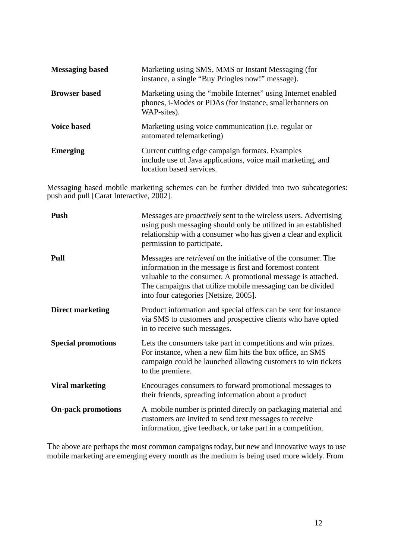| <b>Messaging based</b> | Marketing using SMS, MMS or Instant Messaging (for<br>instance, a single "Buy Pringles now!" message).                                     |
|------------------------|--------------------------------------------------------------------------------------------------------------------------------------------|
| <b>Browser based</b>   | Marketing using the "mobile Internet" using Internet enabled<br>phones, i-Modes or PDAs (for instance, smallerbanners on<br>WAP-sites).    |
| <b>Voice based</b>     | Marketing using voice communication ( <i>i.e.</i> regular or<br>automated telemarketing)                                                   |
| <b>Emerging</b>        | Current cutting edge campaign formats. Examples<br>include use of Java applications, voice mail marketing, and<br>location based services. |

Messaging based mobile marketing schemes can be further divided into two subcategories: push and pull [Carat Interactive, 2002].

| Push                      | Messages are <i>proactively</i> sent to the wireless users. Advertising<br>using push messaging should only be utilized in an established<br>relationship with a consumer who has given a clear and explicit<br>permission to participate.                                                              |
|---------------------------|---------------------------------------------------------------------------------------------------------------------------------------------------------------------------------------------------------------------------------------------------------------------------------------------------------|
| Pull                      | Messages are <i>retrieved</i> on the initiative of the consumer. The<br>information in the message is first and foremost content<br>valuable to the consumer. A promotional message is attached.<br>The campaigns that utilize mobile messaging can be divided<br>into four categories [Netsize, 2005]. |
| <b>Direct marketing</b>   | Product information and special offers can be sent for instance<br>via SMS to customers and prospective clients who have opted<br>in to receive such messages.                                                                                                                                          |
| <b>Special promotions</b> | Lets the consumers take part in competitions and win prizes.<br>For instance, when a new film hits the box office, an SMS<br>campaign could be launched allowing customers to win tickets<br>to the premiere.                                                                                           |
| <b>Viral marketing</b>    | Encourages consumers to forward promotional messages to<br>their friends, spreading information about a product                                                                                                                                                                                         |
| <b>On-pack promotions</b> | A mobile number is printed directly on packaging material and<br>customers are invited to send text messages to receive<br>information, give feedback, or take part in a competition.                                                                                                                   |

The above are perhaps the most common campaigns today, but new and innovative ways to use mobile marketing are emerging every month as the medium is being used more widely. From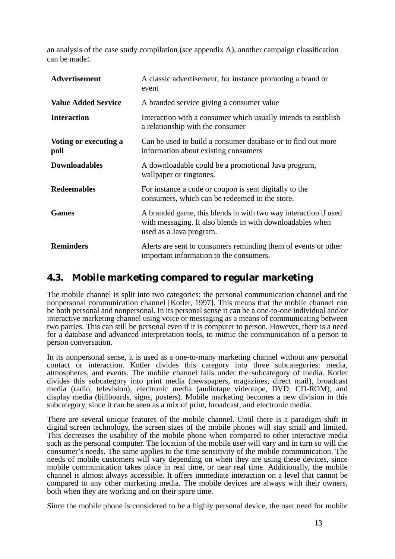an analysis of the case study compilation (see appendix A), another campaign classification can be made:.

| Advertisement                 | A classic advertisement, for instance promoting a brand or<br>event                                                                                     |
|-------------------------------|---------------------------------------------------------------------------------------------------------------------------------------------------------|
| <b>Value Added Service</b>    | A branded service giving a consumer value                                                                                                               |
| <b>Interaction</b>            | Interaction with a consumer which usually intends to establish<br>a relationship with the consumer                                                      |
| Voting or executing a<br>poll | Can be used to build a consumer database or to find out more<br>information about existing consumers                                                    |
| <b>Downloadables</b>          | A downloadable could be a promotional Java program,<br>wallpaper or ringtones.                                                                          |
| <b>Redeemables</b>            | For instance a code or coupon is sent digitally to the<br>consumers, which can be redeemed in the store.                                                |
| <b>Games</b>                  | A branded game, this blends in with two way interaction if used<br>with messaging. It also blends in with downloadables when<br>used as a Java program. |
| <b>Reminders</b>              | Alerts are sent to consumers reminding them of events or other<br>important information to the consumers.                                               |

## <span id="page-20-0"></span>**4.3. Mobile marketing compared to regular marketing**

The mobile channel is split into two categories: the personal communication channel and the nonpersonal communication channel [Kotler, 1997]. This means that the mobile channel can be both personal and nonpersonal. In its personal sense it can be a one-to-one individual and/or interactive marketing channel using voice or messaging as a means of communicating between two parties. This can still be personal even if it is computer to person. However, there is a need for a database and advanced interpretation tools, to mimic the communication of a person to person conversation.

In its nonpersonal sense, it is used as a one-to-many marketing channel without any personal contact or interaction. Kotler divides this category into three subcategories: media, atmospheres, and events. The mobile channel falls under the subcategory of media. Kotler divides this subcategory into print media (newspapers, magazines, direct mail), broadcast media (radio, television), electronic media (audiotape videotape, DVD, CD-ROM), and display media (billboards, signs, posters). Mobile marketing becomes a new division in this subcategory, since it can be seen as a mix of print, broadcast, and electronic media.

There are several unique features of the mobile channel. Until there is a paradigm shift in digital screen technology, the screen sizes of the mobile phones will stay small and limited. This decreases the usability of the mobile phone when compared to other interactive media such as the personal computer. The location of the mobile user will vary and in turn so will the consumer's needs. The same applies to the time sensitivity of the mobile communication. The needs of mobile customers will vary depending on when they are using these devices, since mobile communication takes place in real time, or near real time. Additionally, the mobile channel is almost always accessible. It offers immediate interaction on a level that cannot be compared to any other marketing media. The mobile devices are always with their owners, both when they are working and on their spare time.

Since the mobile phone is considered to be a highly personal device, the user need for mobile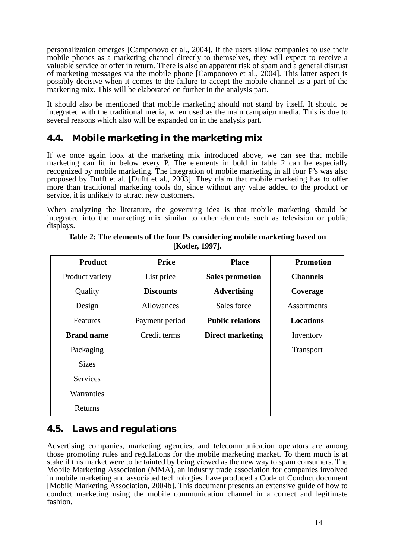personalization emerges [Camponovo et al., 2004]. If the users allow companies to use their mobile phones as a marketing channel directly to themselves, they will expect to receive a valuable service or offer in return. There is also an apparent risk of spam and a general distrust of marketing messages via the mobile phone [Camponovo et al., 2004]. This latter aspect is possibly decisive when it comes to the failure to accept the mobile channel as a part of the marketing mix. This will be elaborated on further in the analysis part.

It should also be mentioned that mobile marketing should not stand by itself. It should be integrated with the traditional media, when used as the main campaign media. This is due to several reasons which also will be expanded on in the analysis part.

## <span id="page-21-0"></span>**4.4. Mobile marketing in the marketing mix**

If we once again look at the marketing mix introduced above, we can see that mobile marketing can fit in below every P. The elements in bold in table 2 can be especially recognized by mobile marketing. The integration of mobile marketing in all four P's was also proposed by Dufft et al. [Dufft et al., 2003]. They claim that mobile marketing has to offer more than traditional marketing tools do, since without any value added to the product or service, it is unlikely to attract new customers.

When analyzing the literature, the governing idea is that mobile marketing should be integrated into the marketing mix similar to other elements such as television or public displays.

<span id="page-21-2"></span>

| <b>Product</b>    | <b>Price</b>      | <b>Place</b>            | <b>Promotion</b>   |
|-------------------|-------------------|-------------------------|--------------------|
| Product variety   | List price        | <b>Sales promotion</b>  | <b>Channels</b>    |
| Quality           | <b>Discounts</b>  | <b>Advertising</b>      | Coverage           |
| Design            | <b>Allowances</b> | Sales force             | <b>Assortments</b> |
| Features          | Payment period    | <b>Public relations</b> | <b>Locations</b>   |
| <b>Brand name</b> | Credit terms      | <b>Direct marketing</b> | Inventory          |
| Packaging         |                   |                         | <b>Transport</b>   |
| <b>Sizes</b>      |                   |                         |                    |
| <b>Services</b>   |                   |                         |                    |
| Warranties        |                   |                         |                    |
| Returns           |                   |                         |                    |

**Table 2: The elements of the four Ps considering mobile marketing based on [Kotler, 1997].**

## <span id="page-21-1"></span>**4.5. Laws and regulations**

Advertising companies, marketing agencies, and telecommunication operators are among those promoting rules and regulations for the mobile marketing market. To them much is at stake if this market were to be tainted by being viewed as the new way to spam consumers. The Mobile Marketing Association (MMA), an industry trade association for companies involved in mobile marketing and associated technologies, have produced a Code of Conduct document [Mobile Marketing Association, 2004b]. This document presents an extensive guide of how to conduct marketing using the mobile communication channel in a correct and legitimate fashion.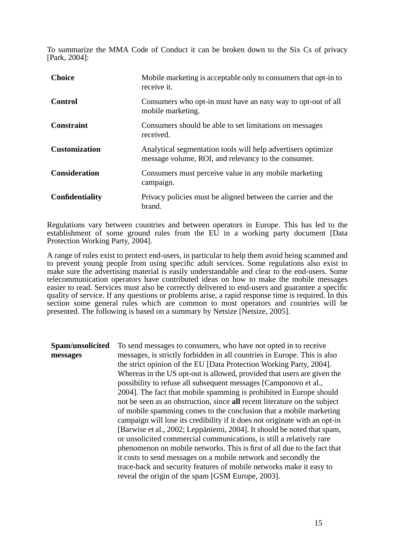To summarize the MMA Code of Conduct it can be broken down to the Six Cs of privacy [Park, 2004]:

| <b>Choice</b>          | Mobile marketing is acceptable only to consumers that opt-in to<br>receive it.                                      |
|------------------------|---------------------------------------------------------------------------------------------------------------------|
| Control                | Consumers who opt-in must have an easy way to opt-out of all<br>mobile marketing.                                   |
| <b>Constraint</b>      | Consumers should be able to set limitations on messages<br>received.                                                |
| <b>Customization</b>   | Analytical segmentation tools will help advertisers optimize<br>message volume, ROI, and relevancy to the consumer. |
| <b>Consideration</b>   | Consumers must perceive value in any mobile marketing<br>campaign.                                                  |
| <b>Confidentiality</b> | Privacy policies must be aligned between the carrier and the<br>brand.                                              |

Regulations vary between countries and between operators in Europe. This has led to the establishment of some ground rules from the EU in a working party document [Data Protection Working Party, 2004].

A range of rules exist to protect end-users, in particular to help them avoid being scammed and to prevent young people from using specific adult services. Some regulations also exist to make sure the advertising material is easily understandable and clear to the end-users. Some telecommunication operators have contributed ideas on how to make the mobile messages easier to read. Services must also be correctly delivered to end-users and guarantee a specific quality of service. If any questions or problems arise, a rapid response time is required. In this section some general rules which are common to most operators and countries will be presented. The following is based on a summary by Netsize [Netsize, 2005].

**Spam/unsolicited messages** To send messages to consumers, who have not opted in to receive messages, is strictly forbidden in all countries in Europe. This is also the strict opinion of the EU [Data Protection Working Party, 2004]. Whereas in the US opt-out is allowed, provided that users are given the possibility to refuse all subsequent messages [Camponovo et al., 2004]. The fact that mobile spamming is prohibited in Europe should not be seen as an obstruction, since **all** recent literature on the subject of mobile spamming comes to the conclusion that a mobile marketing campaign will lose its credibility if it does not originate with an opt-in [Barwise et al., 2002; Leppäniemi, 2004]. It should be noted that spam, or unsolicited commercial communications, is still a relatively rare phenomenon on mobile networks. This is first of all due to the fact that it costs to send messages on a mobile network and secondly the trace-back and security features of mobile networks make it easy to reveal the origin of the spam [GSM Europe, 2003].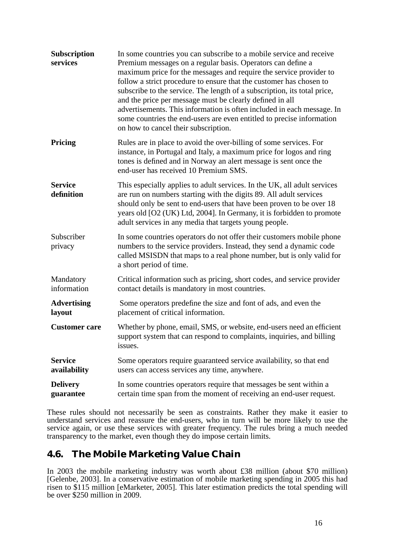| Subscription<br>services       | In some countries you can subscribe to a mobile service and receive<br>Premium messages on a regular basis. Operators can define a<br>maximum price for the messages and require the service provider to<br>follow a strict procedure to ensure that the customer has chosen to<br>subscribe to the service. The length of a subscription, its total price,<br>and the price per message must be clearly defined in all<br>advertisements. This information is often included in each message. In<br>some countries the end-users are even entitled to precise information<br>on how to cancel their subscription. |
|--------------------------------|--------------------------------------------------------------------------------------------------------------------------------------------------------------------------------------------------------------------------------------------------------------------------------------------------------------------------------------------------------------------------------------------------------------------------------------------------------------------------------------------------------------------------------------------------------------------------------------------------------------------|
| <b>Pricing</b>                 | Rules are in place to avoid the over-billing of some services. For<br>instance, in Portugal and Italy, a maximum price for logos and ring<br>tones is defined and in Norway an alert message is sent once the<br>end-user has received 10 Premium SMS.                                                                                                                                                                                                                                                                                                                                                             |
| <b>Service</b><br>definition   | This especially applies to adult services. In the UK, all adult services<br>are run on numbers starting with the digits 89. All adult services<br>should only be sent to end-users that have been proven to be over 18<br>years old [O2 (UK) Ltd, 2004]. In Germany, it is forbidden to promote<br>adult services in any media that targets young people.                                                                                                                                                                                                                                                          |
| Subscriber<br>privacy          | In some countries operators do not offer their customers mobile phone<br>numbers to the service providers. Instead, they send a dynamic code<br>called MSISDN that maps to a real phone number, but is only valid for<br>a short period of time.                                                                                                                                                                                                                                                                                                                                                                   |
| Mandatory<br>information       | Critical information such as pricing, short codes, and service provider<br>contact details is mandatory in most countries.                                                                                                                                                                                                                                                                                                                                                                                                                                                                                         |
| <b>Advertising</b><br>layout   | Some operators predefine the size and font of ads, and even the<br>placement of critical information.                                                                                                                                                                                                                                                                                                                                                                                                                                                                                                              |
| <b>Customer</b> care           | Whether by phone, email, SMS, or website, end-users need an efficient<br>support system that can respond to complaints, inquiries, and billing<br>issues.                                                                                                                                                                                                                                                                                                                                                                                                                                                          |
| <b>Service</b><br>availability | Some operators require guaranteed service availability, so that end<br>users can access services any time, anywhere.                                                                                                                                                                                                                                                                                                                                                                                                                                                                                               |
| <b>Delivery</b><br>guarantee   | In some countries operators require that messages be sent within a<br>certain time span from the moment of receiving an end-user request.                                                                                                                                                                                                                                                                                                                                                                                                                                                                          |

These rules should not necessarily be seen as constraints. Rather they make it easier to understand services and reassure the end-users, who in turn will be more likely to use the service again, or use these services with greater frequency. The rules bring a much needed transparency to the market, even though they do impose certain limits.

## <span id="page-23-0"></span>**4.6. The Mobile Marketing Value Chain**

In 2003 the mobile marketing industry was worth about £38 million (about \$70 million) [Gelenbe, 2003]. In a conservative estimation of mobile marketing spending in 2005 this had risen to \$115 million [eMarketer, 2005]. This later estimation predicts the total spending will be over \$250 million in 2009.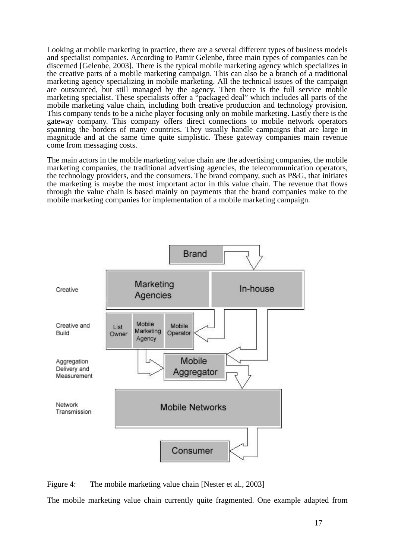Looking at mobile marketing in practice, there are a several different types of business models and specialist companies. According to Pamir Gelenbe, three main types of companies can be discerned [Gelenbe, 2003]. There is the typical mobile marketing agency which specializes in the creative parts of a mobile marketing campaign. This can also be a branch of a traditional marketing agency specializing in mobile marketing. All the technical issues of the campaign are outsourced, but still managed by the agency. Then there is the full service mobile marketing specialist. These specialists offer a "packaged deal" which includes all parts of the mobile marketing value chain, including both creative production and technology provision. This company tends to be a niche player focusing only on mobile marketing. Lastly there is the gateway company. This company offers direct connections to mobile network operators spanning the borders of many countries. They usually handle campaigns that are large in magnitude and at the same time quite simplistic. These gateway companies main revenue come from messaging costs.

The main actors in the mobile marketing value chain are the advertising companies, the mobile marketing companies, the traditional advertising agencies, the telecommunication operators, the technology providers, and the consumers. The brand company, such as P&G, that initiates the marketing is maybe the most important actor in this value chain. The revenue that flows through the value chain is based mainly on payments that the brand companies make to the mobile marketing companies for implementation of a mobile marketing campaign.



<span id="page-24-0"></span>The mobile marketing value chain currently quite fragmented. One example adapted from Figure 4: The mobile marketing value chain [Nester et al., 2003]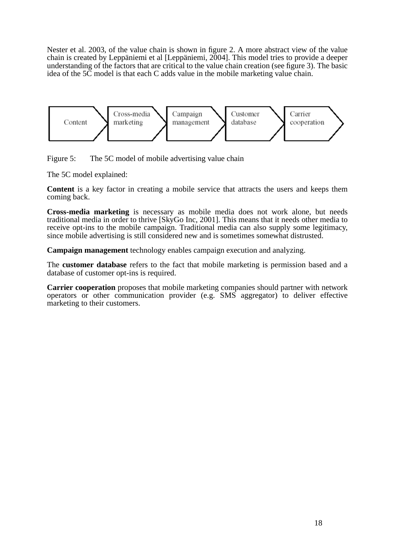Nester et al. 2003, of the value chain is shown in figure 2. A more abstract view of the value chain is created by Leppäniemi et al [Leppäniemi, 2004]. This model tries to provide a deeper understanding of the factors that are critical to the value chain creation (see figure 3). The basic idea of the 5C model is that each C adds value in the mobile marketing value chain.



<span id="page-25-0"></span>Figure 5: The 5C model of mobile advertising value chain

The 5C model explained:

**Content** is a key factor in creating a mobile service that attracts the users and keeps them coming back.

**Cross-media marketing** is necessary as mobile media does not work alone, but needs traditional media in order to thrive [SkyGo Inc, 2001]. This means that it needs other media to receive opt-ins to the mobile campaign. Traditional media can also supply some legitimacy, since mobile advertising is still considered new and is sometimes somewhat distrusted.

**Campaign management** technology enables campaign execution and analyzing.

The **customer database** refers to the fact that mobile marketing is permission based and a database of customer opt-ins is required.

**Carrier cooperation** proposes that mobile marketing companies should partner with network operators or other communication provider (e.g. SMS aggregator) to deliver effective marketing to their customers.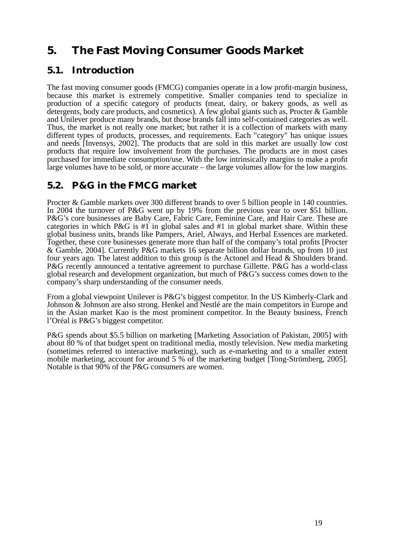# <span id="page-26-0"></span>**5. The Fast Moving Consumer Goods Market**

### <span id="page-26-1"></span>**5.1. Introduction**

The fast moving consumer goods (FMCG) companies operate in a low profit-margin business, because this market is extremely competitive. Smaller companies tend to specialize in production of a specific category of products (meat, dairy, or bakery goods, as well as detergents, body care products, and cosmetics). A few global giants such as, Procter & Gamble and Unilever produce many brands, but those brands fall into self-contained categories as well. Thus, the market is not really one market; but rather it is a collection of markets with many different types of products, processes, and requirements. Each "category" has unique issues and needs [Invensys, 2002]. The products that are sold in this market are usually low cost products that require low involvement from the purchases. The products are in most cases purchased for immediate consumption/use. With the low intrinsically margins to make a profit large volumes have to be sold, or more accurate – the large volumes allow for the low margins.

## <span id="page-26-2"></span>**5.2. P&G in the FMCG market**

Procter & Gamble markets over 300 different brands to over 5 billion people in 140 countries. In 2004 the turnover of P&G went up by 19% from the previous year to over \$51 billion. P&G's core businesses are Baby Care, Fabric Care, Feminine Care, and Hair Care. These are categories in which  $P\&G$  is #1 in global sales and #1 in global market share. Within these global business units, brands like Pampers, Ariel, Always, and Herbal Essences are marketed. Together, these core businesses generate more than half of the company's total profits [Procter & Gamble, 2004]. Currently P&G markets 16 separate billion dollar brands, up from 10 just four years ago. The latest addition to this group is the Actonel and Head & Shoulders brand. P&G recently announced a tentative agreement to purchase Gillette. P&G has a world-class global research and development organization, but much of P&G's success comes down to the company's sharp understanding of the consumer needs.

From a global viewpoint Unilever is P&G's biggest competitor. In the US Kimberly-Clark and Johnson & Johnson are also strong. Henkel and Nestlé are the main competitors in Europe and in the Asian market Kao is the most prominent competitor. In the Beauty business, French l'Oréal is P&G's biggest competitor.

P&G spends about \$5.5 billion on marketing [Marketing Association of Pakistan, 2005] with about 80 % of that budget spent on traditional media, mostly television. New media marketing (sometimes referred to interactive marketing), such as e-marketing and to a smaller extent mobile marketing, account for around 5 % of the marketing budget [Tong-Strömberg, 2005]. Notable is that 90% of the P&G consumers are women.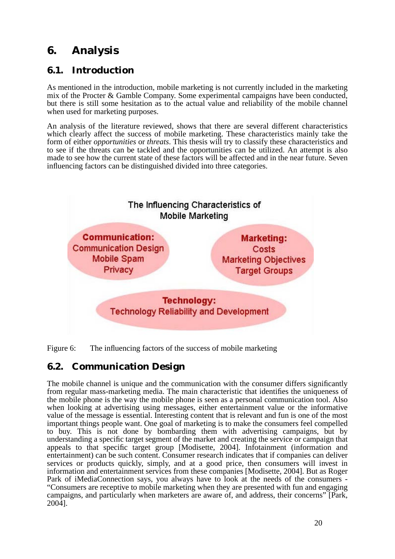# <span id="page-27-0"></span>**6. Analysis**

## <span id="page-27-1"></span>**6.1. Introduction**

As mentioned in the introduction, mobile marketing is not currently included in the marketing mix of the Procter & Gamble Company. Some experimental campaigns have been conducted, but there is still some hesitation as to the actual value and reliability of the mobile channel when used for marketing purposes.

An analysis of the literature reviewed, shows that there are several different characteristics which clearly affect the success of mobile marketing. These characteristics mainly take the form of either *opportunities* or *threats*. This thesis will try to classify these characteristics and to see if the threats can be tackled and the opportunities can be utilized. An attempt is also made to see how the current state of these factors will be affected and in the near future. Seven influencing factors can be distinguished divided into three categories.



<span id="page-27-3"></span>Figure 6: The influencing factors of the success of mobile marketing

## <span id="page-27-2"></span>**6.2. Communication Design**

The mobile channel is unique and the communication with the consumer differs significantly from regular mass-marketing media. The main characteristic that identifies the uniqueness of the mobile phone is the way the mobile phone is seen as a personal communication tool. Also when looking at advertising using messages, either entertainment value or the informative value of the message is essential. Interesting content that is relevant and fun is one of the most important things people want. One goal of marketing is to make the consumers feel compelled to buy. This is not done by bombarding them with advertising campaigns, but by understanding a specific target segment of the market and creating the service or campaign that appeals to that specific target group [Modisette, 2004]. Infotainment (information and entertainment) can be such content. Consumer research indicates that if companies can deliver services or products quickly, simply, and at a good price, then consumers will invest in information and entertainment services from these companies [Modisette, 2004]. But as Roger Park of iMediaConnection says, you always have to look at the needs of the consumers - "Consumers are receptive to mobile marketing when they are presented with fun and engaging campaigns, and particularly when marketers are aware of, and address, their concerns" [Park, 2004].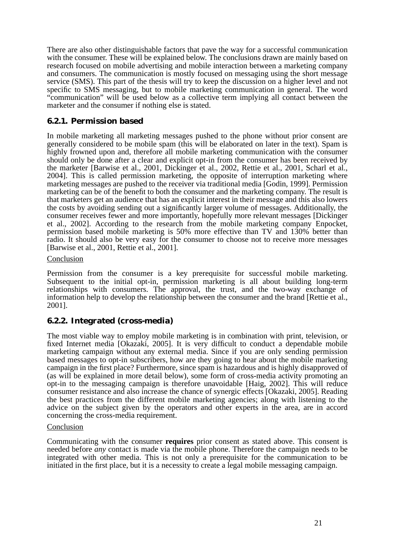There are also other distinguishable factors that pave the way for a successful communication with the consumer. These will be explained below. The conclusions drawn are mainly based on research focused on mobile advertising and mobile interaction between a marketing company and consumers. The communication is mostly focused on messaging using the short message service (SMS). This part of the thesis will try to keep the discussion on a higher level and not specific to SMS messaging, but to mobile marketing communication in general. The word "communication" will be used below as a collective term implying all contact between the marketer and the consumer if nothing else is stated.

#### <span id="page-28-0"></span>**6.2.1. Permission based**

In mobile marketing all marketing messages pushed to the phone without prior consent are generally considered to be mobile spam (this will be elaborated on later in the text). Spam is highly frowned upon and, therefore all mobile marketing communication with the consumer should only be done after a clear and explicit opt-in from the consumer has been received by the marketer [Barwise et al., 2001, Dickinger et al., 2002, Rettie et al., 2001, Scharl et al., 2004]. This is called permission marketing, the opposite of interruption marketing where marketing messages are pushed to the receiver via traditional media [Godin, 1999]. Permission marketing can be of the benefit to both the consumer and the marketing company. The result is that marketers get an audience that has an explicit interest in their message and this also lowers the costs by avoiding sending out a significantly larger volume of messages. Additionally, the consumer receives fewer and more importantly, hopefully more relevant messages [Dickinger et al., 2002]. According to the research from the mobile marketing company Enpocket, permission based mobile marketing is 50% more effective than TV and 130% better than radio. It should also be very easy for the consumer to choose not to receive more messages [Barwise et al., 2001, Rettie et al., 2001].

#### Conclusion

Permission from the consumer is a key prerequisite for successful mobile marketing. Subsequent to the initial opt-in, permission marketing is all about building long-term relationships with consumers. The approval, the trust, and the two-way exchange of information help to develop the relationship between the consumer and the brand [Rettie et al., 2001].

#### <span id="page-28-1"></span>**6.2.2. Integrated (cross-media)**

The most viable way to employ mobile marketing is in combination with print, television, or fixed Internet media [Okazaki, 2005]. It is very difficult to conduct a dependable mobile marketing campaign without any external media. Since if you are only sending permission based messages to opt-in subscribers, how are they going to hear about the mobile marketing campaign in the first place? Furthermore, since spam is hazardous and is highly disapproved of (as will be explained in more detail below), some form of cross-media activity promoting an opt-in to the messaging campaign is therefore unavoidable [Haig, 2002]. This will reduce consumer resistance and also increase the chance of synergic effects [Okazaki, 2005]. Reading the best practices from the different mobile marketing agencies; along with listening to the advice on the subject given by the operators and other experts in the area, are in accord concerning the cross-media requirement.

#### Conclusion

Communicating with the consumer **requires** prior consent as stated above. This consent is needed before *any* contact is made via the mobile phone. Therefore the campaign needs to be integrated with other media. This is not only a prerequisite for the communication to be initiated in the first place, but it is a necessity to create a legal mobile messaging campaign.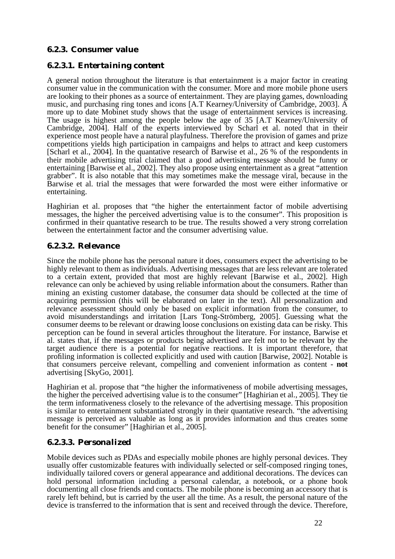### <span id="page-29-0"></span>**6.2.3. Consumer value**

#### <span id="page-29-1"></span>*6.2.3.1. Entertaining content*

A general notion throughout the literature is that entertainment is a major factor in creating consumer value in the communication with the consumer. More and more mobile phone users are looking to their phones as a source of entertainment. They are playing games, downloading music, and purchasing ring tones and icons [A.T Kearney/University of Cambridge, 2003]. A more up to date Mobinet study shows that the usage of entertainment services is increasing. The usage is highest among the people below the age of 35 [A.T Kearney/University of Cambridge, 2004]. Half of the experts interviewed by Scharl et al. noted that in their experience most people have a natural playfulness. Therefore the provision of games and prize competitions yields high participation in campaigns and helps to attract and keep customers [Scharl et al., 2004]. In the quantative research of Barwise et al., 26 % of the respondents in their mobile advertising trial claimed that a good advertising message should be funny or entertaining [Barwise et al., 2002]. They also propose using entertainment as a great "attention grabber". It is also notable that this may sometimes make the message viral, because in the Barwise et al. trial the messages that were forwarded the most were either informative or entertaining.

Haghirian et al. proposes that "the higher the entertainment factor of mobile advertising messages, the higher the perceived advertising value is to the consumer". This proposition is confirmed in their quantative research to be true. The results showed a very strong correlation between the entertainment factor and the consumer advertising value.

#### <span id="page-29-2"></span>*6.2.3.2. Relevance*

Since the mobile phone has the personal nature it does, consumers expect the advertising to be highly relevant to them as individuals. Advertising messages that are less relevant are tolerated to a certain extent, provided that most are highly relevant [Barwise et al., 2002]. High relevance can only be achieved by using reliable information about the consumers. Rather than mining an existing customer database, the consumer data should be collected at the time of acquiring permission (this will be elaborated on later in the text). All personalization and relevance assessment should only be based on explicit information from the consumer, to avoid misunderstandings and irritation [Lars Tong-Strömberg, 2005]. Guessing what the consumer deems to be relevant or drawing loose conclusions on existing data can be risky. This perception can be found in several articles throughout the literature. For instance, Barwise et al. states that, if the messages or products being advertised are felt not to be relevant by the target audience there is a potential for negative reactions. It is important therefore, that profiling information is collected explicitly and used with caution [Barwise, 2002]. Notable is that consumers perceive relevant, compelling and convenient information as content - **not** advertising [SkyGo, 2001].

Haghirian et al. propose that "the higher the informativeness of mobile advertising messages, the higher the perceived advertising value is to the consumer" [Haghirian et al., 2005]. They tie the term informativeness closely to the relevance of the advertising message. This proposition is similar to entertainment substantiated strongly in their quantative research. "the advertising message is perceived as valuable as long as it provides information and thus creates some benefit for the consumer" [Haghirian et al., 2005].

### <span id="page-29-3"></span>*6.2.3.3. Personalized*

Mobile devices such as PDAs and especially mobile phones are highly personal devices. They usually offer customizable features with individually selected or self-composed ringing tones, individually tailored covers or general appearance and additional decorations. The devices can hold personal information including a personal calendar, a notebook, or a phone book documenting all close friends and contacts. The mobile phone is becoming an accessory that is rarely left behind, but is carried by the user all the time. As a result, the personal nature of the device is transferred to the information that is sent and received through the device. Therefore,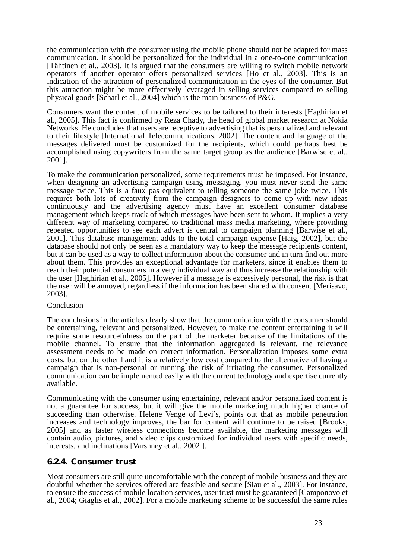the communication with the consumer using the mobile phone should not be adapted for mass communication. It should be personalized for the individual in a one-to-one communication [Tähtinen et al., 2003]. It is argued that the consumers are willing to switch mobile network operators if another operator offers personalized services [Ho et al., 2003]. This is an indication of the attraction of personalized communication in the eyes of the consumer. But this attraction might be more effectively leveraged in selling services compared to selling physical goods [Scharl et al., 2004] which is the main business of P&G.

Consumers want the content of mobile services to be tailored to their interests [Haghirian et al., 2005]. This fact is confirmed by Reza Chady, the head of global market research at Nokia Networks. He concludes that users are receptive to advertising that is personalized and relevant to their lifestyle [International Telecommunications, 2002]. The content and language of the messages delivered must be customized for the recipients, which could perhaps best be accomplished using copywriters from the same target group as the audience [Barwise et al., 2001].

To make the communication personalized, some requirements must be imposed. For instance, when designing an advertising campaign using messaging, you must never send the same message twice. This is a faux pas equivalent to telling someone the same joke twice. This requires both lots of creativity from the campaign designers to come up with new ideas continuously and the advertising agency must have an excellent consumer database management which keeps track of which messages have been sent to whom. It implies a very different way of marketing compared to traditional mass media marketing, where providing repeated opportunities to see each advert is central to campaign planning [Barwise et al., 2001]. This database management adds to the total campaign expense [Haig, 2002], but the database should not only be seen as a mandatory way to keep the message recipients content, but it can be used as a way to collect information about the consumer and in turn find out more about them. This provides an exceptional advantage for marketers, since it enables them to reach their potential consumers in a very individual way and thus increase the relationship with the user [Haghirian et al., 2005]. However if a message is excessively personal, the risk is that the user will be annoyed, regardless if the information has been shared with consent [Merisavo, 2003].

#### **Conclusion**

The conclusions in the articles clearly show that the communication with the consumer should be entertaining, relevant and personalized. However, to make the content entertaining it will require some resourcefulness on the part of the marketer because of the limitations of the mobile channel. To ensure that the information aggregated is relevant, the relevance assessment needs to be made on correct information. Personalization imposes some extra costs, but on the other hand it is a relatively low cost compared to the alternative of having a campaign that is non-personal or running the risk of irritating the consumer. Personalized communication can be implemented easily with the current technology and expertise currently available.

Communicating with the consumer using entertaining, relevant and/or personalized content is not a guarantee for success, but it will give the mobile marketing much higher chance of succeeding than otherwise. Helene Venge of Levi's, points out that as mobile penetration increases and technology improves, the bar for content will continue to be raised [Brooks, 2005] and as faster wireless connections become available, the marketing messages will contain audio, pictures, and video clips customized for individual users with specific needs, interests, and inclinations [Varshney et al., 2002 ].

#### <span id="page-30-0"></span>**6.2.4. Consumer trust**

Most consumers are still quite uncomfortable with the concept of mobile business and they are doubtful whether the services offered are feasible and secure [Siau et al., 2003]. For instance, to ensure the success of mobile location services, user trust must be guaranteed [Camponovo et al., 2004; Giaglis et al., 2002]. For a mobile marketing scheme to be successful the same rules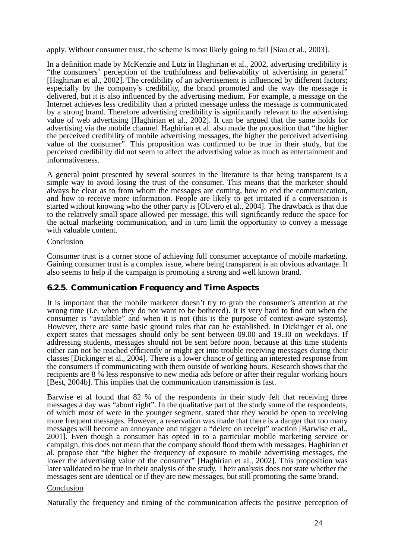apply. Without consumer trust, the scheme is most likely going to fail [Siau et al., 2003].

In a definition made by McKenzie and Lutz in Haghirian et al., 2002, advertising credibility is "the consumers' perception of the truthfulness and believability of advertising in general" [Haghirian et al., 2002]. The credibility of an advertisement is influenced by different factors; especially by the company's credibility, the brand promoted and the way the message is delivered, but it is also influenced by the advertising medium. For example, a message on the Internet achieves less credibility than a printed message unless the message is communicated by a strong brand. Therefore advertising credibility is significantly relevant to the advertising value of web advertising [Haghirian et al., 2002]. It can be argued that the same holds for advertising via the mobile channel. Haghirian et al. also made the proposition that "the higher the perceived credibility of mobile advertising messages, the higher the perceived advertising value of the consumer". This proposition was confirmed to be true in their study, but the perceived credibility did not seem to affect the advertising value as much as entertainment and informativeness.

A general point presented by several sources in the literature is that being transparent is a simple way to avoid losing the trust of the consumer. This means that the marketer should always be clear as to from whom the messages are coming, how to end the communication, and how to receive more information. People are likely to get irritated if a conversation is started without knowing who the other party is [Olivero et al., 2004]. The drawback is that due to the relatively small space allowed per message, this will significantly reduce the space for the actual marketing communication, and in turn limit the opportunity to convey a message with valuable content.

#### Conclusion

Consumer trust is a corner stone of achieving full consumer acceptance of mobile marketing. Gaining consumer trust is a complex issue, where being transparent is an obvious advantage. It also seems to help if the campaign is promoting a strong and well known brand.

### <span id="page-31-0"></span>**6.2.5. Communication Frequency and Time Aspects**

It is important that the mobile marketer doesn't try to grab the consumer's attention at the wrong time (i.e. when they do not want to be bothered). It is very hard to find out when the consumer is "available" and when it is not (this is the purpose of context-aware systems). However, there are some basic ground rules that can be established. In Dickinger et al. one expert states that messages should only be sent between 09.00 and 19.30 on weekdays. If addressing students, messages should not be sent before noon, because at this time students either can not be reached efficiently or might get into trouble receiving messages during their classes [Dickinger et al., 2004]. There is a lower chance of getting an interested response from the consumers if communicating with them outside of working hours. Research shows that the recipients are 8 % less responsive to new media ads before or after their regular working hours [Best, 2004b]. This implies that the communication transmission is fast.

Barwise et al found that 82 % of the respondents in their study felt that receiving three messages a day was "about right". In the qualitative part of the study some of the respondents, of which most of were in the younger segment, stated that they would be open to receiving more frequent messages. However, a reservation was made that there is a danger that too many messages will become an annoyance and trigger a "delete on receipt" reaction [Barwise et al., 2001]. Even though a consumer has opted in to a particular mobile marketing service or campaign, this does not mean that the company should flood them with messages. Haghirian et al. propose that "the higher the frequency of exposure to mobile advertising messages, the lower the advertising value of the consumer" [Haghirian et al., 2002]. This proposition was later validated to be true in their analysis of the study. Their analysis does not state whether the messages sent are identical or if they are new messages, but still promoting the same brand.

#### Conclusion

Naturally the frequency and timing of the communication affects the positive perception of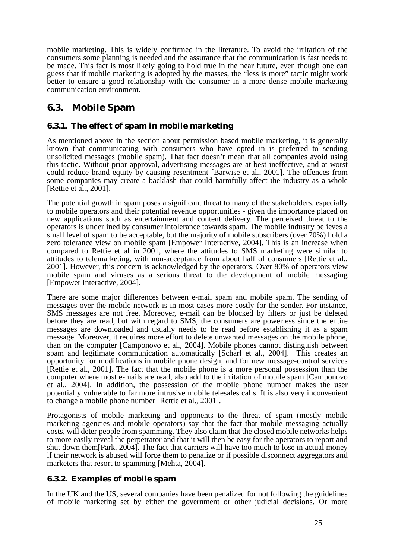mobile marketing. This is widely confirmed in the literature. To avoid the irritation of the consumers some planning is needed and the assurance that the communication is fast needs to be made. This fact is most likely going to hold true in the near future, even though one can guess that if mobile marketing is adopted by the masses, the "less is more" tactic might work better to ensure a good relationship with the consumer in a more dense mobile marketing communication environment.

## <span id="page-32-0"></span>**6.3. Mobile Spam**

### <span id="page-32-1"></span>**6.3.1. The effect of spam in mobile marketing**

As mentioned above in the section about permission based mobile marketing, it is generally known that communicating with consumers who have opted in is preferred to sending unsolicited messages (mobile spam). That fact doesn't mean that all companies avoid using this tactic. Without prior approval, advertising messages are at best ineffective, and at worst could reduce brand equity by causing resentment [Barwise et al., 2001]. The offences from some companies may create a backlash that could harmfully affect the industry as a whole [Rettie et al., 2001].

The potential growth in spam poses a significant threat to many of the stakeholders, especially to mobile operators and their potential revenue opportunities - given the importance placed on new applications such as entertainment and content delivery. The perceived threat to the operators is underlined by consumer intolerance towards spam. The mobile industry believes a small level of spam to be acceptable, but the majority of mobile subscribers (over 70%) hold a zero tolerance view on mobile spam [Empower Interactive, 2004]. This is an increase when compared to Rettie et al in 2001, where the attitudes to SMS marketing were similar to attitudes to telemarketing, with non-acceptance from about half of consumers [Rettie et al., 2001]. However, this concern is acknowledged by the operators. Over 80% of operators view mobile spam and viruses as a serious threat to the development of mobile messaging [Empower Interactive, 2004].

There are some major differences between e-mail spam and mobile spam. The sending of messages over the mobile network is in most cases more costly for the sender. For instance, SMS messages are not free. Moreover, e-mail can be blocked by filters or just be deleted before they are read, but with regard to SMS, the consumers are powerless since the entire messages are downloaded and usually needs to be read before establishing it as a spam message. Moreover, it requires more effort to delete unwanted messages on the mobile phone, than on the computer [Camponovo et al., 2004]. Mobile phones cannot distinguish between spam and legitimate communication automatically [Scharl et al., 2004]. This creates an opportunity for modifications in mobile phone design, and for new message-control services [Rettie et al., 2001]. The fact that the mobile phone is a more personal possession than the computer where most e-mails are read, also add to the irritation of mobile spam [Camponovo et al., 2004]. In addition, the possession of the mobile phone number makes the user potentially vulnerable to far more intrusive mobile telesales calls. It is also very inconvenient to change a mobile phone number [Rettie et al., 2001].

Protagonists of mobile marketing and opponents to the threat of spam (mostly mobile marketing agencies and mobile operators) say that the fact that mobile messaging actually costs, will deter people from spamming. They also claim that the closed mobile networks helps to more easily reveal the perpetrator and that it will then be easy for the operators to report and shut down them[Park, 2004]. The fact that carriers will have too much to lose in actual money if their network is abused will force them to penalize or if possible disconnect aggregators and marketers that resort to spamming [Mehta, 2004].

### <span id="page-32-2"></span>**6.3.2. Examples of mobile spam**

In the UK and the US, several companies have been penalized for not following the guidelines of mobile marketing set by either the government or other judicial decisions. Or more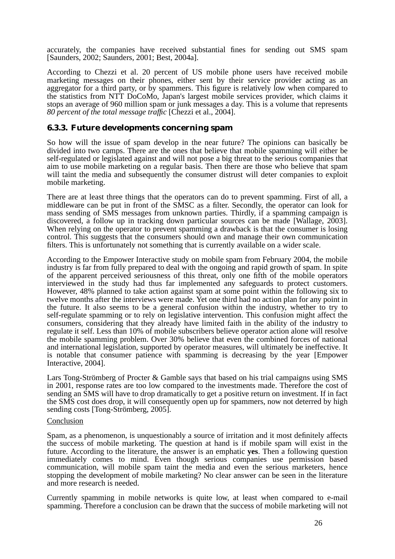accurately, the companies have received substantial fines for sending out SMS spam [Saunders, 2002; Saunders, 2001; Best, 2004a].

According to Chezzi et al. 20 percent of US mobile phone users have received mobile marketing messages on their phones, either sent by their service provider acting as an aggregator for a third party, or by spammers. This figure is relatively low when compared to the statistics from NTT DoCoMo, Japan's largest mobile services provider, which claims it stops an average of 960 million spam or junk messages a day. This is a volume that represents *80 percent of the total message traffic* [Chezzi et al., 2004].

#### <span id="page-33-0"></span>**6.3.3. Future developments concerning spam**

So how will the issue of spam develop in the near future? The opinions can basically be divided into two camps. There are the ones that believe that mobile spamming will either be self-regulated or legislated against and will not pose a big threat to the serious companies that aim to use mobile marketing on a regular basis. Then there are those who believe that spam will taint the media and subsequently the consumer distrust will deter companies to exploit mobile marketing.

There are at least three things that the operators can do to prevent spamming. First of all, a middleware can be put in front of the SMSC as a filter. Secondly, the operator can look for mass sending of SMS messages from unknown parties. Thirdly, if a spamming campaign is discovered, a follow up in tracking down particular sources can be made [Wallage, 2003]. When relying on the operator to prevent spamming a drawback is that the consumer is losing control. This suggests that the consumers should own and manage their own communication filters. This is unfortunately not something that is currently available on a wider scale.

According to the Empower Interactive study on mobile spam from February 2004, the mobile industry is far from fully prepared to deal with the ongoing and rapid growth of spam. In spite of the apparent perceived seriousness of this threat, only one fifth of the mobile operators interviewed in the study had thus far implemented any safeguards to protect customers. However, 48% planned to take action against spam at some point within the following six to twelve months after the interviews were made. Yet one third had no action plan for any point in the future. It also seems to be a general confusion within the industry, whether to try to self-regulate spamming or to rely on legislative intervention. This confusion might affect the consumers, considering that they already have limited faith in the ability of the industry to regulate it self. Less than 10% of mobile subscribers believe operator action alone will resolve the mobile spamming problem. Over 30% believe that even the combined forces of national and international legislation, supported by operator measures, will ultimately be ineffective. It is notable that consumer patience with spamming is decreasing by the year [Empower Interactive, 2004].

Lars Tong-Strömberg of Procter & Gamble says that based on his trial campaigns using SMS in 2001, response rates are too low compared to the investments made. Therefore the cost of sending an SMS will have to drop dramatically to get a positive return on investment. If in fact the SMS cost does drop, it will consequently open up for spammers, now not deterred by high sending costs [Tong-Strömberg, 2005].

#### Conclusion

Spam, as a phenomenon, is unquestionably a source of irritation and it most definitely affects the success of mobile marketing. The question at hand is if mobile spam will exist in the future. According to the literature, the answer is an emphatic **yes**. Then a following question immediately comes to mind. Even though serious companies use permission based communication, will mobile spam taint the media and even the serious marketers, hence stopping the development of mobile marketing? No clear answer can be seen in the literature and more research is needed.

Currently spamming in mobile networks is quite low, at least when compared to e-mail spamming. Therefore a conclusion can be drawn that the success of mobile marketing will not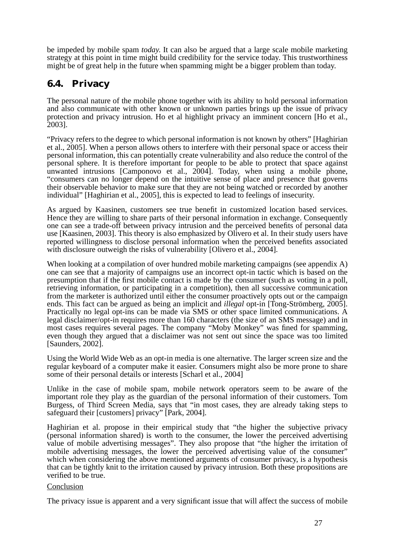be impeded by mobile spam *today*. It can also be argued that a large scale mobile marketing strategy at this point in time might build credibility for the service today. This trustworthiness might be of great help in the future when spamming might be a bigger problem than today.

## <span id="page-34-0"></span>**6.4. Privacy**

The personal nature of the mobile phone together with its ability to hold personal information and also communicate with other known or unknown parties brings up the issue of privacy protection and privacy intrusion. Ho et al highlight privacy an imminent concern [Ho et al., 2003].

"Privacy refers to the degree to which personal information is not known by others" [Haghirian et al., 2005]. When a person allows others to interfere with their personal space or access their personal information, this can potentially create vulnerability and also reduce the control of the personal sphere. It is therefore important for people to be able to protect that space against unwanted intrusions [Camponovo et al., 2004]. Today, when using a mobile phone, "consumers can no longer depend on the intuitive sense of place and presence that governs their observable behavior to make sure that they are not being watched or recorded by another individual" [Haghirian et al., 2005], this is expected to lead to feelings of insecurity.

As argued by Kaasinen, customers see true benefit in customized location based services. Hence they are willing to share parts of their personal information in exchange. Consequently one can see a trade-off between privacy intrusion and the perceived benefits of personal data use [Kaasinen, 2003]. This theory is also emphasized by Olivero et al. In their study users have reported willingness to disclose personal information when the perceived benefits associated with disclosure outweigh the risks of vulnerability [Olivero et al., 2004].

When looking at a compilation of over hundred mobile marketing campaigns (see appendix A) one can see that a majority of campaigns use an incorrect opt-in tactic which is based on the presumption that if the first mobile contact is made by the consumer (such as voting in a poll, retrieving information, or participating in a competition), then all successive communication from the marketer is authorized until either the consumer proactively opts out or the campaign ends. This fact can be argued as being an implicit and *illegal* opt-in [Tong-Strömberg, 2005]. Practically no legal opt-ins can be made via SMS or other space limited communications. A legal disclaimer/opt-in requires more than 160 characters (the size of an SMS message) and in most cases requires several pages. The company "Moby Monkey" was fined for spamming, even though they argued that a disclaimer was not sent out since the space was too limited [Saunders, 2002].

Using the World Wide Web as an opt-in media is one alternative. The larger screen size and the regular keyboard of a computer make it easier. Consumers might also be more prone to share some of their personal details or interests [Scharl et al., 2004]

Unlike in the case of mobile spam, mobile network operators seem to be aware of the important role they play as the guardian of the personal information of their customers. Tom Burgess, of Third Screen Media, says that "in most cases, they are already taking steps to safeguard their [customers] privacy" [Park, 2004].

Haghirian et al. propose in their empirical study that "the higher the subjective privacy (personal information shared) is worth to the consumer, the lower the perceived advertising value of mobile advertising messages". They also propose that "the higher the irritation of mobile advertising messages, the lower the perceived advertising value of the consumer" which when considering the above mentioned arguments of consumer privacy, is a hypothesis that can be tightly knit to the irritation caused by privacy intrusion. Both these propositions are verified to be true.

#### Conclusion

The privacy issue is apparent and a very significant issue that will affect the success of mobile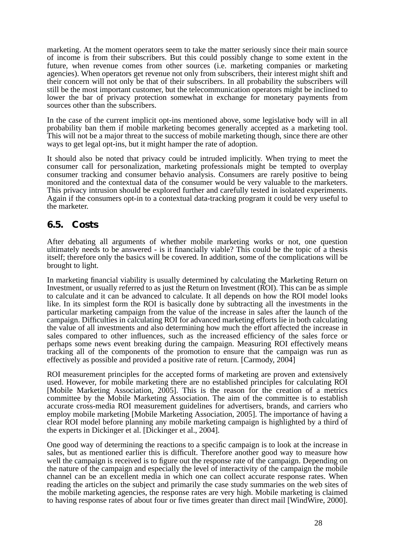marketing. At the moment operators seem to take the matter seriously since their main source of income is from their subscribers. But this could possibly change to some extent in the future, when revenue comes from other sources (i.e. marketing companies or marketing agencies). When operators get revenue not only from subscribers, their interest might shift and their concern will not only be that of their subscribers. In all probability the subscribers will still be the most important customer, but the telecommunication operators might be inclined to lower the bar of privacy protection somewhat in exchange for monetary payments from sources other than the subscribers.

In the case of the current implicit opt-ins mentioned above, some legislative body will in all probability ban them if mobile marketing becomes generally accepted as a marketing tool. This will not be a major threat to the success of mobile marketing though, since there are other ways to get legal opt-ins, but it might hamper the rate of adoption.

It should also be noted that privacy could be intruded implicitly. When trying to meet the consumer call for personalization, marketing professionals might be tempted to overplay consumer tracking and consumer behavio analysis. Consumers are rarely positive to being monitored and the contextual data of the consumer would be very valuable to the marketers. This privacy intrusion should be explored further and carefully tested in isolated experiments. Again if the consumers opt-in to a contextual data-tracking program it could be very useful to the marketer.

### <span id="page-35-0"></span>**6.5. Costs**

After debating all arguments of whether mobile marketing works or not, one question ultimately needs to be answered - is it financially viable? This could be the topic of a thesis itself; therefore only the basics will be covered. In addition, some of the complications will be brought to light.

In marketing financial viability is usually determined by calculating the Marketing Return on Investment, or usually referred to as just the Return on Investment (ROI). This can be as simple to calculate and it can be advanced to calculate. It all depends on how the ROI model looks like. In its simplest form the ROI is basically done by subtracting all the investments in the particular marketing campaign from the value of the increase in sales after the launch of the campaign. Difficulties in calculating ROI for advanced marketing efforts lie in both calculating the value of all investments and also determining how much the effort affected the increase in sales compared to other influences, such as the increased efficiency of the sales force or perhaps some news event breaking during the campaign. Measuring ROI effectively means tracking all of the components of the promotion to ensure that the campaign was run as effectively as possible and provided a positive rate of return. [Carmody, 2004]

ROI measurement principles for the accepted forms of marketing are proven and extensively used. However, for mobile marketing there are no established principles for calculating ROI [Mobile Marketing Association, 2005]. This is the reason for the creation of a metrics committee by the Mobile Marketing Association. The aim of the committee is to establish accurate cross-media ROI measurement guidelines for advertisers, brands, and carriers who employ mobile marketing [Mobile Marketing Association, 2005]. The importance of having a clear ROI model before planning any mobile marketing campaign is highlighted by a third of the experts in Dickinger et al. [Dickinger et al., 2004].

One good way of determining the reactions to a specific campaign is to look at the increase in sales, but as mentioned earlier this is difficult. Therefore another good way to measure how well the campaign is received is to figure out the response rate of the campaign. Depending on the nature of the campaign and especially the level of interactivity of the campaign the mobile channel can be an excellent media in which one can collect accurate response rates. When reading the articles on the subject and primarily the case study summaries on the web sites of the mobile marketing agencies, the response rates are very high. Mobile marketing is claimed to having response rates of about four or five times greater than direct mail [WindWire, 2000].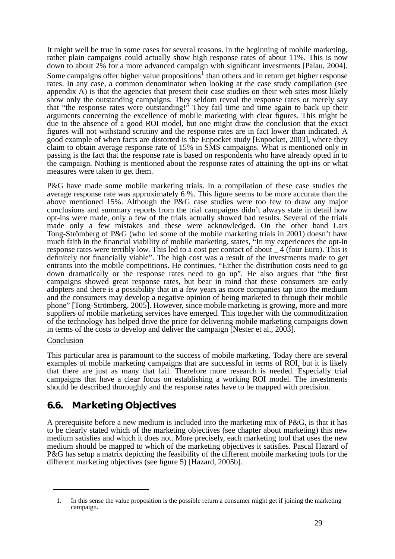It might well be true in some cases for several reasons. In the beginning of mobile marketing, rather plain campaigns could actually show high response rates of about 11%. This is now down to about 2% for a more advanced campaign with significant investments [Palau, 2004]. Some campaigns offer higher value propositions<sup>1</sup> than others and in return get higher response rates. In any case, a common denominator when looking at the case study compilation (see appendix A) is that the agencies that present their case studies on their web sites most likely show only the outstanding campaigns. They seldom reveal the response rates or merely say that "the response rates were outstanding!" They fail time and time again to back up their arguments concerning the excellence of mobile marketing with clear figures. This might be due to the absence of a good ROI model, but one might draw the conclusion that the exact figures will not withstand scrutiny and the response rates are in fact lower than indicated. A good example of when facts are distorted is the Enpocket study [Enpocket, 2003], where they claim to obtain average response rate of 15% in SMS campaigns. What is mentioned only in passing is the fact that the response rate is based on respondents who have already opted in to the campaign. Nothing is mentioned about the response rates of attaining the opt-ins or what measures were taken to get them.

P&G have made some mobile marketing trials. In a compilation of these case studies the average response rate was approximately 6 %. This figure seems to be more accurate than the above mentioned 15%. Although the P&G case studies were too few to draw any major conclusions and summary reports from the trial campaigns didn't always state in detail how opt-ins were made, only a few of the trials actually showed bad results. Several of the trials made only a few mistakes and these were acknowledged. On the other hand Lars Tong-Strömberg of P&G (who led some of the mobile marketing trials in 2001) doesn't have much faith in the financial viability of mobile marketing, states, "In my experiences the opt-in response rates were terribly low. This led to a cost per contact of about \_ 4 (four Euro). This is definitely not financially viable". The high cost was a result of the investments made to get entrants into the mobile competitions. He continues, "Either the distribution costs need to go down dramatically or the response rates need to go up". He also argues that "the first campaigns showed great response rates, but bear in mind that these consumers are early adopters and there is a possibility that in a few years as more companies tap into the medium and the consumers may develop a negative opinion of being marketed to through their mobile phone" [Tong-Strömberg. 2005]. However, since mobile marketing is growing, more and more suppliers of mobile marketing services have emerged. This together with the commoditization of the technology has helped drive the price for delivering mobile marketing campaigns down in terms of the costs to develop and deliver the campaign [Nester et al., 2003].

#### Conclusion

This particular area is paramount to the success of mobile marketing. Today there are several examples of mobile marketing campaigns that are successful in terms of ROI, but it is likely that there are just as many that fail. Therefore more research is needed. Especially trial campaigns that have a clear focus on establishing a working ROI model. The investments should be described thoroughly and the response rates have to be mapped with precision.

## **6.6. Marketing Objectives**

A prerequisite before a new medium is included into the marketing mix of P&G, is that it has to be clearly stated which of the marketing objectives (see chapter about marketing) this new medium satisfies and which it does not. More precisely, each marketing tool that uses the new medium should be mapped to which of the marketing objectives it satisfies. Pascal Hazard of P&G has setup a matrix depicting the feasibility of the different mobile marketing tools for the different marketing objectives (see figure 5) [Hazard, 2005b].

<sup>1.</sup> In this sense the value proposition is the possible return a consumer might get if joining the marketing campaign.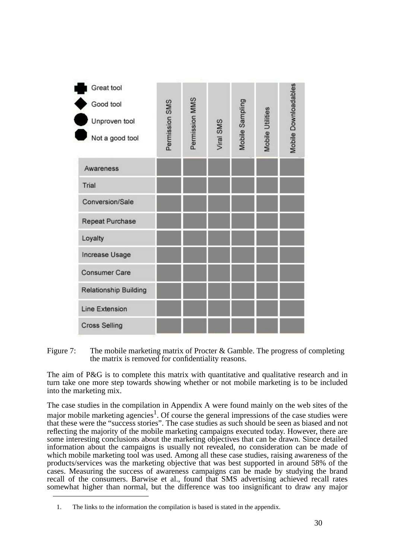| Great tool<br>Good tool<br>Unproven tool<br>Not a good tool | Permission SMS | Permission MMS | Viral SMS | Mobile Sampling | Mobile Utilities | Mobile Downloadables |
|-------------------------------------------------------------|----------------|----------------|-----------|-----------------|------------------|----------------------|
| Awareness                                                   |                |                |           |                 |                  |                      |
| Trial                                                       |                |                |           |                 |                  |                      |
| Conversion/Sale                                             |                |                |           |                 |                  |                      |
| <b>Repeat Purchase</b>                                      |                |                |           |                 |                  |                      |
| Loyalty                                                     |                |                |           |                 |                  |                      |
| <b>Increase Usage</b>                                       |                |                |           |                 |                  |                      |
| <b>Consumer Care</b>                                        |                |                |           |                 |                  |                      |
| <b>Relationship Building</b>                                |                |                |           |                 |                  |                      |
| <b>Line Extension</b>                                       |                |                |           |                 |                  |                      |
| <b>Cross Selling</b>                                        |                |                |           |                 |                  |                      |

Figure 7: The mobile marketing matrix of Procter & Gamble. The progress of completing the matrix is removed for confidentiality reasons.

The aim of P&G is to complete this matrix with quantitative and qualitative research and in turn take one more step towards showing whether or not mobile marketing is to be included into the marketing mix.

The case studies in the compilation in Appendix A were found mainly on the web sites of the major mobile marketing agencies<sup>1</sup>. Of course the general impressions of the case studies were that these were the "success stories". The case studies as such should be seen as biased and not reflecting the majority of the mobile marketing campaigns executed today. However, there are some interesting conclusions about the marketing objectives that can be drawn. Since detailed information about the campaigns is usually not revealed, no consideration can be made of which mobile marketing tool was used. Among all these case studies, raising awareness of the products/services was the marketing objective that was best supported in around 58% of the cases. Measuring the success of awareness campaigns can be made by studying the brand recall of the consumers. Barwise et al., found that SMS advertising achieved recall rates somewhat higher than normal, but the difference was too insignificant to draw any major

<sup>1.</sup> The links to the information the compilation is based is stated in the appendix.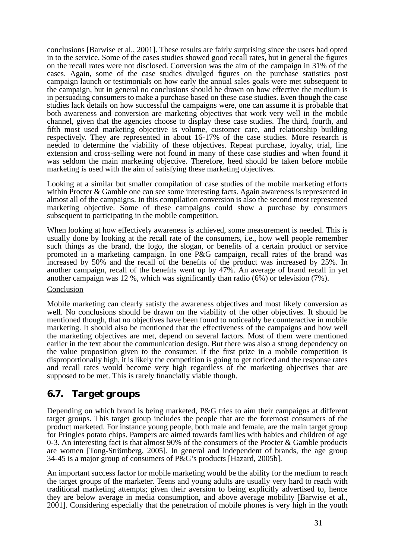conclusions [Barwise et al., 2001]. These results are fairly surprising since the users had opted in to the service. Some of the cases studies showed good recall rates, but in general the figures on the recall rates were not disclosed. Conversion was the aim of the campaign in 31% of the cases. Again, some of the case studies divulged figures on the purchase statistics post campaign launch or testimonials on how early the annual sales goals were met subsequent to the campaign, but in general no conclusions should be drawn on how effective the medium is in persuading consumers to make a purchase based on these case studies. Even though the case studies lack details on how successful the campaigns were, one can assume it is probable that both awareness and conversion are marketing objectives that work very well in the mobile channel, given that the agencies choose to display these case studies. The third, fourth, and fifth most used marketing objective is volume, customer care, and relationship building respectively. They are represented in about 16-17% of the case studies. More research is needed to determine the viability of these objectives. Repeat purchase, loyalty, trial, line extension and cross-selling were not found in many of these case studies and when found it was seldom the main marketing objective. Therefore, heed should be taken before mobile marketing is used with the aim of satisfying these marketing objectives.

Looking at a similar but smaller compilation of case studies of the mobile marketing efforts within Procter & Gamble one can see some interesting facts. Again awareness is represented in almost all of the campaigns. In this compilation conversion is also the second most represented marketing objective. Some of these campaigns could show a purchase by consumers subsequent to participating in the mobile competition.

When looking at how effectively awareness is achieved, some measurement is needed. This is usually done by looking at the recall rate of the consumers, i.e., how well people remember such things as the brand, the logo, the slogan, or benefits of a certain product or service promoted in a marketing campaign. In one P&G campaign, recall rates of the brand was increased by 50% and the recall of the benefits of the product was increased by 25%. In another campaign, recall of the benefits went up by 47%. An average of brand recall in yet another campaign was 12 %, which was significantly than radio (6%) or television (7%).

#### Conclusion

Mobile marketing can clearly satisfy the awareness objectives and most likely conversion as well. No conclusions should be drawn on the viability of the other objectives. It should be mentioned though, that no objectives have been found to noticeably be counteractive in mobile marketing. It should also be mentioned that the effectiveness of the campaigns and how well the marketing objectives are met, depend on several factors. Most of them were mentioned earlier in the text about the communication design. But there was also a strong dependency on the value proposition given to the consumer. If the first prize in a mobile competition is disproportionally high, it is likely the competition is going to get noticed and the response rates and recall rates would become very high regardless of the marketing objectives that are supposed to be met. This is rarely financially viable though.

### **6.7. Target groups**

Depending on which brand is being marketed, P&G tries to aim their campaigns at different target groups. This target group includes the people that are the foremost consumers of the product marketed. For instance young people, both male and female, are the main target group for Pringles potato chips. Pampers are aimed towards families with babies and children of age 0-3. An interesting fact is that almost 90% of the consumers of the Procter & Gamble products are women [Tong-Strömberg, 2005]. In general and independent of brands, the age group 34-45 is a major group of consumers of P&G's products [Hazard, 2005b].

An important success factor for mobile marketing would be the ability for the medium to reach the target groups of the marketer. Teens and young adults are usually very hard to reach with traditional marketing attempts; given their aversion to being explicitly advertised to, hence they are below average in media consumption, and above average mobility [Barwise et al., 2001]. Considering especially that the penetration of mobile phones is very high in the youth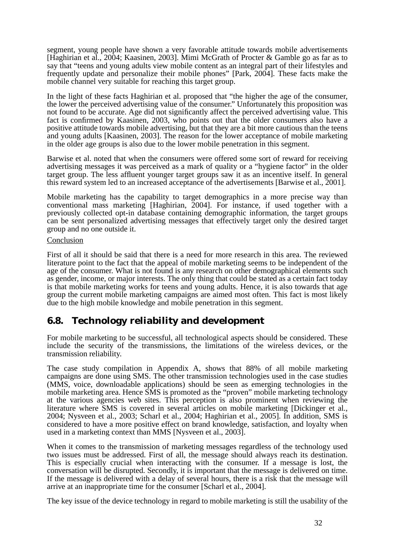segment, young people have shown a very favorable attitude towards mobile advertisements [Haghirian et al., 2004; Kaasinen, 2003]. Mimi McGrath of Procter & Gamble go as far as to say that "teens and young adults view mobile content as an integral part of their lifestyles and frequently update and personalize their mobile phones" [Park, 2004]. These facts make the mobile channel very suitable for reaching this target group.

In the light of these facts Haghirian et al. proposed that "the higher the age of the consumer, the lower the perceived advertising value of the consumer." Unfortunately this proposition was not found to be accurate. Age did not significantly affect the perceived advertising value. This fact is confirmed by Kaasinen, 2003, who points out that the older consumers also have a positive attitude towards mobile advertising, but that they are a bit more cautious than the teens and young adults [Kaasinen, 2003]. The reason for the lower acceptance of mobile marketing in the older age groups is also due to the lower mobile penetration in this segment.

Barwise et al. noted that when the consumers were offered some sort of reward for receiving advertising messages it was perceived as a mark of quality or a "hygiene factor" in the older target group. The less affluent younger target groups saw it as an incentive itself. In general this reward system led to an increased acceptance of the advertisements [Barwise et al., 2001].

Mobile marketing has the capability to target demographics in a more precise way than conventional mass marketing [Haghirian, 2004]. For instance, if used together with a previously collected opt-in database containing demographic information, the target groups can be sent personalized advertising messages that effectively target only the desired target group and no one outside it.

#### Conclusion

First of all it should be said that there is a need for more research in this area. The reviewed literature point to the fact that the appeal of mobile marketing seems to be independent of the age of the consumer. What is not found is any research on other demographical elements such as gender, income, or major interests. The only thing that could be stated as a certain fact today is that mobile marketing works for teens and young adults. Hence, it is also towards that age group the current mobile marketing campaigns are aimed most often. This fact is most likely due to the high mobile knowledge and mobile penetration in this segment.

### **6.8. Technology reliability and development**

For mobile marketing to be successful, all technological aspects should be considered. These include the security of the transmissions, the limitations of the wireless devices, or the transmission reliability.

The case study compilation in Appendix A, shows that 88% of all mobile marketing campaigns are done using SMS. The other transmission technologies used in the case studies (MMS, voice, downloadable applications) should be seen as emerging technologies in the mobile marketing area. Hence SMS is promoted as the "proven" mobile marketing technology at the various agencies web sites. This perception is also prominent when reviewing the literature where SMS is covered in several articles on mobile marketing [Dickinger et al., 2004; Nysveen et al., 2003; Scharl et al., 2004; Haghirian et al., 2005]. In addition, SMS is considered to have a more positive effect on brand knowledge, satisfaction, and loyalty when used in a marketing context than MMS [Nysveen et al., 2003].

When it comes to the transmission of marketing messages regardless of the technology used two issues must be addressed. First of all, the message should always reach its destination. This is especially crucial when interacting with the consumer. If a message is lost, the conversation will be disrupted. Secondly, it is important that the message is delivered on time. If the message is delivered with a delay of several hours, there is a risk that the message will arrive at an inappropriate time for the consumer [Scharl et al., 2004].

The key issue of the device technology in regard to mobile marketing is still the usability of the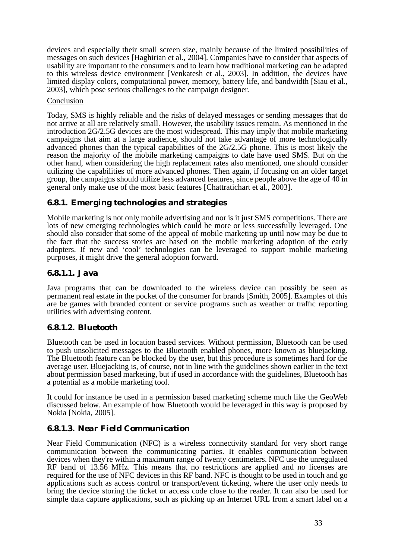devices and especially their small screen size, mainly because of the limited possibilities of messages on such devices [Haghirian et al., 2004]. Companies have to consider that aspects of usability are important to the consumers and to learn how traditional marketing can be adapted to this wireless device environment [Venkatesh et al., 2003]. In addition, the devices have limited display colors, computational power, memory, battery life, and bandwidth [Siau et al., 2003], which pose serious challenges to the campaign designer.

#### Conclusion

Today, SMS is highly reliable and the risks of delayed messages or sending messages that do not arrive at all are relatively small. However, the usability issues remain. As mentioned in the introduction 2G/2.5G devices are the most widespread. This may imply that mobile marketing campaigns that aim at a large audience, should not take advantage of more technologically advanced phones than the typical capabilities of the 2G/2.5G phone. This is most likely the reason the majority of the mobile marketing campaigns to date have used SMS. But on the other hand, when considering the high replacement rates also mentioned, one should consider utilizing the capabilities of more advanced phones. Then again, if focusing on an older target group, the campaigns should utilize less advanced features, since people above the age of 40 in general only make use of the most basic features [Chattratichart et al., 2003].

#### **6.8.1. Emerging technologies and strategies**

Mobile marketing is not only mobile advertising and nor is it just SMS competitions. There are lots of new emerging technologies which could be more or less successfully leveraged. One should also consider that some of the appeal of mobile marketing up until now may be due to the fact that the success stories are based on the mobile marketing adoption of the early adopters. If new and 'cool' technologies can be leveraged to support mobile marketing purposes, it might drive the general adoption forward.

#### *6.8.1.1. Java*

Java programs that can be downloaded to the wireless device can possibly be seen as permanent real estate in the pocket of the consumer for brands [Smith, 2005]. Examples of this are be games with branded content or service programs such as weather or traffic reporting utilities with advertising content.

#### *6.8.1.2. Bluetooth*

Bluetooth can be used in location based services. Without permission, Bluetooth can be used to push unsolicited messages to the Bluetooth enabled phones, more known as bluejacking. The Bluetooth feature can be blocked by the user, but this procedure is sometimes hard for the average user. Bluejacking is, of course, not in line with the guidelines shown earlier in the text about permission based marketing, but if used in accordance with the guidelines, Bluetooth has a potential as a mobile marketing tool.

It could for instance be used in a permission based marketing scheme much like the GeoWeb discussed below. An example of how Bluetooth would be leveraged in this way is proposed by Nokia [Nokia, 2005].

#### *6.8.1.3. Near Field Communication*

Near Field Communication (NFC) is a wireless connectivity standard for very short range communication between the communicating parties. It enables communication between devices when they're within a maximum range of twenty centimeters. NFC use the unregulated RF band of 13.56 MHz. This means that no restrictions are applied and no licenses are required for the use of NFC devices in this RF band. NFC is thought to be used in touch and go applications such as access control or transport/event ticketing, where the user only needs to bring the device storing the ticket or access code close to the reader. It can also be used for simple data capture applications, such as picking up an Internet URL from a smart label on a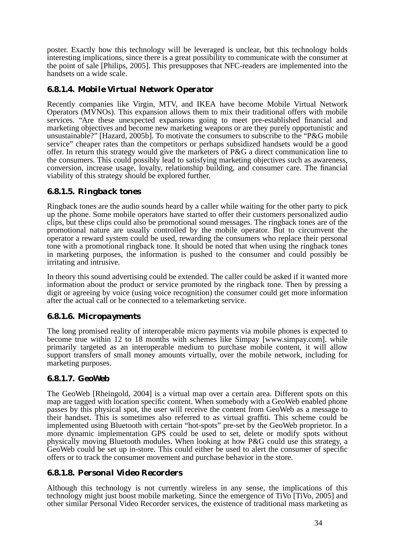poster. Exactly how this technology will be leveraged is unclear, but this technology holds interesting implications, since there is a great possibility to communicate with the consumer at the point of sale [Philips, 2005]. This presupposes that NFC-readers are implemented into the handsets on a wide scale.

#### *6.8.1.4. Mobile Virtual Network Operator*

Recently companies like Virgin, MTV, and IKEA have become Mobile Virtual Network Operators (MVNOs). This expansion allows them to mix their traditional offers with mobile services. "Are these unexpected expansions going to meet pre-established financial and marketing objectives and become new marketing weapons or are they purely opportunistic and unsustainable?" [Hazard, 2005b]. To motivate the consumers to subscribe to the "P&G mobile service" cheaper rates than the competitors or perhaps subsidized handsets would be a good offer. In return this strategy would give the marketers of P&G a direct communication line to the consumers. This could possibly lead to satisfying marketing objectives such as awareness, conversion, increase usage, loyalty, relationship building, and consumer care. The financial viability of this strategy should be explored further.

#### *6.8.1.5. Ringback tones*

Ringback tones are the audio sounds heard by a caller while waiting for the other party to pick up the phone. Some mobile operators have started to offer their customers personalized audio clips, but these clips could also be promotional sound messages. The ringback tones are of the promotional nature are usually controlled by the mobile operator. But to circumvent the operator a reward system could be used, rewarding the consumers who replace their personal tone with a promotional ringback tone. It should be noted that when using the ringback tones in marketing purposes, the information is pushed to the consumer and could possibly be irritating and intrusive.

In theory this sound advertising could be extended. The caller could be asked if it wanted more information about the product or service promoted by the ringback tone. Then by pressing a digit or agreeing by voice (using voice recognition) the consumer could get more information after the actual call or be connected to a telemarketing service.

#### *6.8.1.6. Micropayments*

The long promised reality of interoperable micro payments via mobile phones is expected to become true within 12 to 18 months with schemes like Simpay [www.simpay.com]. while primarily targeted as an interoperable medium to purchase mobile content, it will allow support transfers of small money amounts virtually, over the mobile network, including for marketing purposes.

#### *6.8.1.7. GeoWeb*

The GeoWeb [Rheingold, 2004] is a virtual map over a certain area. Different spots on this map are tagged with location specific content. When somebody with a GeoWeb enabled phone passes by this physical spot, the user will receive the content from GeoWeb as a message to their handset. This is sometimes also referred to as virtual graffiti. This scheme could be implemented using Bluetooth with certain "hot-spots" pre-set by the GeoWeb proprietor. In a more dynamic implementation GPS could be used to set, delete or modify spots without physically moving Bluetooth modules. When looking at how P&G could use this strategy, a GeoWeb could be set up in-store. This could either be used to alert the consumer of specific offers or to track the consumer movement and purchase behavior in the store.

#### *6.8.1.8. Personal Video Recorders*

Although this technology is not currently wireless in any sense, the implications of this technology might just boost mobile marketing. Since the emergence of TiVo [TiVo, 2005] and other similar Personal Video Recorder services, the existence of traditional mass marketing as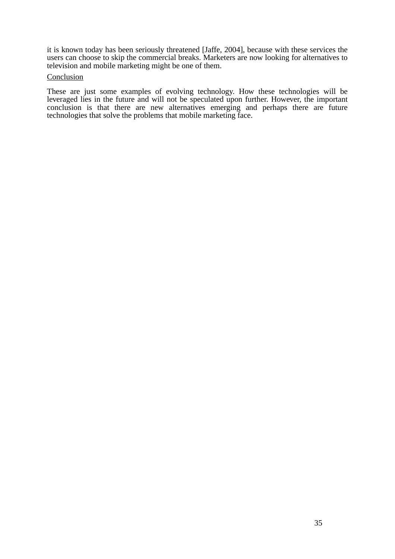it is known today has been seriously threatened [Jaffe, 2004], because with these services the users can choose to skip the commercial breaks. Marketers are now looking for alternatives to television and mobile marketing might be one of them.

#### **Conclusion**

These are just some examples of evolving technology. How these technologies will be leveraged lies in the future and will not be speculated upon further. However, the important conclusion is that there are new alternatives emerging and perhaps there are future technologies that solve the problems that mobile marketing face.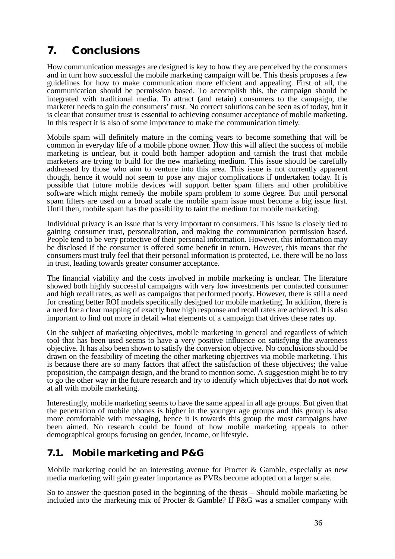## **7. Conclusions**

How communication messages are designed is key to how they are perceived by the consumers and in turn how successful the mobile marketing campaign will be. This thesis proposes a few guidelines for how to make communication more efficient and appealing. First of all, the communication should be permission based. To accomplish this, the campaign should be integrated with traditional media. To attract (and retain) consumers to the campaign, the marketer needs to gain the consumers' trust. No correct solutions can be seen as of today, but it is clear that consumer trust is essential to achieving consumer acceptance of mobile marketing. In this respect it is also of some importance to make the communication timely.

Mobile spam will definitely mature in the coming years to become something that will be common in everyday life of a mobile phone owner. How this will affect the success of mobile marketing is unclear, but it could both hamper adoption and tarnish the trust that mobile marketers are trying to build for the new marketing medium. This issue should be carefully addressed by those who aim to venture into this area. This issue is not currently apparent though, hence it would not seem to pose any major complications if undertaken today. It is possible that future mobile devices will support better spam filters and other prohibitive software which might remedy the mobile spam problem to some degree. But until personal spam filters are used on a broad scale the mobile spam issue must become a big issue first. Until then, mobile spam has the possibility to taint the medium for mobile marketing.

Individual privacy is an issue that is very important to consumers. This issue is closely tied to gaining consumer trust, personalization, and making the communication permission based. People tend to be very protective of their personal information. However, this information may be disclosed if the consumer is offered some benefit in return. However, this means that the consumers must truly feel that their personal information is protected, i.e. there will be no loss in trust, leading towards greater consumer acceptance.

The financial viability and the costs involved in mobile marketing is unclear. The literature showed both highly successful campaigns with very low investments per contacted consumer and high recall rates, as well as campaigns that performed poorly. However, there is still a need for creating better ROI models specifically designed for mobile marketing. In addition, there is a need for a clear mapping of exactly **how** high response and recall rates are achieved. It is also important to find out more in detail what elements of a campaign that drives these rates up.

On the subject of marketing objectives, mobile marketing in general and regardless of which tool that has been used seems to have a very positive influence on satisfying the awareness objective. It has also been shown to satisfy the conversion objective. No conclusions should be drawn on the feasibility of meeting the other marketing objectives via mobile marketing. This is because there are so many factors that affect the satisfaction of these objectives; the value proposition, the campaign design, and the brand to mention some. A suggestion might be to try to go the other way in the future research and try to identify which objectives that do **not** work at all with mobile marketing.

Interestingly, mobile marketing seems to have the same appeal in all age groups. But given that the penetration of mobile phones is higher in the younger age groups and this group is also more comfortable with messaging, hence it is towards this group the most campaigns have been aimed. No research could be found of how mobile marketing appeals to other demographical groups focusing on gender, income, or lifestyle.

## **7.1. Mobile marketing and P&G**

Mobile marketing could be an interesting avenue for Procter & Gamble, especially as new media marketing will gain greater importance as PVRs become adopted on a larger scale.

So to answer the question posed in the beginning of the thesis – Should mobile marketing be included into the marketing mix of Procter & Gamble? If P&G was a smaller company with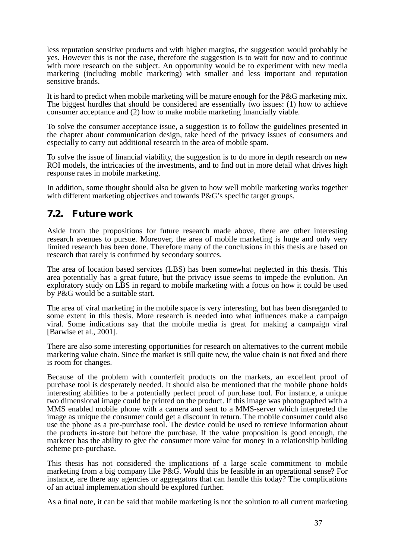less reputation sensitive products and with higher margins, the suggestion would probably be yes. However this is not the case, therefore the suggestion is to wait for now and to continue with more research on the subject. An opportunity would be to experiment with new media marketing (including mobile marketing) with smaller and less important and reputation sensitive brands.

It is hard to predict when mobile marketing will be mature enough for the P&G marketing mix. The biggest hurdles that should be considered are essentially two issues: (1) how to achieve consumer acceptance and (2) how to make mobile marketing financially viable.

To solve the consumer acceptance issue, a suggestion is to follow the guidelines presented in the chapter about communication design, take heed of the privacy issues of consumers and especially to carry out additional research in the area of mobile spam.

To solve the issue of financial viability, the suggestion is to do more in depth research on new ROI models, the intricacies of the investments, and to find out in more detail what drives high response rates in mobile marketing.

In addition, some thought should also be given to how well mobile marketing works together with different marketing objectives and towards P&G's specific target groups.

## **7.2. Future work**

Aside from the propositions for future research made above, there are other interesting research avenues to pursue. Moreover, the area of mobile marketing is huge and only very limited research has been done. Therefore many of the conclusions in this thesis are based on research that rarely is confirmed by secondary sources.

The area of location based services (LBS) has been somewhat neglected in this thesis. This area potentially has a great future, but the privacy issue seems to impede the evolution. An exploratory study on LBS in regard to mobile marketing with a focus on how it could be used by P&G would be a suitable start.

The area of viral marketing in the mobile space is very interesting, but has been disregarded to some extent in this thesis. More research is needed into what influences make a campaign viral. Some indications say that the mobile media is great for making a campaign viral [Barwise et al., 2001].

There are also some interesting opportunities for research on alternatives to the current mobile marketing value chain. Since the market is still quite new, the value chain is not fixed and there is room for changes.

Because of the problem with counterfeit products on the markets, an excellent proof of purchase tool is desperately needed. It should also be mentioned that the mobile phone holds interesting abilities to be a potentially perfect proof of purchase tool. For instance, a unique two dimensional image could be printed on the product. If this image was photographed with a MMS enabled mobile phone with a camera and sent to a MMS-server which interpreted the image as unique the consumer could get a discount in return. The mobile consumer could also use the phone as a pre-purchase tool. The device could be used to retrieve information about the products in-store but before the purchase. If the value proposition is good enough, the marketer has the ability to give the consumer more value for money in a relationship building scheme pre-purchase.

This thesis has not considered the implications of a large scale commitment to mobile marketing from a big company like P&G. Would this be feasible in an operational sense? For instance, are there any agencies or aggregators that can handle this today? The complications of an actual implementation should be explored further.

As a final note, it can be said that mobile marketing is not the solution to all current marketing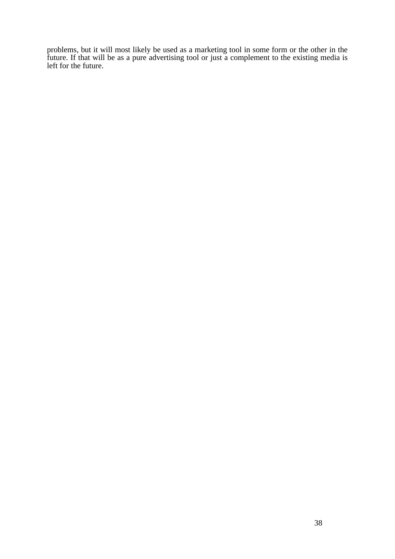problems, but it will most likely be used as a marketing tool in some form or the other in the future. If that will be as a pure advertising tool or just a complement to the existing media is left for the future.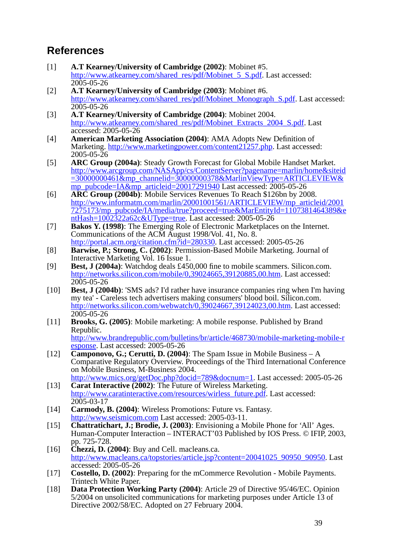## **References**

- [1] **A.T Kearney/University of Cambridge (2002)**: Mobinet #5. http://www.atkearney.com/shared\_res/pdf/Mobinet\_5\_S.pdf. Last accessed: 2005-05-26
- [2] **A.T Kearney/University of Cambridge (2003)**: Mobinet #6. http://www.atkearney.com/shared\_res/pdf/Mobinet\_Monograph\_S.pdf. Last accessed: 2005-05-26
- [3] **A.T Kearney/University of Cambridge (2004)**: Mobinet 2004. http://www.atkearney.com/shared\_res/pdf/Mobinet\_Extracts\_2004\_S.pdf. Last accessed: 2005-05-26
- [4] **American Marketing Association (2004)**: AMA Adopts New Definition of Marketing. http://www.marketingpower.com/content21257.php. Last accessed: 2005-05-26
- [5] **ARC Group (2004a)**: Steady Growth Forecast for Global Mobile Handset Market. http://www.arcgroup.com/NASApp/cs/ContentServer?pagename=marlin/home&siteid =30000000461&mp\_channelid=30000000378&MarlinViewType=ARTICLEVIEW& mp\_pubcode=IA&mp\_articleid=20017291940 Last accessed: 2005-05-26
- [6] **ARC Group (2004b)**: Mobile Services Revenues To Reach \$126bn by 2008. http://www.informatm.com/marlin/20001001561/ARTICLEVIEW/mp\_articleid/2001 7275173/mp\_pubcode/IA/media/true?proceed=true&MarEntityId=1107381464389&e ntHash= $10\overline{0}2\overline{3}22a62c\&U$ Type=true. Last accessed: 2005-05-26
- [7] **Bakos Y. (1998)**: The Emerging Role of Electronic Marketplaces on the Internet. Communications of the ACM August 1998/Vol. 41, No. 8.
- http://portal.acm.org/citation.cfm?id=280330. Last accessed: 2005-05-26 [8] **Barwise, P.; Strong, C. (2002)**: Permission-Based Mobile Marketing. Journal of Interactive Marketing Vol. 16 Issue 1.
- [9] **Best, J (2004a)**: Watchdog deals £450,000 fine to mobile scammers. Silicon.com. http://networks.silicon.com/mobile/0,39024665,39120885,00.htm. Last accessed: 2005-05-26
- [10] **Best, J (2004b)**: 'SMS ads? I'd rather have insurance companies ring when I'm having my tea' - Careless tech advertisers making consumers' blood boil. Silicon.com. http://networks.silicon.com/webwatch/0,39024667,39124023,00.htm. Last accessed: 2005-05-26
- [11] **Brooks, G. (2005)**: Mobile marketing: A mobile response. Published by Brand Republic. http://www.brandrepublic.com/bulletins/br/article/468730/mobile-marketing-mobile-r esponse. Last accessed: 2005-05-26
- [12] **Camponovo, G.; Cerutti, D. (2004)**: The Spam Issue in Mobile Business A Comparative Regulatory Overview. Proceedings of the Third International Conference on Mobile Business, M-Business 2004.

http://www.mics.org/getDoc.php?docid=789&docnum=1. Last accessed: 2005-05-26 [13] **Carat Interactive (2002)**: The Future of Wireless Marketing.

- http://www.caratinteractive.com/resources/wirless\_future.pdf. Last accessed: 2005-03-17
- [14] **Carmody, B. (2004)**: Wireless Promotions: Future vs. Fantasy. http://www.seismicom.com Last accessed: 2005-03-11.
- [15] **Chattratichart, J.; Brodie, J. (2003)**: Envisioning a Mobile Phone for 'All' Ages. Human-Computer Interaction – INTERACT'03 Published by IOS Press. © IFIP, 2003, pp. 725-728.
- [16] **Chezzi, D. (2004)**: Buy and Cell. macleans.ca. http://www.macleans.ca/topstories/article.jsp?content=20041025\_90950\_90950. Last accessed: 2005-05-26
- [17] **Costello, D. (2002)**: Preparing for the mCommerce Revolution Mobile Payments. Trintech White Paper.
- [18] **Data Protection Working Party (2004)**: Article 29 of Directive 95/46/EC. Opinion 5/2004 on unsolicited communications for marketing purposes under Article 13 of Directive 2002/58/EC. Adopted on 27 February 2004.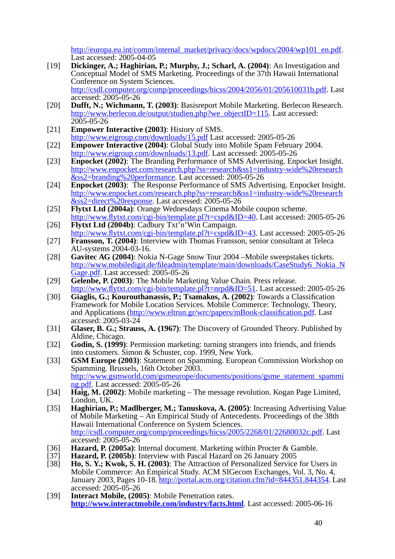http://europa.eu.int/comm/internal\_market/privacy/docs/wpdocs/2004/wp101\_en.pdf. Last accessed: 2005-04-05

- [19] **Dickinger, A.; Haghirian, P.; Murphy, J.; Scharl, A. (2004)**: An Investigation and Conceptual Model of SMS Marketing. Proceedings of the 37th Hawaii International Conference on System Sciences. http://csdl.computer.org/comp/proceedings/hicss/2004/2056/01/205610031b.pdf. Last accessed: 2005-05-26
- [20] **Dufft, N.; Wichmann, T. (2003)**: Basisreport Mobile Marketing. Berlecon Research. http://www.berlecon.de/output/studien.php?we\_objectID=115. Last accessed: 2005-05-26
- [21] **Empower Interactive (2003)**: History of SMS. http://www.eigroup.com/downloads/15.pdf Last accessed: 2005-05-26
- [22] **Empower Interactive (2004)**: Global Study into Mobile Spam February 2004. http://www.eigroup.com/downloads/13.pdf. Last accessed: 2005-05-26
- [23] **Enpocket (2002)**: The Branding Performance of SMS Advertising. Enpocket Insight. http://www.enpocket.com/research.php?ss=research&ss1=industry-wide%20research &ss2=branding%20performance. Last accessed: 2005-05-26
- [24] **Enpocket (2003)**: The Response Performance of SMS Advertising. Enpocket Insight. http://www.enpocket.com/research.php?ss=research&ss1=industry-wide%20research &ss2=direct%20response. Last accessed: 2005-05-26
- [25] **Flytxt Ltd (2004a)**: Orange Wednesdays Cinema Mobile coupon scheme. http://www.flytxt.com/cgi-bin/template.pl?t=cspd&ID=40. Last accessed: 2005-05-26
- [26] **Flytxt Ltd (2004b)**: Cadbury Txt'n'Win Campaign. http://www.flytxt.com/cgi-bin/template.pl?t=cspd&ID=43. Last accessed: 2005-05-26
- [27] **Fransson, T. (2004)**: Interview with Thomas Fransson, senior consultant at Teleca AU-systems 2004-03-16.
- [28] **Gavitec AG (2004)**: Nokia N-Gage Snow Tour 2004 –Mobile sweepstakes tickets. http://www.mobiledigit.de/fileadmin/template/main/downloads/CaseStudy6\_Nokia\_N Gage.pdf. Last accessed: 2005-05-26
- [29] **Gelenbe, P. (2003)**: The Mobile Marketing Value Chain. Press release. http://www.flytxt.com/cgi-bin/template.pl?t=nrpd&ID=51. Last accessed: 2005-05-26
- [30] **Giaglis, G.; Kourouthanassis, P.; Tsamakos, A. (2002)**: Towards a Classification Framework for Mobile Location Services. Mobile Commerce: Technology, Theory, and Applications (http://www.eltrun.gr/wrc/papers/mBook-classification.pdf. Last accessed: 2005-03-24
- [31] **Glaser, B. G.; Strauss, A. (1967)**: The Discovery of Grounded Theory. Published by Aldine, Chicago.
- [32] **Godin, S. (1999)**: Permission marketing: turning strangers into friends, and friends into customers. Simon & Schuster, cop. 1999, New York.
- [33] **GSM Europe (2003)**: Statement on Spamming. European Commission Workshop on Spamming. Brussels, 16th October 2003. http://www.gsmworld.com/gsmeurope/documents/positions/gsme\_statement\_spammi ng.pdf. Last accessed: 2005-05-26
- [34] **Haig, M. (2002)**: Mobile marketing The message revolution. Kogan Page Limited, London, UK.
- [35] **Haghirian, P.; Madlberger, M.; Tanuskova, A. (2005)**: Increasing Advertising Value of Mobile Marketing – An Empirical Study of Antecedents. Proceedings of the 38th Hawaii International Conference on System Sciences. http://csdl.computer.org/comp/proceedings/hicss/2005/2268/01/22680032c.pdf. Last accessed: 2005-05-26
- [36] **Hazard, P. (2005a)**: Internal document. Marketing within Procter & Gamble.<br>[37] **Hazard, P. (2005b)**: Interview with Pascal Hazard on 26 January 2005
- Hazard, P. (2005b): Interview with Pascal Hazard on 26 January 2005
- [38] **Ho, S. Y.; Kwok, S. H. (2003)**: The Attraction of Personalized Service for Users in Mobile Commerce: An Empirical Study. ACM SIGecom Exchanges, Vol. 3, No. 4, January 2003, Pages 10-18. http://portal.acm.org/citation.cfm?id=844351.844354. Last accessed: 2005-05-26
- [39] **Interact Mobile, (2005)**: Mobile Penetration rates. **http://www.interactmobile.com/industry/facts.html**. Last accessed: 2005-06-16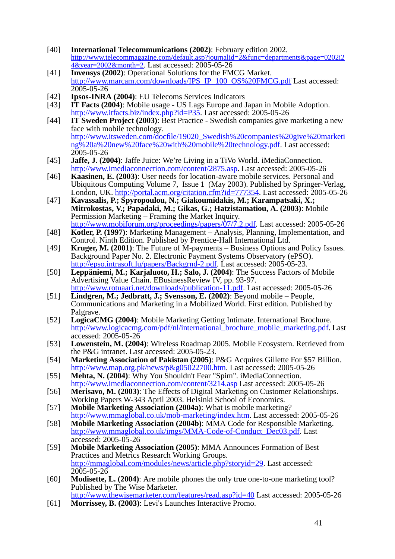- [40] **International Telecommunications (2002)**: February edition 2002. http://www.telecommagazine.com/default.asp?journalid=2&func=departments&page=0202i2 4&year=2002&month=2. Last accessed: 2005-05-26
- [41] **Invensys (2002)**: Operational Solutions for the FMCG Market. http://www.marcam.com/downloads/IPS\_IP\_100\_OS%20FMCG.pdf Last accessed: 2005-05-26
- 
- [42] **Ipsos-INRA (2004)**: EU Telecoms Services Indicators<br>[43] **IT Facts (2004)**: Mobile usage US Lags Europe and J **IT Facts (2004)**: Mobile usage - US Lags Europe and Japan in Mobile Adoption. http://www.itfacts.biz/index.php?id=P35. Last accessed: 2005-05-26
- [44] **IT Sweden Project (2003)**: Best Practice Swedish companies give marketing a new face with mobile technology. http://www.itsweden.com/docfile/19020\_Swedish%20companies%20give%20marketi ng%20a%20new%20face%20with%20mobile%20technology.pdf. Last accessed: 2005-05-26
- [45] **Jaffe, J. (2004)**: Jaffe Juice: We're Living in a TiVo World. iMediaConnection. http://www.imediaconnection.com/content/2875.asp. Last accessed: 2005-05-26
- [46] **Kaasinen, E. (2003)**: User needs for location-aware mobile services. Personal and Ubiquitous Computing Volume 7, Issue 1 (May 2003). Published by Springer-Verlag, London, UK. http://portal.acm.org/citation.cfm?id=777354. Last accessed: 2005-05-26
- [47] **Kavassalis, P.; Spyropoulou, N.; Giakoumidakis, M.; Karampatsaki, X.; Mitrokostas, V.; Papadaki, M.; Gikas, G.; Hatzistamatiou, A. (2003)**: Mobile Permission Marketing – Framing the Market Inquiry. http://www.mobiforum.org/proceedings/papers/07/7.2.pdf. Last accessed: 2005-05-26
- [48] **Kotler, P. (1997)**: Marketing Management Analysis, Planning, Implementation, and Control. Ninth Edition. Published by Prentice-Hall International Ltd.
- [49] **Kruger, M. (2001)**: The Future of M-payments Business Options and Policy Issues. Background Paper No. 2. Electronic Payment Systems Observatory (ePSO). http://epso.intrasoft.lu/papers/Backgrnd-2.pdf. Last accessed: 2005-05-23.
- [50] **Leppäniemi, M.; Karjaluoto, H.; Salo, J. (2004)**: The Success Factors of Mobile Advertising Value Chain. EBusinessReview IV, pp. 93-97.
- http://www.rotuaari.net/downloads/publication-11.pdf. Last accessed: 2005-05-26 [51] **Lindgren, M.; Jedbratt, J.; Svensson, E. (2002)**: Beyond mobile – People, Communications and Marketing in a Mobilized World. First edition. Published by
- Palgrave. [52] **LogicaCMG (2004)**: Mobile Marketing Getting Intimate. International Brochure. http://www.logicacmg.com/pdf/nl/international\_brochure\_mobile\_marketing.pdf. Last accessed: 2005-05-26
- [53] **Lowenstein, M. (2004)**: Wireless Roadmap 2005. Mobile Ecosystem. Retrieved from the P&G intranet. Last accessed: 2005-05-23.
- [54] **Marketing Association of Pakistan (2005)**: P&G Acquires Gillette For \$57 Billion. http://www.map.org.pk/news/p&g05022700.htm. Last accessed: 2005-05-26
- [55] **Mehta, N. (2004)**: Why You Shouldn't Fear "Spim". iMediaConnection. http://www.imediaconnection.com/content/3214.asp Last accessed: 2005-05-26
- [56] **Merisavo, M. (2003)**: The Effects of Digital Marketing on Customer Relationships. Working Papers W-343 April 2003. Helsinki School of Economics.
- [57] **Mobile Marketing Association (2004a)**: What is mobile marketing? http://www.mmaglobal.co.uk/mob-marketing/index.htm. Last accessed: 2005-05-26
- [58] **Mobile Marketing Association (2004b)**: MMA Code for Responsible Marketing. http://www.mmaglobal.co.uk/imgs/MMA-Code-of-Conduct\_Dec03.pdf. Last accessed: 2005-05-26
- [59] **Mobile Marketing Association (2005)**: MMA Announces Formation of Best Practices and Metrics Research Working Groups. http://mmaglobal.com/modules/news/article.php?storyid=29. Last accessed: 2005-05-26
- [60] **Modisette, L. (2004)**: Are mobile phones the only true one-to-one marketing tool? Published by The Wise Marketer.
- http://www.thewisemarketer.com/features/read.asp?id=40 Last accessed: 2005-05-26 [61] **Morrissey, B. (2003)**: Levi's Launches Interactive Promo.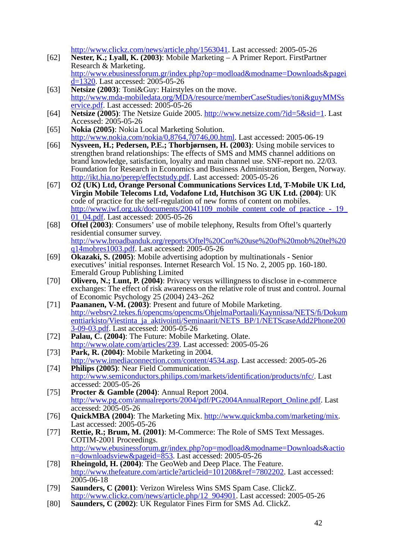http://www.clickz.com/news/article.php/1563041. Last accessed: 2005-05-26

- [62] **Nester, K.; Lyall, K. (2003)**: Mobile Marketing A Primer Report. FirstPartner Research & Marketing. http://www.ebusinessforum.gr/index.php?op=modload&modname=Downloads&pagei d=1320. Last accessed: 2005-05-26
- [63] **Netsize (2003)**: Toni&Guy: Hairstyles on the move. http://www.mda-mobiledata.org/MDA/resource/memberCaseStudies/toni&guyMMSs ervice.pdf. Last accessed: 2005-05-26
- [64] **Netsize (2005)**: The Netsize Guide 2005. http://www.netsize.com/?id=5&sid=1. Last Accessed: 2005-05-26
- [65] **Nokia (2005)**: Nokia Local Marketing Solution. http://www.nokia.com/nokia/0,8764,70746,00.html. Last accessed: 2005-06-19
- [66] **Nysveen, H.; Pedersen, P.E.; Thorbjørnsen, H. (2003)**: Using mobile services to strengthen brand relationships: The effects of SMS and MMS channel additions on brand knowledge, satisfaction, loyalty and main channel use. SNF-report no. 22/03. Foundation for Research in Economics and Business Administration, Bergen, Norway. http://ikt.hia.no/perep/effectstudy.pdf. Last accessed: 2005-05-26
- [67] **O2 (UK) Ltd, Orange Personal Communications Services Ltd, T-Mobile UK Ltd, Virgin Mobile Telecoms Ltd, Vodafone Ltd, Hutchison 3G UK Ltd. (2004)**: UK code of practice for the self-regulation of new forms of content on mobiles. http://www.iwf.org.uk/documents/20041109\_mobile\_content\_code\_of\_practice\_-\_19\_ 01<sup>-</sup>04.pdf. Last accessed: 2005-05-26
- [68] **Oftel (2003)**: Consumers' use of mobile telephony, Results from Oftel's quarterly residential consumer survey. http://www.broadbanduk.org/reports/Oftel%20Con%20use%20of%20mob%20tel%20 q14mobres1003.pdf. Last accessed: 2005-05-26
- [69] **Okazaki, S. (2005)**: Mobile advertising adoption by multinationals Senior executives' initial responses. Internet Research Vol. 15 No. 2, 2005 pp. 160-180. Emerald Group Publishing Limited
- [70] **Olivero, N.; Lunt, P. (2004)**: Privacy versus willingness to disclose in e-commerce exchanges: The effect of risk awareness on the relative role of trust and control. Journal of Economic Psychology 25 (2004) 243–262
- [71] **Paananen, V-M. (2003)**: Present and future of Mobile Marketing. http://websrv2.tekes.fi/opencms/opencms/OhjelmaPortaali/Kaynnissa/NETS/fi/Dokum enttiarkisto/Viestinta\_ja\_aktivointi/Seminaarit/NETS\_BP/1/NETScaseAdd2Phone200 3-09-03.pdf. Last accessed: 2005-05-26
- [72] **Palau, C. (2004)**: The Future: Mobile Marketing. Olate. http://www.olate.com/articles/239. Last accessed: 2005-05-26
- [73] **Park, R. (2004)**: Mobile Marketing in 2004. http://www.imediaconnection.com/content/4534.asp. Last accessed: 2005-05-26 [74] **Philips (2005)**: Near Field Communication.
- http://www.semiconductors.philips.com/markets/identification/products/nfc/. Last accessed: 2005-05-26
- [75] **Procter & Gamble (2004)**: Annual Report 2004. http://www.pg.com/annualreports/2004/pdf/PG2004AnnualReport\_Online.pdf. Last accessed: 2005-05-26
- [76] **QuickMBA (2004)**: The Marketing Mix. http://www.quickmba.com/marketing/mix. Last accessed: 2005-05-26
- [77] **Rettie, R.; Brum, M. (2001)**: M-Commerce: The Role of SMS Text Messages. COTIM-2001 Proceedings. http://www.ebusinessforum.gr/index.php?op=modload&modname=Downloads&actio n=downloadsview&pageid=853. Last accessed: 2005-05-26
- [78] **Rheingold, H. (2004)**: The GeoWeb and Deep Place. The Feature. http://www.thefeature.com/article?articleid=101208&ref=7802202. Last accessed:  $2005 - 06 - 18$
- [79] **Saunders, C (2001)**: Verizon Wireless Wins SMS Spam Case. ClickZ. http://www.clickz.com/news/article.php/12\_904901. Last accessed: 2005-05-26
- [80] **Saunders, C (2002)**: UK Regulator Fines Firm for SMS Ad. ClickZ.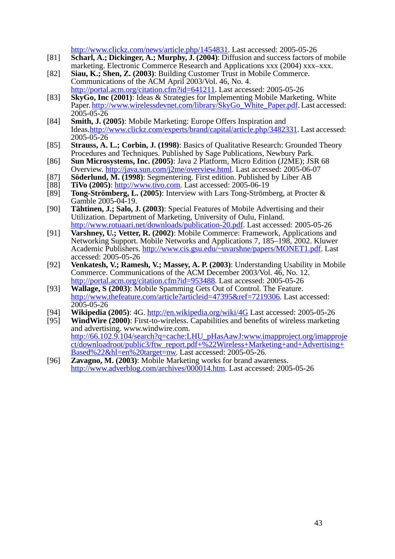http://www.clickz.com/news/article.php/1454831. Last accessed: 2005-05-26

- [81] **Scharl, A.; Dickinger, A.; Murphy, J. (2004)**: Diffusion and success factors of mobile marketing. Electronic Commerce Research and Applications xxx (2004) xxx–xxx.
- [82] **Siau, K.; Shen, Z. (2003)**: Building Customer Trust in Mobile Commerce. Communications of the ACM April 2003/Vol. 46, No. 4. http://portal.acm.org/citation.cfm?id=641211. Last accessed: 2005-05-26
- [83] **SkyGo, Inc (2001)**: Ideas & Strategies for Implementing Mobile Marketing. White Paper. http://www.wirelessdevnet.com/library/SkyGo\_White\_Paper.pdf. Last accessed: 2005-05-26
- [84] **Smith, J. (2005)**: Mobile Marketing: Europe Offers Inspiration and Ideas.http://www.clickz.com/experts/brand/capital/article.php/3482331. Last accessed:  $2005 - 05 - 26$
- [85] **Strauss, A. L.; Corbin, J. (1998)**: Basics of Qualitative Research: Grounded Theory Procedures and Techniques. Published by Sage Publications, Newbury Park.
- [86] **Sun Microsystems, Inc. (2005)**: Java 2 Platform, Micro Edition (J2ME); JSR 68 Overview. http://java.sun.com/j2me/overview.html. Last accessed: 2005-06-07
- [87] **Söderlund, M. (1998)**: Segmentering. First edition. Published by Liber AB [88] **TiVo (2005**): http://www.tivo.com. Last accessed: 2005-06-19
- [88] **TiVo (2005)**: <u>http://www.tivo.com</u>. Last accessed: 2005-06-19<br>[89] **Tong-Strömberg, L. (2005)**: Interview with Lars Tong-Ströml
- [89] **Tong-Strömberg, L. (2005)**: Interview with Lars Tong-Strömberg, at Procter & Gamble 2005-04-19.
- [90] **Tähtinen, J.; Salo, J. (2003)**: Special Features of Mobile Advertising and their Utilization. Department of Marketing, University of Oulu, Finland. http://www.rotuaari.net/downloads/publication-20.pdf. Last accessed: 2005-05-26
- [91] **Varshney, U.; Vetter, R. (2002)**: Mobile Commerce: Framework, Applications and Networking Support. Mobile Networks and Applications 7, 185–198, 2002. Kluwer Academic Publishers. http://www.cis.gsu.edu/~uvarshne/papers/MONET1.pdf. Last accessed: 2005-05-26
- [92] **Venkatesh, V.; Ramesh, V.; Massey, A. P. (2003)**: Understanding Usability in Mobile Commerce. Communications of the ACM December 2003/Vol. 46, No. 12. http://portal.acm.org/citation.cfm?id=953488. Last accessed: 2005-05-26
- [93] **Wallage, S (2003)**: Mobile Spamming Gets Out of Control. The Feature. http://www.thefeature.com/article?articleid=47395&ref=7219306. Last accessed: 2005-05-26
- [94] **Wikipedia (2005)**: 4G. http://en.wikipedia.org/wiki/4G Last accessed: 2005-05-26
- [95] **WindWire (2000)**: First-to-wireless. Capabilities and benefits of wireless marketing and advertising. www.windwire.com. http://66.102.9.104/search?q=cache:LHU\_pHasAawJ:www.imapproject.org/imapproje ct/downloadroot/public3/ftw\_report.pdf+%22Wireless+Marketing+and+Advertising+ Based%22&hl=en%20target=nw. Last accessed: 2005-05-26.
- [96] **Zavagno, M. (2003)**: Mobile Marketing works for brand awareness. http://www.adverblog.com/archives/000014.htm. Last accessed: 2005-05-26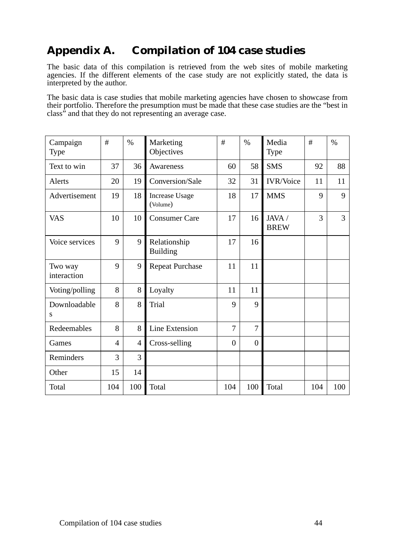# **Appendix A. Compilation of 104 case studies**

The basic data of this compilation is retrieved from the web sites of mobile marketing agencies. If the different elements of the case study are not explicitly stated, the data is interpreted by the author.

The basic data is case studies that mobile marketing agencies have chosen to showcase from their portfolio. Therefore the presumption must be made that these case studies are the "best in class" and that they do not representing an average case.

| Campaign<br>Type       | #              | $\%$           | Marketing<br>Objectives           | #              | $\%$           | Media<br>Type         | #   | $\%$ |
|------------------------|----------------|----------------|-----------------------------------|----------------|----------------|-----------------------|-----|------|
| Text to win            | 37             | 36             | Awareness                         | 60             | 58             | <b>SMS</b>            | 92  | 88   |
| Alerts                 | 20             | 19             | Conversion/Sale                   | 32             | 31             | <b>IVR/Voice</b>      | 11  | 11   |
| Advertisement          | 19             | 18             | <b>Increase Usage</b><br>(Volume) | 18             | 17             | <b>MMS</b>            | 9   | 9    |
| <b>VAS</b>             | 10             | 10             | <b>Consumer Care</b>              | 17             | 16             | JAVA /<br><b>BREW</b> | 3   | 3    |
| Voice services         | 9              | 9              | Relationship<br><b>Building</b>   | 17             | 16             |                       |     |      |
| Two way<br>interaction | 9              | 9              | <b>Repeat Purchase</b>            | 11             | 11             |                       |     |      |
| Voting/polling         | 8              | 8              | Loyalty                           | 11             | 11             |                       |     |      |
| Downloadable<br>S      | 8              | 8              | <b>Trial</b>                      | 9              | 9              |                       |     |      |
| Redeemables            | 8              | 8              | Line Extension                    | 7              | 7              |                       |     |      |
| Games                  | $\overline{4}$ | $\overline{4}$ | Cross-selling                     | $\overline{0}$ | $\overline{0}$ |                       |     |      |
| Reminders              | 3              | 3              |                                   |                |                |                       |     |      |
| Other                  | 15             | 14             |                                   |                |                |                       |     |      |
| Total                  | 104            | 100            | Total                             | 104            | 100            | Total                 | 104 | 100  |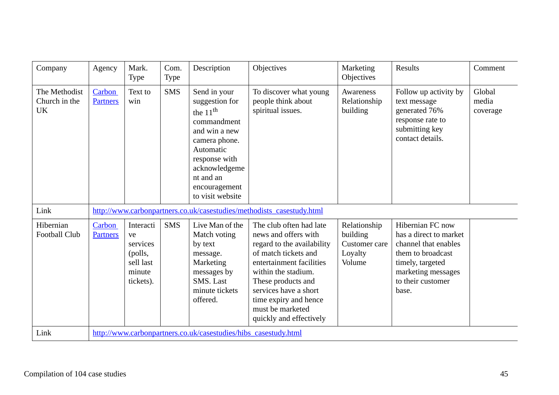| Company                                     | Agency                    | Mark.<br>Type                                                              | Com.<br>Type | Description                                                                                                                                                                                    | Objectives                                                                                                                                                                                                                                                                      | Marketing<br>Objectives                                        | Results                                                                                                                                                         | Comment                     |
|---------------------------------------------|---------------------------|----------------------------------------------------------------------------|--------------|------------------------------------------------------------------------------------------------------------------------------------------------------------------------------------------------|---------------------------------------------------------------------------------------------------------------------------------------------------------------------------------------------------------------------------------------------------------------------------------|----------------------------------------------------------------|-----------------------------------------------------------------------------------------------------------------------------------------------------------------|-----------------------------|
| The Methodist<br>Church in the<br><b>UK</b> | Carbon<br><b>Partners</b> | Text to<br>win                                                             | <b>SMS</b>   | Send in your<br>suggestion for<br>the $11th$<br>commandment<br>and win a new<br>camera phone.<br>Automatic<br>response with<br>acknowledgeme<br>nt and an<br>encouragement<br>to visit website | To discover what young<br>people think about<br>spiritual issues.                                                                                                                                                                                                               | Awareness<br>Relationship<br>building                          | Follow up activity by<br>text message<br>generated 76%<br>response rate to<br>submitting key<br>contact details.                                                | Global<br>media<br>coverage |
| Link                                        |                           |                                                                            |              |                                                                                                                                                                                                | http://www.carbonpartners.co.uk/casestudies/methodists_casestudy.html                                                                                                                                                                                                           |                                                                |                                                                                                                                                                 |                             |
| Hibernian<br>Football Club                  | Carbon<br><b>Partners</b> | Interacti<br>ve<br>services<br>(polls,<br>sell last<br>minute<br>tickets). | <b>SMS</b>   | Live Man of the<br>Match voting<br>by text<br>message.<br>Marketing<br>messages by<br>SMS. Last<br>minute tickets<br>offered.                                                                  | The club often had late<br>news and offers with<br>regard to the availability<br>of match tickets and<br>entertainment facilities<br>within the stadium.<br>These products and<br>services have a short<br>time expiry and hence<br>must be marketed<br>quickly and effectively | Relationship<br>building<br>Customer care<br>Loyalty<br>Volume | Hibernian FC now<br>has a direct to market<br>channel that enables<br>them to broadcast<br>timely, targeted<br>marketing messages<br>to their customer<br>base. |                             |
| Link                                        |                           |                                                                            |              | http://www.carbonpartners.co.uk/casestudies/hibs casestudy.html                                                                                                                                |                                                                                                                                                                                                                                                                                 |                                                                |                                                                                                                                                                 |                             |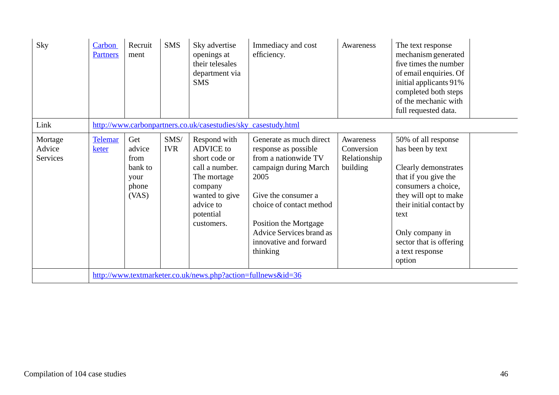| Sky                           | Carbon<br><b>Partners</b> | Recruit<br>ment                                            | <b>SMS</b>         | Sky advertise<br>openings at<br>their telesales<br>department via<br><b>SMS</b>                                                                         | Immediacy and cost<br>efficiency.                                                                                                                                                                                                                      | Awareness                                           | The text response<br>mechanism generated<br>five times the number<br>of email enquiries. Of<br>initial applicants 91%<br>completed both steps<br>of the mechanic with<br>full requested data.                                                          |
|-------------------------------|---------------------------|------------------------------------------------------------|--------------------|---------------------------------------------------------------------------------------------------------------------------------------------------------|--------------------------------------------------------------------------------------------------------------------------------------------------------------------------------------------------------------------------------------------------------|-----------------------------------------------------|--------------------------------------------------------------------------------------------------------------------------------------------------------------------------------------------------------------------------------------------------------|
| Link                          |                           |                                                            |                    | http://www.carbonpartners.co.uk/casestudies/sky_casestudy.html                                                                                          |                                                                                                                                                                                                                                                        |                                                     |                                                                                                                                                                                                                                                        |
| Mortage<br>Advice<br>Services | <b>Telemar</b><br>keter   | Get<br>advice<br>from<br>bank to<br>your<br>phone<br>(VAS) | SMS/<br><b>IVR</b> | Respond with<br><b>ADVICE</b> to<br>short code or<br>call a number.<br>The mortage<br>company<br>wanted to give<br>advice to<br>potential<br>customers. | Generate as much direct<br>response as possible<br>from a nationwide TV<br>campaign during March<br>2005<br>Give the consumer a<br>choice of contact method<br>Position the Mortgage<br>Advice Services brand as<br>innovative and forward<br>thinking | Awareness<br>Conversion<br>Relationship<br>building | 50% of all response<br>has been by text<br>Clearly demonstrates<br>that if you give the<br>consumers a choice,<br>they will opt to make<br>their initial contact by<br>text<br>Only company in<br>sector that is offering<br>a text response<br>option |
|                               |                           |                                                            |                    | http://www.textmarketer.co.uk/news.php?action=fullnews&id=36                                                                                            |                                                                                                                                                                                                                                                        |                                                     |                                                                                                                                                                                                                                                        |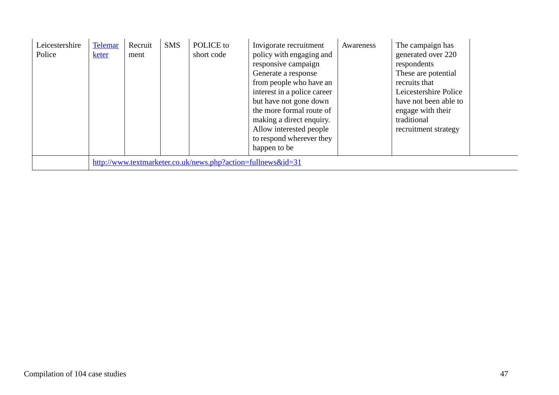| Leicestershire<br>Police | <b>Telemar</b><br>keter | Recruit<br>ment | <b>SMS</b> | POLICE to<br>short code                                      | Invigorate recruitment<br>policy with engaging and<br>responsive campaign<br>Generate a response<br>from people who have an<br>interest in a police career<br>but have not gone down<br>the more formal route of<br>making a direct enquiry.<br>Allow interested people<br>to respond wherever they<br>happen to be | Awareness | The campaign has<br>generated over 220<br>respondents<br>These are potential<br>recruits that<br>Leicestershire Police<br>have not been able to<br>engage with their<br>traditional<br>recruitment strategy |  |
|--------------------------|-------------------------|-----------------|------------|--------------------------------------------------------------|---------------------------------------------------------------------------------------------------------------------------------------------------------------------------------------------------------------------------------------------------------------------------------------------------------------------|-----------|-------------------------------------------------------------------------------------------------------------------------------------------------------------------------------------------------------------|--|
|                          |                         |                 |            | http://www.textmarketer.co.uk/news.php?action=fullnews&id=31 |                                                                                                                                                                                                                                                                                                                     |           |                                                                                                                                                                                                             |  |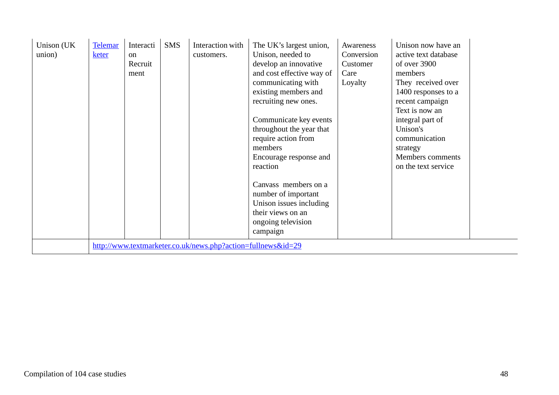| Unison (UK<br>union) | <b>Telemar</b><br>keter | Interacti<br><sub>on</sub><br>Recruit<br>ment | <b>SMS</b> | Interaction with<br>customers.                               | The UK's largest union,<br>Unison, needed to<br>develop an innovative<br>and cost effective way of<br>communicating with<br>existing members and<br>recruiting new ones.<br>Communicate key events<br>throughout the year that<br>require action from<br>members<br>Encourage response and<br>reaction<br>Canvass members on a<br>number of important<br>Unison issues including<br>their views on an<br>ongoing television<br>campaign | Awareness<br>Conversion<br>Customer<br>Care<br>Loyalty | Unison now have an<br>active text database<br>of over 3900<br>members<br>They received over<br>1400 responses to a<br>recent campaign<br>Text is now an<br>integral part of<br>Unison's<br>communication<br>strategy<br>Members comments<br>on the text service |  |
|----------------------|-------------------------|-----------------------------------------------|------------|--------------------------------------------------------------|-----------------------------------------------------------------------------------------------------------------------------------------------------------------------------------------------------------------------------------------------------------------------------------------------------------------------------------------------------------------------------------------------------------------------------------------|--------------------------------------------------------|-----------------------------------------------------------------------------------------------------------------------------------------------------------------------------------------------------------------------------------------------------------------|--|
|                      |                         |                                               |            | http://www.textmarketer.co.uk/news.php?action=fullnews&id=29 |                                                                                                                                                                                                                                                                                                                                                                                                                                         |                                                        |                                                                                                                                                                                                                                                                 |  |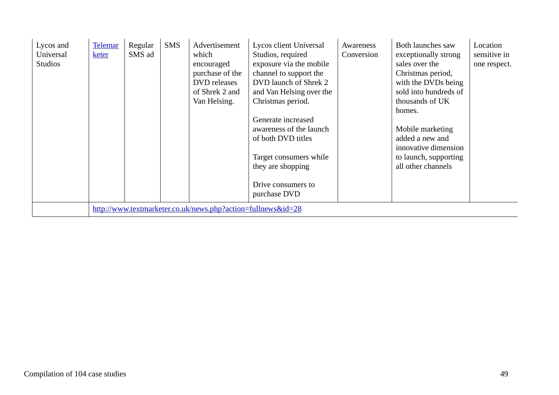| Lycos and<br>Universal<br><b>Studios</b> | <b>Telemar</b><br>keter | Regular<br>SMS ad | <b>SMS</b> | Advertisement<br>which<br>encouraged<br>purchase of the<br>DVD releases<br>of Shrek 2 and<br>Van Helsing. | Lycos client Universal<br>Studios, required<br>exposure via the mobile<br>channel to support the<br>DVD launch of Shrek 2<br>and Van Helsing over the<br>Christmas period.<br>Generate increased<br>awareness of the launch<br>of both DVD titles<br>Target consumers while<br>they are shopping<br>Drive consumers to<br>purchase DVD | Awareness<br>Conversion | Both launches saw<br>exceptionally strong<br>sales over the<br>Christmas period,<br>with the DVDs being<br>sold into hundreds of<br>thousands of UK<br>homes.<br>Mobile marketing<br>added a new and<br>innovative dimension<br>to launch, supporting<br>all other channels | Location<br>sensitive in<br>one respect. |
|------------------------------------------|-------------------------|-------------------|------------|-----------------------------------------------------------------------------------------------------------|----------------------------------------------------------------------------------------------------------------------------------------------------------------------------------------------------------------------------------------------------------------------------------------------------------------------------------------|-------------------------|-----------------------------------------------------------------------------------------------------------------------------------------------------------------------------------------------------------------------------------------------------------------------------|------------------------------------------|
|                                          |                         |                   |            | http://www.textmarketer.co.uk/news.php?action=fullnews&id=28                                              |                                                                                                                                                                                                                                                                                                                                        |                         |                                                                                                                                                                                                                                                                             |                                          |

H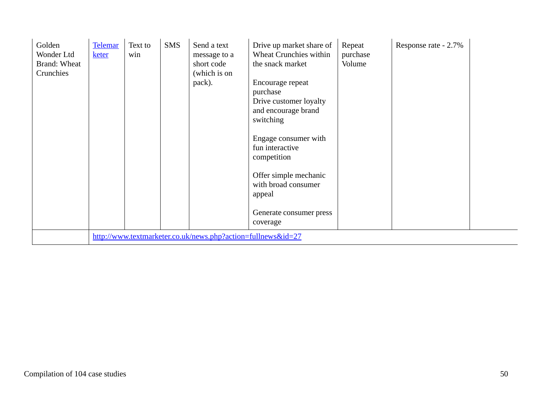| Golden<br>Wonder Ltd<br>Brand: Wheat<br>Crunchies | Telemar<br>keter | Text to<br>win | <b>SMS</b> | Send a text<br>message to a<br>short code<br>(which is on<br>pack). | Drive up market share of<br>Wheat Crunchies within<br>the snack market<br>Encourage repeat<br>purchase<br>Drive customer loyalty<br>and encourage brand<br>switching<br>Engage consumer with<br>fun interactive<br>competition<br>Offer simple mechanic<br>with broad consumer<br>appeal<br>Generate consumer press<br>coverage | Repeat<br>purchase<br>Volume | Response rate - 2.7% |  |
|---------------------------------------------------|------------------|----------------|------------|---------------------------------------------------------------------|---------------------------------------------------------------------------------------------------------------------------------------------------------------------------------------------------------------------------------------------------------------------------------------------------------------------------------|------------------------------|----------------------|--|
|                                                   |                  |                |            | http://www.textmarketer.co.uk/news.php?action=fullnews&id=27        |                                                                                                                                                                                                                                                                                                                                 |                              |                      |  |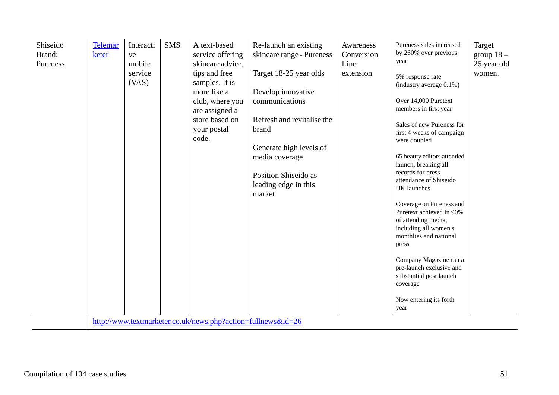|  | UK launches<br>market<br>Coverage on Pureness and<br>Puretext achieved in 90%<br>of attending media,<br>including all women's<br>monthlies and national<br>press<br>Company Magazine ran a<br>pre-launch exclusive and<br>substantial post launch<br>coverage<br>Now entering its forth<br>year<br>http://www.textmarketer.co.uk/news.php?action=fullnews&id=26 | Pureness sales increased<br>Re-launch an existing<br>Awareness<br>by 260% over previous<br>skincare range - Pureness<br>Conversion<br>year<br>Line<br>Target 18-25 year olds<br>extension<br>5% response rate<br>(industry average 0.1%)<br>Develop innovative<br>Over 14,000 Puretext<br>communications<br>members in first year<br>Refresh and revitalise the<br>brand<br>were doubled<br>Generate high levels of<br>media coverage<br>launch, breaking all<br>records for press<br>Position Shiseido as<br>attendance of Shiseido<br>leading edge in this | Target<br>group $18-$<br>25 year old<br>women.<br>Sales of new Pureness for<br>first 4 weeks of campaign<br>65 beauty editors attended |  |
|--|-----------------------------------------------------------------------------------------------------------------------------------------------------------------------------------------------------------------------------------------------------------------------------------------------------------------------------------------------------------------|--------------------------------------------------------------------------------------------------------------------------------------------------------------------------------------------------------------------------------------------------------------------------------------------------------------------------------------------------------------------------------------------------------------------------------------------------------------------------------------------------------------------------------------------------------------|----------------------------------------------------------------------------------------------------------------------------------------|--|
|--|-----------------------------------------------------------------------------------------------------------------------------------------------------------------------------------------------------------------------------------------------------------------------------------------------------------------------------------------------------------------|--------------------------------------------------------------------------------------------------------------------------------------------------------------------------------------------------------------------------------------------------------------------------------------------------------------------------------------------------------------------------------------------------------------------------------------------------------------------------------------------------------------------------------------------------------------|----------------------------------------------------------------------------------------------------------------------------------------|--|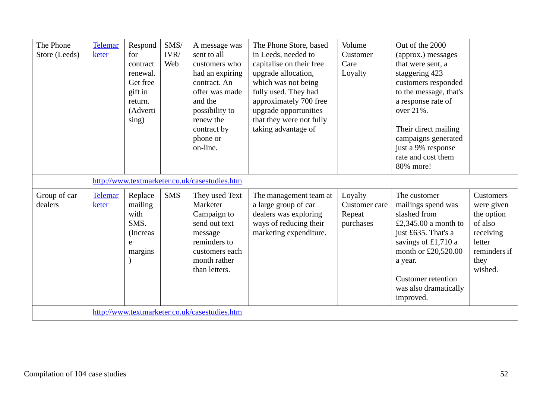| The Phone<br>Store (Leeds) | <b>Telemar</b><br>keter | Respond<br>for<br>contract<br>renewal.<br>Get free<br>gift in<br>return.<br>(Adverti<br>sing) | $\text{SMS}/$<br>IVR/<br>Web | A message was<br>sent to all<br>customers who<br>had an expiring<br>contract. An<br>offer was made<br>and the<br>possibility to<br>renew the<br>contract by<br>phone or<br>on-line. | The Phone Store, based<br>in Leeds, needed to<br>capitalise on their free<br>upgrade allocation,<br>which was not being<br>fully used. They had<br>approximately 700 free<br>upgrade opportunities<br>that they were not fully<br>taking advantage of | Volume<br>Customer<br>Care<br>Loyalty           | Out of the 2000<br>(approx.) messages<br>that were sent, a<br>staggering 423<br>customers responded<br>to the message, that's<br>a response rate of<br>over 21%.<br>Their direct mailing<br>campaigns generated<br>just a 9% response<br>rate and cost them<br>80% more! |                                                                                                            |
|----------------------------|-------------------------|-----------------------------------------------------------------------------------------------|------------------------------|-------------------------------------------------------------------------------------------------------------------------------------------------------------------------------------|-------------------------------------------------------------------------------------------------------------------------------------------------------------------------------------------------------------------------------------------------------|-------------------------------------------------|--------------------------------------------------------------------------------------------------------------------------------------------------------------------------------------------------------------------------------------------------------------------------|------------------------------------------------------------------------------------------------------------|
|                            |                         |                                                                                               |                              | http://www.textmarketer.co.uk/casestudies.htm                                                                                                                                       |                                                                                                                                                                                                                                                       |                                                 |                                                                                                                                                                                                                                                                          |                                                                                                            |
| Group of car<br>dealers    | <b>Telemar</b><br>keter | Replace<br>mailing<br>with<br>SMS.<br>(Increas)<br>e<br>margins                               | <b>SMS</b>                   | They used Text<br>Marketer<br>Campaign to<br>send out text<br>message<br>reminders to<br>customers each<br>month rather<br>than letters.                                            | The management team at<br>a large group of car<br>dealers was exploring<br>ways of reducing their<br>marketing expenditure.                                                                                                                           | Loyalty<br>Customer care<br>Repeat<br>purchases | The customer<br>mailings spend was<br>slashed from<br>£2,345.00 a month to<br>just £635. That's a<br>savings of £1,710 a<br>month or £20,520.00<br>a year.<br><b>Customer</b> retention<br>was also dramatically<br>improved.                                            | Customers<br>were given<br>the option<br>of also<br>receiving<br>letter<br>reminders if<br>they<br>wished. |
|                            |                         |                                                                                               |                              | http://www.textmarketer.co.uk/casestudies.htm                                                                                                                                       |                                                                                                                                                                                                                                                       |                                                 |                                                                                                                                                                                                                                                                          |                                                                                                            |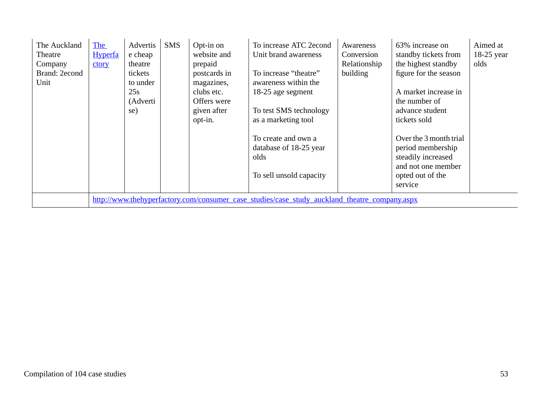| The Auckland<br>Theatre<br>Company<br>Brand: 2econd<br>Unit | The<br><b>Hyperfa</b><br>ctory | Advertis<br>e cheap<br>theatre<br>tickets<br>to under<br>25s<br>(Adverti<br>se) | <b>SMS</b> | Opt-in on<br>website and<br>prepaid<br>postcards in<br>magazines,<br>clubs etc.<br>Offers were<br>given after<br>opt-in. | To increase ATC 2econd<br>Unit brand awareness<br>To increase "theatre"<br>awareness within the<br>18-25 age segment<br>To test SMS technology<br>as a marketing tool<br>To create and own a<br>database of 18-25 year<br>olds | Awareness<br>Conversion<br>Relationship<br>building | 63% increase on<br>standby tickets from<br>the highest standby<br>figure for the season<br>A market increase in<br>the number of<br>advance student<br>tickets sold<br>Over the 3 month trial<br>period membership<br>steadily increased | Aimed at<br>$18-25$ year<br>olds |
|-------------------------------------------------------------|--------------------------------|---------------------------------------------------------------------------------|------------|--------------------------------------------------------------------------------------------------------------------------|--------------------------------------------------------------------------------------------------------------------------------------------------------------------------------------------------------------------------------|-----------------------------------------------------|------------------------------------------------------------------------------------------------------------------------------------------------------------------------------------------------------------------------------------------|----------------------------------|
|                                                             |                                |                                                                                 |            |                                                                                                                          | To sell unsold capacity                                                                                                                                                                                                        |                                                     | and not one member<br>opted out of the<br>service                                                                                                                                                                                        |                                  |
|                                                             |                                |                                                                                 |            |                                                                                                                          | http://www.thehyperfactory.com/consumer_case_studies/case_study_auckland_theatre_company.aspx                                                                                                                                  |                                                     |                                                                                                                                                                                                                                          |                                  |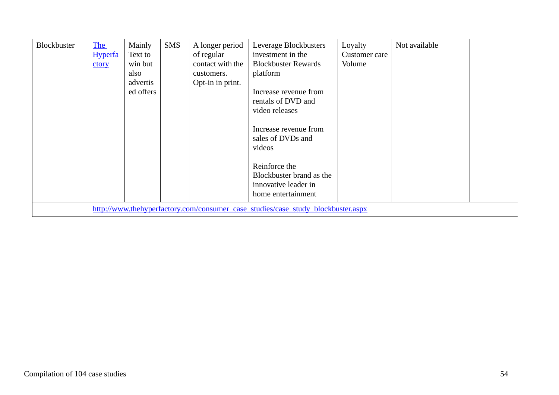| Blockbuster | The<br><b>Hyperfa</b><br>ctory | Mainly<br>Text to<br>win but<br>also<br>advertis<br>ed offers | <b>SMS</b> | A longer period<br>of regular<br>contact with the<br>customers.<br>Opt-in in print. | Leverage Blockbusters<br>investment in the<br><b>Blockbuster Rewards</b><br>platform<br>Increase revenue from<br>rentals of DVD and<br>video releases<br>Increase revenue from<br>sales of DVDs and<br>videos<br>Reinforce the<br>Blockbuster brand as the<br>innovative leader in<br>home entertainment | Loyalty<br>Customer care<br>Volume | Not available |  |
|-------------|--------------------------------|---------------------------------------------------------------|------------|-------------------------------------------------------------------------------------|----------------------------------------------------------------------------------------------------------------------------------------------------------------------------------------------------------------------------------------------------------------------------------------------------------|------------------------------------|---------------|--|
|             |                                |                                                               |            |                                                                                     | http://www.thehyperfactory.com/consumer_case_studies/case_study_blockbuster.aspx                                                                                                                                                                                                                         |                                    |               |  |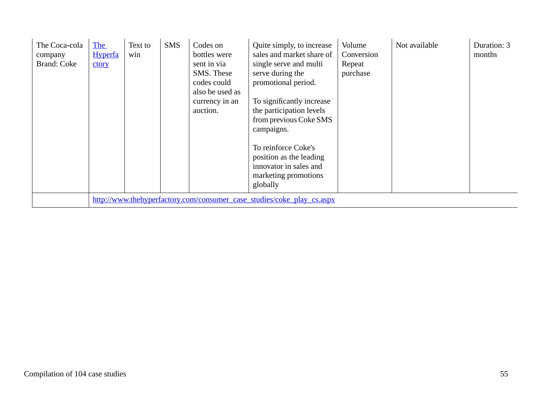| The Coca-cola<br>company<br><b>Brand: Coke</b> | <b>The</b><br><b>Hyperfa</b><br>ctory                                  | Text to<br>win | <b>SMS</b> | Codes on<br>bottles were<br>sent in via<br>SMS. These<br>codes could<br>also be used as<br>currency in an<br>auction. | Quite simply, to increase<br>sales and market share of<br>single serve and multi<br>serve during the<br>promotional period.<br>To significantly increase<br>the participation levels<br>from previous Coke SMS<br>campaigns.<br>To reinforce Coke's<br>position as the leading<br>innovator in sales and<br>marketing promotions<br>globally | Volume<br>Conversion<br>Repeat<br>purchase | Not available | Duration: 3<br>months |  |  |
|------------------------------------------------|------------------------------------------------------------------------|----------------|------------|-----------------------------------------------------------------------------------------------------------------------|----------------------------------------------------------------------------------------------------------------------------------------------------------------------------------------------------------------------------------------------------------------------------------------------------------------------------------------------|--------------------------------------------|---------------|-----------------------|--|--|
|                                                | http://www.thehyperfactory.com/consumer_case_studies/coke_play_cs.aspx |                |            |                                                                                                                       |                                                                                                                                                                                                                                                                                                                                              |                                            |               |                       |  |  |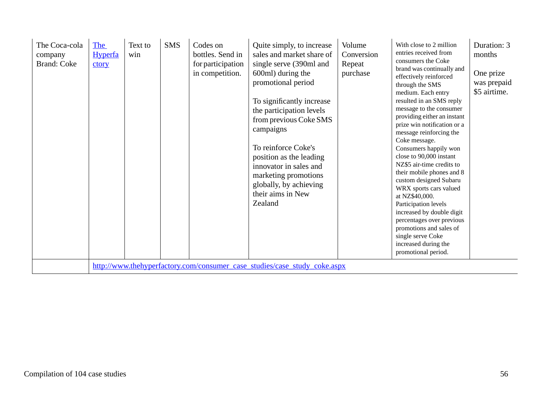| The Coca-cola<br>company<br><b>Brand: Coke</b> | <b>The</b><br><b>Hyperfa</b><br>ctory | Text to<br>win | <b>SMS</b> | Codes on<br>bottles. Send in<br>for participation<br>in competition. | Quite simply, to increase<br>sales and market share of<br>single serve (390ml and<br>600ml) during the<br>promotional period<br>To significantly increase<br>the participation levels<br>from previous Coke SMS<br>campaigns<br>To reinforce Coke's<br>position as the leading<br>innovator in sales and<br>marketing promotions<br>globally, by achieving<br>their aims in New<br>Zealand<br>http://www.thehyperfactory.com/consumer_case_studies/case_study_coke.aspx | Volume<br>Conversion<br>Repeat<br>purchase | With close to 2 million<br>entries received from<br>consumers the Coke<br>brand was continually and<br>effectively reinforced<br>through the SMS<br>medium. Each entry<br>resulted in an SMS reply<br>message to the consumer<br>providing either an instant<br>prize win notification or a<br>message reinforcing the<br>Coke message.<br>Consumers happily won<br>close to 90,000 instant<br>NZ\$5 air-time credits to<br>their mobile phones and 8<br>custom designed Subaru<br>WRX sports cars valued<br>at NZ\$40,000.<br>Participation levels<br>increased by double digit<br>percentages over previous<br>promotions and sales of<br>single serve Coke<br>increased during the<br>promotional period. | Duration: 3<br>months<br>One prize<br>was prepaid<br>\$5 airtime. |
|------------------------------------------------|---------------------------------------|----------------|------------|----------------------------------------------------------------------|-------------------------------------------------------------------------------------------------------------------------------------------------------------------------------------------------------------------------------------------------------------------------------------------------------------------------------------------------------------------------------------------------------------------------------------------------------------------------|--------------------------------------------|--------------------------------------------------------------------------------------------------------------------------------------------------------------------------------------------------------------------------------------------------------------------------------------------------------------------------------------------------------------------------------------------------------------------------------------------------------------------------------------------------------------------------------------------------------------------------------------------------------------------------------------------------------------------------------------------------------------|-------------------------------------------------------------------|
|                                                |                                       |                |            |                                                                      |                                                                                                                                                                                                                                                                                                                                                                                                                                                                         |                                            |                                                                                                                                                                                                                                                                                                                                                                                                                                                                                                                                                                                                                                                                                                              |                                                                   |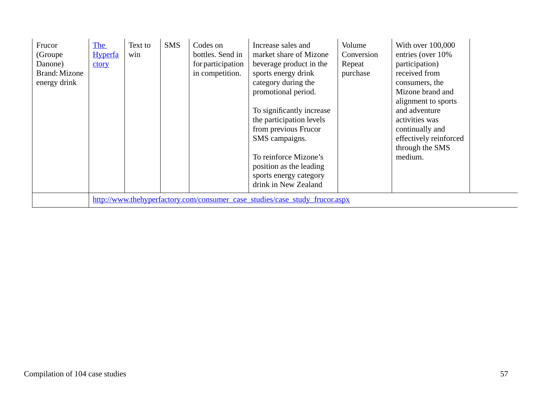| Frucor<br>(Groupe)<br>Danone)<br>Brand: Mizone<br>energy drink | <b>The</b><br><b>Hyperfa</b><br>ctory | Text to<br>win | <b>SMS</b> | Codes on<br>bottles. Send in<br>for participation<br>in competition. | Increase sales and<br>market share of Mizone<br>beverage product in the<br>sports energy drink<br>category during the<br>promotional period.<br>To significantly increase<br>the participation levels<br>from previous Frucor<br>SMS campaigns.<br>To reinforce Mizone's<br>position as the leading<br>sports energy category<br>drink in New Zealand | Volume<br>Conversion<br>Repeat<br>purchase | With over 100,000<br>entries (over 10%<br>participation)<br>received from<br>consumers, the<br>Mizone brand and<br>alignment to sports<br>and adventure<br>activities was<br>continually and<br>effectively reinforced<br>through the SMS<br>medium. |  |
|----------------------------------------------------------------|---------------------------------------|----------------|------------|----------------------------------------------------------------------|-------------------------------------------------------------------------------------------------------------------------------------------------------------------------------------------------------------------------------------------------------------------------------------------------------------------------------------------------------|--------------------------------------------|------------------------------------------------------------------------------------------------------------------------------------------------------------------------------------------------------------------------------------------------------|--|
|                                                                |                                       |                |            |                                                                      | http://www.thehyperfactory.com/consumer_case_studies/case_study_frucor.aspx                                                                                                                                                                                                                                                                           |                                            |                                                                                                                                                                                                                                                      |  |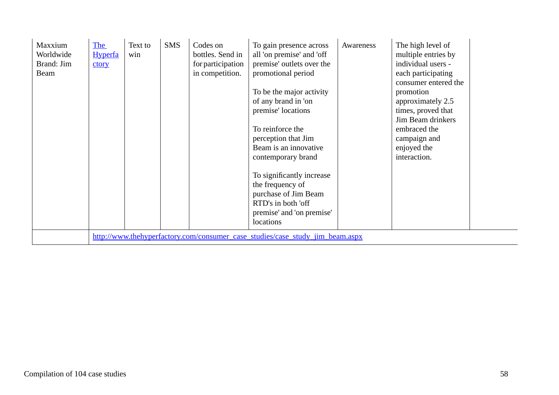| Maxxium<br>Worldwide<br>Brand: Jim<br>Beam | The<br><b>Hyperfa</b><br>ctory | Text to<br>win | <b>SMS</b> | Codes on<br>bottles. Send in<br>for participation<br>in competition. | To gain presence across<br>all 'on premise' and 'off<br>premise' outlets over the<br>promotional period<br>To be the major activity<br>of any brand in 'on<br>premise' locations<br>To reinforce the<br>perception that Jim<br>Beam is an innovative<br>contemporary brand<br>To significantly increase<br>the frequency of<br>purchase of Jim Beam<br>RTD's in both 'off<br>premise' and 'on premise'<br>locations | Awareness | The high level of<br>multiple entries by<br>individual users -<br>each participating<br>consumer entered the<br>promotion<br>approximately 2.5<br>times, proved that<br>Jim Beam drinkers<br>embraced the<br>campaign and<br>enjoyed the<br>interaction. |  |
|--------------------------------------------|--------------------------------|----------------|------------|----------------------------------------------------------------------|---------------------------------------------------------------------------------------------------------------------------------------------------------------------------------------------------------------------------------------------------------------------------------------------------------------------------------------------------------------------------------------------------------------------|-----------|----------------------------------------------------------------------------------------------------------------------------------------------------------------------------------------------------------------------------------------------------------|--|
|                                            |                                |                |            |                                                                      | http://www.thehyperfactory.com/consumer case studies/case study jim beam.aspx                                                                                                                                                                                                                                                                                                                                       |           |                                                                                                                                                                                                                                                          |  |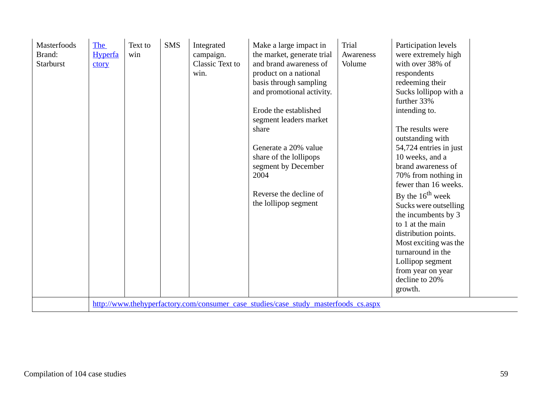| basis through sampling<br>redeeming their<br>and promotional activity.<br>Sucks lollipop with a<br>further 33%<br>Erode the established<br>intending to.<br>segment leaders market<br>The results were<br>share<br>outstanding with<br>Generate a 20% value<br>54,724 entries in just<br>10 weeks, and a<br>share of the lollipops<br>brand awareness of<br>segment by December<br>2004<br>70% from nothing in<br>fewer than 16 weeks.<br>Reverse the decline of<br>By the $16^{th}$ week<br>the lollipop segment<br>Sucks were outselling<br>the incumbents by 3<br>to 1 at the main<br>distribution points.<br>Most exciting was the<br>turnaround in the<br>Lollipop segment<br>from year on year<br>decline to 20%<br>growth.<br>http://www.thehyperfactory.com/consumer_case_studies/case_study_masterfoods_cs.aspx | Masterfoods<br>Brand:<br>Starburst | The<br><b>Hyperfa</b><br>win<br>ctory | <b>SMS</b><br>Text to<br>Integrated<br>campaign.<br>Classic Text to<br>win. | Make a large impact in<br>the market, generate trial<br>and brand awareness of<br>product on a national | Trial<br>Participation levels<br>were extremely high<br>Awareness<br>with over 38% of<br>Volume<br>respondents |  |
|--------------------------------------------------------------------------------------------------------------------------------------------------------------------------------------------------------------------------------------------------------------------------------------------------------------------------------------------------------------------------------------------------------------------------------------------------------------------------------------------------------------------------------------------------------------------------------------------------------------------------------------------------------------------------------------------------------------------------------------------------------------------------------------------------------------------------|------------------------------------|---------------------------------------|-----------------------------------------------------------------------------|---------------------------------------------------------------------------------------------------------|----------------------------------------------------------------------------------------------------------------|--|
|--------------------------------------------------------------------------------------------------------------------------------------------------------------------------------------------------------------------------------------------------------------------------------------------------------------------------------------------------------------------------------------------------------------------------------------------------------------------------------------------------------------------------------------------------------------------------------------------------------------------------------------------------------------------------------------------------------------------------------------------------------------------------------------------------------------------------|------------------------------------|---------------------------------------|-----------------------------------------------------------------------------|---------------------------------------------------------------------------------------------------------|----------------------------------------------------------------------------------------------------------------|--|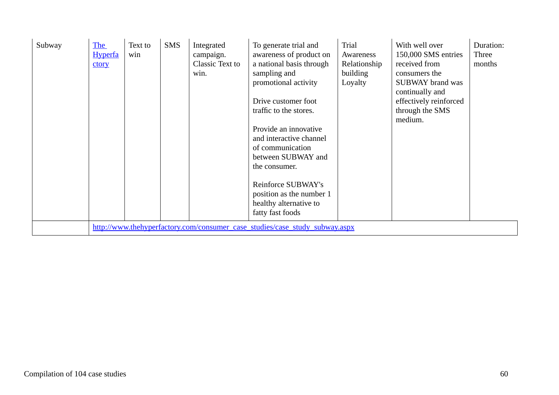| Subway | <b>The</b><br><b>Hyperfa</b><br>ctory | Text to<br>win | <b>SMS</b> | Integrated<br>campaign.<br>Classic Text to<br>win. | To generate trial and<br>awareness of product on<br>a national basis through<br>sampling and<br>promotional activity<br>Drive customer foot<br>traffic to the stores.<br>Provide an innovative<br>and interactive channel<br>of communication<br>between SUBWAY and<br>the consumer.<br>Reinforce SUBWAY's<br>position as the number 1<br>healthy alternative to<br>fatty fast foods | Trial<br>Awareness<br>Relationship<br>building<br>Loyalty | With well over<br>150,000 SMS entries<br>received from<br>consumers the<br><b>SUBWAY</b> brand was<br>continually and<br>effectively reinforced<br>through the SMS<br>medium. | Duration:<br>Three<br>months |
|--------|---------------------------------------|----------------|------------|----------------------------------------------------|--------------------------------------------------------------------------------------------------------------------------------------------------------------------------------------------------------------------------------------------------------------------------------------------------------------------------------------------------------------------------------------|-----------------------------------------------------------|-------------------------------------------------------------------------------------------------------------------------------------------------------------------------------|------------------------------|
|        |                                       |                |            |                                                    | http://www.thehyperfactory.com/consumer_case_studies/case_study_subway.aspx                                                                                                                                                                                                                                                                                                          |                                                           |                                                                                                                                                                               |                              |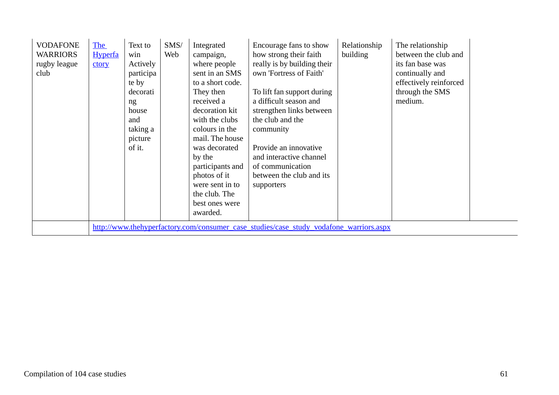| <b>VODAFONE</b><br><b>WARRIORS</b><br>rugby league<br>club | The<br><b>Hyperfa</b><br>ctory | Text to<br>win<br>Actively<br>participa<br>te by<br>decorati<br>ng<br>house<br>and<br>taking a<br>picture<br>of it. | SMS/<br>Web | Integrated<br>campaign,<br>where people<br>sent in an SMS<br>to a short code.<br>They then<br>received a<br>decoration kit<br>with the clubs<br>colours in the<br>mail. The house<br>was decorated<br>by the<br>participants and<br>photos of it<br>were sent in to<br>the club. The<br>best ones were<br>awarded. | Encourage fans to show<br>how strong their faith<br>really is by building their<br>own 'Fortress of Faith'<br>To lift fan support during<br>a difficult season and<br>strengthen links between<br>the club and the<br>community<br>Provide an innovative<br>and interactive channel<br>of communication<br>between the club and its<br>supporters | Relationship<br>building | The relationship<br>between the club and<br>its fan base was<br>continually and<br>effectively reinforced<br>through the SMS<br>medium. |  |
|------------------------------------------------------------|--------------------------------|---------------------------------------------------------------------------------------------------------------------|-------------|--------------------------------------------------------------------------------------------------------------------------------------------------------------------------------------------------------------------------------------------------------------------------------------------------------------------|---------------------------------------------------------------------------------------------------------------------------------------------------------------------------------------------------------------------------------------------------------------------------------------------------------------------------------------------------|--------------------------|-----------------------------------------------------------------------------------------------------------------------------------------|--|
|                                                            |                                |                                                                                                                     |             |                                                                                                                                                                                                                                                                                                                    | http://www.thehyperfactory.com/consumer_case_studies/case_study_vodafone_warriors.aspx                                                                                                                                                                                                                                                            |                          |                                                                                                                                         |  |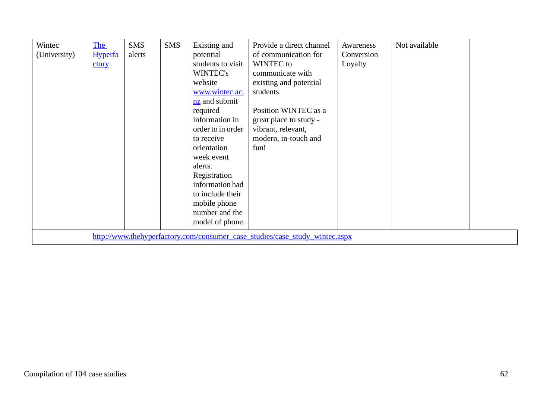| Wintec<br>(University) | The<br><b>Hyperfa</b><br>ctory | <b>SMS</b><br>alerts | <b>SMS</b> | Existing and<br>potential<br>students to visit<br>WINTEC's<br>website<br>www.wintec.ac.<br>$nz$ and submit<br>required<br>information in<br>order to in order<br>to receive<br>orientation<br>week event<br>alerts.<br>Registration<br>information had<br>to include their<br>mobile phone<br>number and the<br>model of phone. | Provide a direct channel<br>of communication for<br>WINTEC to<br>communicate with<br>existing and potential<br>students<br>Position WINTEC as a<br>great place to study -<br>vibrant, relevant,<br>modern, in-touch and<br>fun! | Awareness<br>Conversion<br>Loyalty | Not available |  |
|------------------------|--------------------------------|----------------------|------------|---------------------------------------------------------------------------------------------------------------------------------------------------------------------------------------------------------------------------------------------------------------------------------------------------------------------------------|---------------------------------------------------------------------------------------------------------------------------------------------------------------------------------------------------------------------------------|------------------------------------|---------------|--|
|                        |                                |                      |            |                                                                                                                                                                                                                                                                                                                                 | http://www.thehyperfactory.com/consumer case studies/case study wintec.aspx                                                                                                                                                     |                                    |               |  |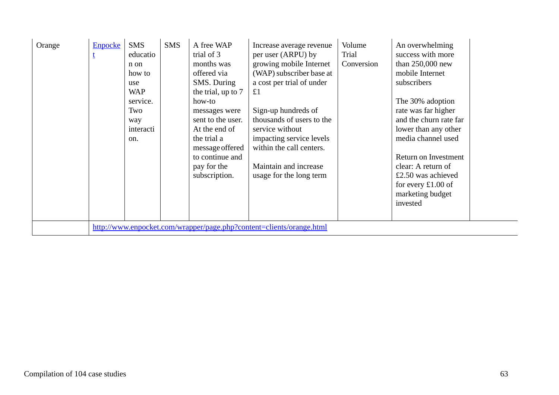| Orange | <b>Enpocke</b> | <b>SMS</b><br>educatio<br>n on<br>how to<br>use<br><b>WAP</b><br>service.<br>Two<br>way<br>interacti<br>on. | <b>SMS</b> | A free WAP<br>trial of 3<br>months was<br>offered via<br>SMS. During<br>the trial, up to 7<br>how-to<br>messages were<br>sent to the user.<br>At the end of<br>the trial a<br>message offered<br>to continue and<br>pay for the<br>subscription. | Increase average revenue<br>per user (ARPU) by<br>growing mobile Internet<br>(WAP) subscriber base at<br>a cost per trial of under<br>£1<br>Sign-up hundreds of<br>thousands of users to the<br>service without<br>impacting service levels<br>within the call centers.<br>Maintain and increase<br>usage for the long term | Volume<br>Trial<br>Conversion | An overwhelming<br>success with more<br>than $250,000$ new<br>mobile Internet<br>subscribers<br>The 30% adoption<br>rate was far higher<br>and the churn rate far<br>lower than any other<br>media channel used<br>Return on Investment<br>clear: A return of<br>£2.50 was achieved<br>for every $\pounds1.00$ of<br>marketing budget<br>invested |
|--------|----------------|-------------------------------------------------------------------------------------------------------------|------------|--------------------------------------------------------------------------------------------------------------------------------------------------------------------------------------------------------------------------------------------------|-----------------------------------------------------------------------------------------------------------------------------------------------------------------------------------------------------------------------------------------------------------------------------------------------------------------------------|-------------------------------|---------------------------------------------------------------------------------------------------------------------------------------------------------------------------------------------------------------------------------------------------------------------------------------------------------------------------------------------------|
|        |                |                                                                                                             |            |                                                                                                                                                                                                                                                  | http://www.enpocket.com/wrapper/page.php?content=clients/orange.html                                                                                                                                                                                                                                                        |                               |                                                                                                                                                                                                                                                                                                                                                   |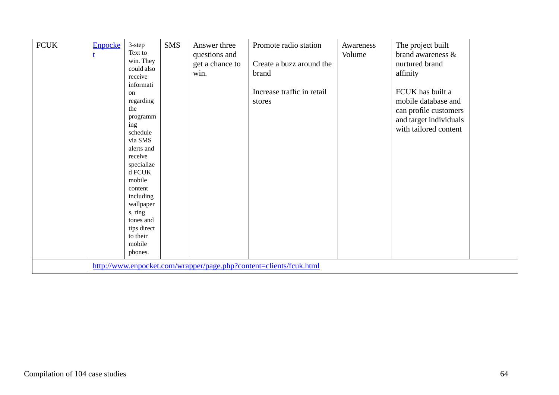| <b>FCUK</b> | <b>Enpocke</b><br>$\mathbf{t}$ | 3-step<br>Text to<br>win. They<br>could also<br>receive<br>informati<br>on<br>regarding<br>the<br>programm<br>ing<br>schedule<br>via SMS<br>alerts and<br>receive<br>specialize<br>d FCUK<br>mobile<br>content<br>including<br>wallpaper<br>s, ring<br>tones and<br>tips direct<br>to their<br>mobile<br>phones. | <b>SMS</b> | Answer three<br>questions and<br>get a chance to<br>win. | Promote radio station<br>Create a buzz around the<br>brand<br>Increase traffic in retail<br>stores | Awareness<br>Volume | The project built<br>brand awareness &<br>nurtured brand<br>affinity<br>FCUK has built a<br>mobile database and<br>can profile customers<br>and target individuals<br>with tailored content |  |
|-------------|--------------------------------|------------------------------------------------------------------------------------------------------------------------------------------------------------------------------------------------------------------------------------------------------------------------------------------------------------------|------------|----------------------------------------------------------|----------------------------------------------------------------------------------------------------|---------------------|---------------------------------------------------------------------------------------------------------------------------------------------------------------------------------------------|--|
|             |                                |                                                                                                                                                                                                                                                                                                                  |            |                                                          | http://www.enpocket.com/wrapper/page.php?content=clients/fcuk.html                                 |                     |                                                                                                                                                                                             |  |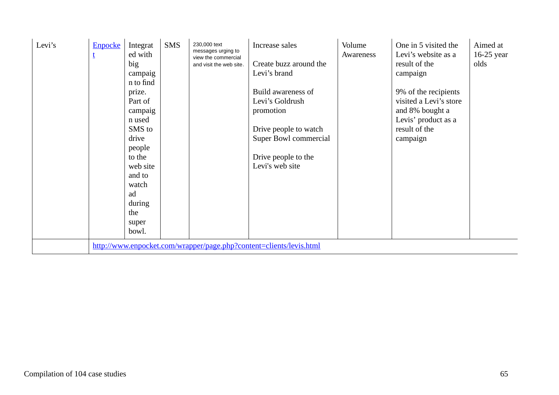| Levi's | <b>Enpocke</b> | Integrat<br>ed with<br>big<br>campaig<br>n to find<br>prize.<br>Part of<br>campaig<br>n used<br>SMS to<br>drive<br>people<br>to the<br>web site<br>and to<br>watch<br>ad<br>during<br>the<br>super<br>bowl. | <b>SMS</b> | 230,000 text<br>messages urging to<br>view the commercial<br>and visit the web site. | Increase sales<br>Create buzz around the<br>Levi's brand<br>Build awareness of<br>Levi's Goldrush<br>promotion<br>Drive people to watch<br>Super Bowl commercial<br>Drive people to the<br>Levi's web site | Volume<br>Awareness | One in 5 visited the<br>Levi's website as a<br>result of the<br>campaign<br>9% of the recipients<br>visited a Levi's store<br>and 8% bought a<br>Levis' product as a<br>result of the<br>campaign | Aimed at<br>$16-25$ year<br>olds |
|--------|----------------|-------------------------------------------------------------------------------------------------------------------------------------------------------------------------------------------------------------|------------|--------------------------------------------------------------------------------------|------------------------------------------------------------------------------------------------------------------------------------------------------------------------------------------------------------|---------------------|---------------------------------------------------------------------------------------------------------------------------------------------------------------------------------------------------|----------------------------------|
|        |                |                                                                                                                                                                                                             |            |                                                                                      | http://www.enpocket.com/wrapper/page.php?content=clients/levis.html                                                                                                                                        |                     |                                                                                                                                                                                                   |                                  |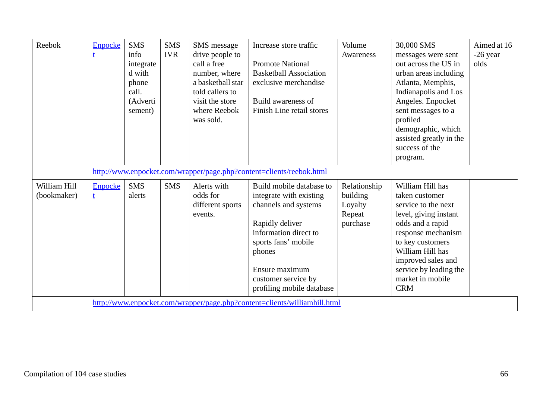| Reebok                      | <b>Enpocke</b>      | <b>SMS</b><br>info<br>integrate<br>d with<br>phone<br>call.<br>(Adverti<br>sement) | <b>SMS</b><br><b>IVR</b> | SMS message<br>drive people to<br>call a free<br>number, where<br>a basketball star<br>told callers to<br>visit the store<br>where Reebok<br>was sold. | Increase store traffic<br><b>Promote National</b><br><b>Basketball Association</b><br>exclusive merchandise<br>Build awareness of<br>Finish Line retail stores                                                                 | Volume<br>Awareness                                       | 30,000 SMS<br>messages were sent<br>out across the US in<br>urban areas including<br>Atlanta, Memphis,<br>Indianapolis and Los<br>Angeles. Enpocket<br>sent messages to a<br>profiled<br>demographic, which<br>assisted greatly in the<br>success of the<br>program. | Aimed at 16<br>-26 year<br>olds |
|-----------------------------|---------------------|------------------------------------------------------------------------------------|--------------------------|--------------------------------------------------------------------------------------------------------------------------------------------------------|--------------------------------------------------------------------------------------------------------------------------------------------------------------------------------------------------------------------------------|-----------------------------------------------------------|----------------------------------------------------------------------------------------------------------------------------------------------------------------------------------------------------------------------------------------------------------------------|---------------------------------|
|                             |                     |                                                                                    |                          |                                                                                                                                                        | http://www.enpocket.com/wrapper/page.php?content=clients/reebok.html                                                                                                                                                           |                                                           |                                                                                                                                                                                                                                                                      |                                 |
| William Hill<br>(bookmaker) | <b>Enpocke</b><br>t | <b>SMS</b><br>alerts                                                               | <b>SMS</b>               | Alerts with<br>odds for<br>different sports<br>events.                                                                                                 | Build mobile database to<br>integrate with existing<br>channels and systems<br>Rapidly deliver<br>information direct to<br>sports fans' mobile<br>phones<br>Ensure maximum<br>customer service by<br>profiling mobile database | Relationship<br>building<br>Loyalty<br>Repeat<br>purchase | William Hill has<br>taken customer<br>service to the next<br>level, giving instant<br>odds and a rapid<br>response mechanism<br>to key customers<br>William Hill has<br>improved sales and<br>service by leading the<br>market in mobile<br><b>CRM</b>               |                                 |
|                             |                     |                                                                                    |                          |                                                                                                                                                        | http://www.enpocket.com/wrapper/page.php?content=clients/williamhill.html                                                                                                                                                      |                                                           |                                                                                                                                                                                                                                                                      |                                 |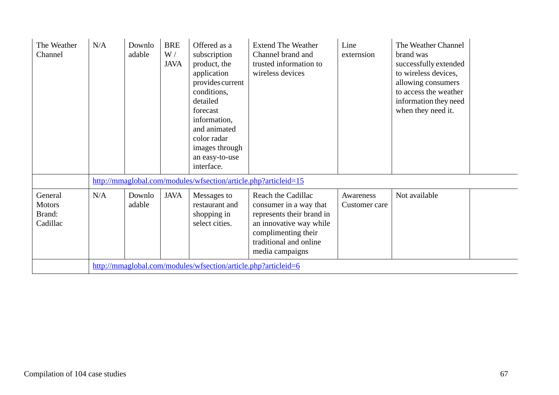| The Weather<br>Channel                         | N/A | Downlo<br>adable | <b>BRE</b><br>W/<br><b>JAVA</b> | Offered as a<br>subscription<br>product, the<br>application<br>provides current<br>conditions,<br>detailed<br>forecast<br>information,<br>and animated<br>color radar<br>images through<br>an easy-to-use<br>interface. | <b>Extend The Weather</b><br>Channel brand and<br>trusted information to<br>wireless devices                                                                             | Line<br>externsion         | The Weather Channel<br>brand was<br>successfully extended<br>to wireless devices,<br>allowing consumers<br>to access the weather<br>information they need<br>when they need it. |
|------------------------------------------------|-----|------------------|---------------------------------|-------------------------------------------------------------------------------------------------------------------------------------------------------------------------------------------------------------------------|--------------------------------------------------------------------------------------------------------------------------------------------------------------------------|----------------------------|---------------------------------------------------------------------------------------------------------------------------------------------------------------------------------|
|                                                |     |                  |                                 | http://mmaglobal.com/modules/wfsection/article.php?articleid=15                                                                                                                                                         |                                                                                                                                                                          |                            |                                                                                                                                                                                 |
| General<br><b>Motors</b><br>Brand:<br>Cadillac | N/A | Downlo<br>adable | <b>JAVA</b>                     | Messages to<br>restaurant and<br>shopping in<br>select cities.                                                                                                                                                          | Reach the Cadillac<br>consumer in a way that<br>represents their brand in<br>an innovative way while<br>complimenting their<br>traditional and online<br>media campaigns | Awareness<br>Customer care | Not available                                                                                                                                                                   |
|                                                |     |                  |                                 | http://mmaglobal.com/modules/wfsection/article.php?articleid=6                                                                                                                                                          |                                                                                                                                                                          |                            |                                                                                                                                                                                 |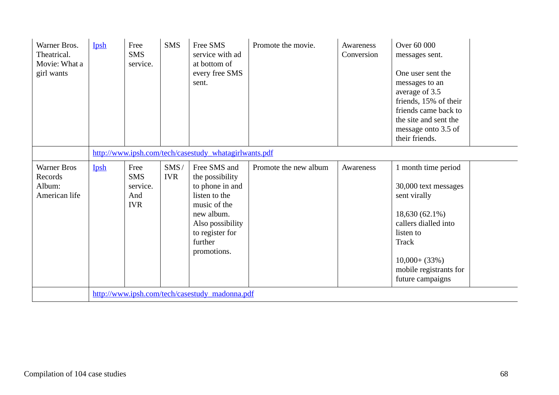| Warner Bros.<br>Theatrical.<br>Movie: What a<br>girl wants | Ipsh | Free<br><b>SMS</b><br>service.                        | <b>SMS</b>         | Free SMS<br>service with ad<br>at bottom of<br>every free SMS<br>sent.                                                                                             | Promote the movie.    | Awareness<br>Conversion | Over 60 000<br>messages sent.<br>One user sent the<br>messages to an<br>average of 3.5<br>friends, 15% of their<br>friends came back to<br>the site and sent the<br>message onto 3.5 of<br>their friends. |  |  |  |  |
|------------------------------------------------------------|------|-------------------------------------------------------|--------------------|--------------------------------------------------------------------------------------------------------------------------------------------------------------------|-----------------------|-------------------------|-----------------------------------------------------------------------------------------------------------------------------------------------------------------------------------------------------------|--|--|--|--|
|                                                            |      | http://www.ipsh.com/tech/casestudy_whatagirlwants.pdf |                    |                                                                                                                                                                    |                       |                         |                                                                                                                                                                                                           |  |  |  |  |
| <b>Warner Bros</b><br>Records<br>Album:<br>American life   | Ipsh | Free<br><b>SMS</b><br>service.<br>And<br><b>IVR</b>   | SMS/<br><b>IVR</b> | Free SMS and<br>the possibility<br>to phone in and<br>listen to the<br>music of the<br>new album.<br>Also possibility<br>to register for<br>further<br>promotions. | Promote the new album | Awareness               | 1 month time period<br>30,000 text messages<br>sent virally<br>$18,630(62.1\%)$<br>callers dialled into<br>listen to<br>Track<br>$10,000+$ (33%)<br>mobile registrants for<br>future campaigns            |  |  |  |  |
|                                                            |      |                                                       |                    | http://www.ipsh.com/tech/casestudy_madonna.pdf                                                                                                                     |                       |                         |                                                                                                                                                                                                           |  |  |  |  |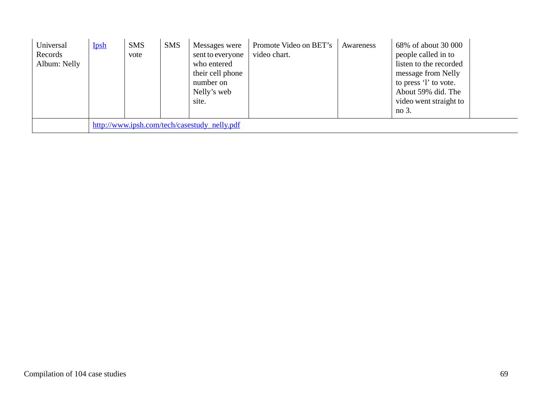| Universal<br>Records<br>Album: Nelly | Ipsh                                         | <b>SMS</b><br>vote | <b>SMS</b> | Messages were<br>sent to everyone<br>who entered<br>their cell phone<br>number on<br>Nelly's web<br>site. | Promote Video on BET's<br>video chart. | Awareness | 68% of about 30 000<br>people called in to<br>listen to the recorded<br>message from Nelly<br>to press 'l' to vote.<br>About 59% did. The<br>video went straight to<br>no 3. |  |
|--------------------------------------|----------------------------------------------|--------------------|------------|-----------------------------------------------------------------------------------------------------------|----------------------------------------|-----------|------------------------------------------------------------------------------------------------------------------------------------------------------------------------------|--|
|                                      | http://www.ipsh.com/tech/casestudy_nelly.pdf |                    |            |                                                                                                           |                                        |           |                                                                                                                                                                              |  |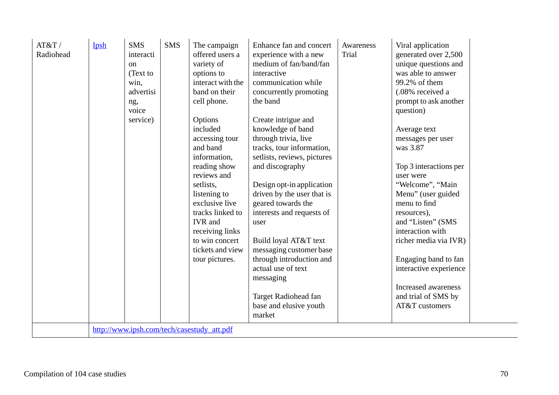|  | AT&T/<br>Radiohead | Ipsh | <b>SMS</b><br>interacti<br>on<br>(Text to<br>win,<br>advertisi<br>ng,<br>voice<br>service) | <b>SMS</b> | The campaign<br>offered users a<br>variety of<br>options to<br>interact with the<br>band on their<br>cell phone.<br>Options<br>included<br>accessing tour<br>and band<br>information,<br>reading show<br>reviews and<br>setlists,<br>listening to<br>exclusive live<br>tracks linked to<br><b>IVR</b> and<br>receiving links<br>to win concert<br>tickets and view<br>tour pictures.<br>http://www.ipsh.com/tech/casestudy_att.pdf | Enhance fan and concert<br>experience with a new<br>medium of fan/band/fan<br>interactive<br>communication while<br>concurrently promoting<br>the band<br>Create intrigue and<br>knowledge of band<br>through trivia, live<br>tracks, tour information,<br>setlists, reviews, pictures<br>and discography<br>Design opt-in application<br>driven by the user that is<br>geared towards the<br>interests and requests of<br>user<br>Build loyal AT&T text<br>messaging customer base<br>through introduction and<br>actual use of text<br>messaging<br>Target Radiohead fan<br>base and elusive youth<br>market | Awareness<br>Trial | Viral application<br>generated over 2,500<br>unique questions and<br>was able to answer<br>99.2% of them<br>(.08% received a<br>prompt to ask another<br>question)<br>Average text<br>messages per user<br>was 3.87<br>Top 3 interactions per<br>user were<br>"Welcome", "Main<br>Menu" (user guided<br>menu to find<br>resources),<br>and "Listen" (SMS<br>interaction with<br>richer media via IVR)<br>Engaging band to fan<br>interactive experience<br>Increased awareness<br>and trial of SMS by<br>AT&T customers |  |
|--|--------------------|------|--------------------------------------------------------------------------------------------|------------|------------------------------------------------------------------------------------------------------------------------------------------------------------------------------------------------------------------------------------------------------------------------------------------------------------------------------------------------------------------------------------------------------------------------------------|----------------------------------------------------------------------------------------------------------------------------------------------------------------------------------------------------------------------------------------------------------------------------------------------------------------------------------------------------------------------------------------------------------------------------------------------------------------------------------------------------------------------------------------------------------------------------------------------------------------|--------------------|-------------------------------------------------------------------------------------------------------------------------------------------------------------------------------------------------------------------------------------------------------------------------------------------------------------------------------------------------------------------------------------------------------------------------------------------------------------------------------------------------------------------------|--|
|--|--------------------|------|--------------------------------------------------------------------------------------------|------------|------------------------------------------------------------------------------------------------------------------------------------------------------------------------------------------------------------------------------------------------------------------------------------------------------------------------------------------------------------------------------------------------------------------------------------|----------------------------------------------------------------------------------------------------------------------------------------------------------------------------------------------------------------------------------------------------------------------------------------------------------------------------------------------------------------------------------------------------------------------------------------------------------------------------------------------------------------------------------------------------------------------------------------------------------------|--------------------|-------------------------------------------------------------------------------------------------------------------------------------------------------------------------------------------------------------------------------------------------------------------------------------------------------------------------------------------------------------------------------------------------------------------------------------------------------------------------------------------------------------------------|--|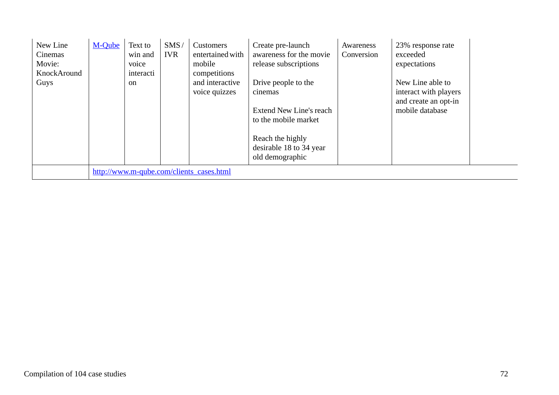| New Line<br>Cinemas<br>Movie: | M-Qube | Text to<br>win and<br>voice | SMS/<br><b>IVR</b> | Customers<br>entertained with<br>mobile  | Create pre-launch<br>awareness for the movie<br>release subscriptions                                                                               | Awareness<br>Conversion | 23% response rate<br>exceeded<br>expectations                                        |  |
|-------------------------------|--------|-----------------------------|--------------------|------------------------------------------|-----------------------------------------------------------------------------------------------------------------------------------------------------|-------------------------|--------------------------------------------------------------------------------------|--|
| KnockAround                   |        | interacti                   |                    | competitions                             |                                                                                                                                                     |                         |                                                                                      |  |
| Guys                          |        | <sub>on</sub>               |                    | and interactive<br>voice quizzes         | Drive people to the<br>cinemas<br>Extend New Line's reach<br>to the mobile market<br>Reach the highly<br>desirable 18 to 34 year<br>old demographic |                         | New Line able to<br>interact with players<br>and create an opt-in<br>mobile database |  |
|                               |        |                             |                    |                                          |                                                                                                                                                     |                         |                                                                                      |  |
|                               |        |                             |                    | http://www.m-qube.com/clients_cases.html |                                                                                                                                                     |                         |                                                                                      |  |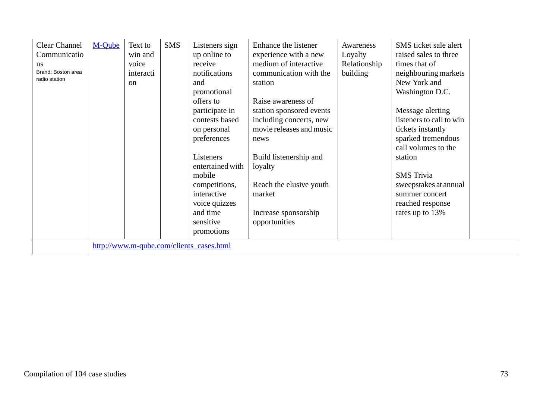| <b>Clear Channel</b><br>Communicatio<br>ns<br>Brand: Boston area<br>radio station | M-Qube | Text to<br>win and<br>voice<br>interacti<br><sub>on</sub> | <b>SMS</b> | Listeners sign<br>up online to<br>receive<br>notifications<br>and<br>promotional | Enhance the listener<br>experience with a new<br>medium of interactive<br>communication with the<br>station | Awareness<br>Loyalty<br>Relationship<br>building | SMS ticket sale alert<br>raised sales to three<br>times that of<br>neighbouring markets<br>New York and<br>Washington D.C. |  |
|-----------------------------------------------------------------------------------|--------|-----------------------------------------------------------|------------|----------------------------------------------------------------------------------|-------------------------------------------------------------------------------------------------------------|--------------------------------------------------|----------------------------------------------------------------------------------------------------------------------------|--|
|                                                                                   |        |                                                           |            | offers to                                                                        | Raise awareness of                                                                                          |                                                  |                                                                                                                            |  |
|                                                                                   |        |                                                           |            | participate in                                                                   | station sponsored events                                                                                    |                                                  | Message alerting                                                                                                           |  |
|                                                                                   |        |                                                           |            | contests based                                                                   | including concerts, new                                                                                     |                                                  | listeners to call to win                                                                                                   |  |
|                                                                                   |        |                                                           |            | on personal                                                                      | movie releases and music                                                                                    |                                                  | tickets instantly                                                                                                          |  |
|                                                                                   |        |                                                           |            | preferences                                                                      | news                                                                                                        |                                                  | sparked tremendous                                                                                                         |  |
|                                                                                   |        |                                                           |            |                                                                                  |                                                                                                             |                                                  | call volumes to the                                                                                                        |  |
|                                                                                   |        |                                                           |            | Listeners                                                                        | Build listenership and                                                                                      |                                                  | station                                                                                                                    |  |
|                                                                                   |        |                                                           |            | entertained with                                                                 | loyalty                                                                                                     |                                                  |                                                                                                                            |  |
|                                                                                   |        |                                                           |            | mobile                                                                           |                                                                                                             |                                                  | <b>SMS</b> Trivia                                                                                                          |  |
|                                                                                   |        |                                                           |            | competitions,                                                                    | Reach the elusive youth                                                                                     |                                                  | sweepstakes at annual                                                                                                      |  |
|                                                                                   |        |                                                           |            | interactive                                                                      | market                                                                                                      |                                                  | summer concert                                                                                                             |  |
|                                                                                   |        |                                                           |            | voice quizzes                                                                    |                                                                                                             |                                                  | reached response                                                                                                           |  |
|                                                                                   |        |                                                           |            | and time                                                                         | Increase sponsorship                                                                                        |                                                  | rates up to 13%                                                                                                            |  |
|                                                                                   |        |                                                           |            | sensitive                                                                        | opportunities                                                                                               |                                                  |                                                                                                                            |  |
|                                                                                   |        |                                                           |            | promotions                                                                       |                                                                                                             |                                                  |                                                                                                                            |  |
|                                                                                   |        |                                                           |            | http://www.m-qube.com/clients_cases.html                                         |                                                                                                             |                                                  |                                                                                                                            |  |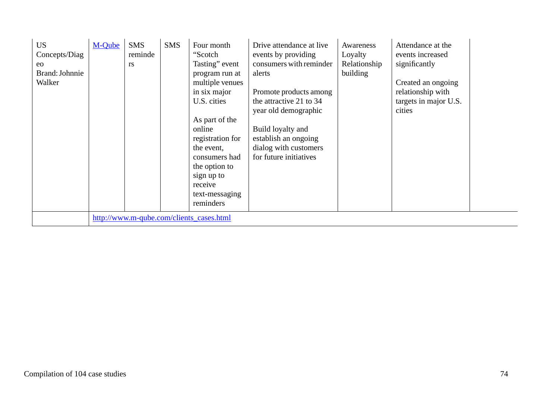| <b>US</b><br>Concepts/Diag<br>eo<br>Brand: Johnnie<br>Walker | M-Oube | <b>SMS</b><br>reminde<br><b>rs</b> | <b>SMS</b> | Four month<br>"Scotch<br>Tasting" event<br>program run at<br>multiple venues<br>in six major<br>U.S. cities<br>As part of the<br>online<br>registration for<br>the event,<br>consumers had<br>the option to<br>sign up to<br>receive<br>text-messaging<br>reminders | Drive attendance at live<br>events by providing<br>consumers with reminder<br>alerts<br>Promote products among<br>the attractive 21 to 34<br>year old demographic<br>Build loyalty and<br>establish an ongoing<br>dialog with customers<br>for future initiatives | Awareness<br>Loyalty<br>Relationship<br>building | Attendance at the<br>events increased<br>significantly<br>Created an ongoing<br>relationship with<br>targets in major U.S.<br>cities |  |
|--------------------------------------------------------------|--------|------------------------------------|------------|---------------------------------------------------------------------------------------------------------------------------------------------------------------------------------------------------------------------------------------------------------------------|-------------------------------------------------------------------------------------------------------------------------------------------------------------------------------------------------------------------------------------------------------------------|--------------------------------------------------|--------------------------------------------------------------------------------------------------------------------------------------|--|
|                                                              |        |                                    |            | http://www.m-qube.com/clients_cases.html                                                                                                                                                                                                                            |                                                                                                                                                                                                                                                                   |                                                  |                                                                                                                                      |  |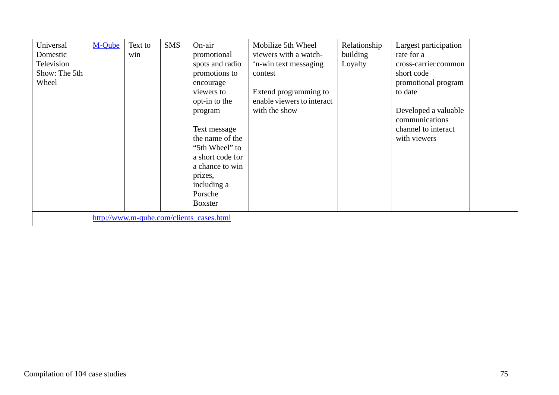| Universal<br>Domestic<br>Television<br>Show: The 5th<br>Wheel | M-Oube | Text to<br>win | <b>SMS</b> | On-air<br>promotional<br>spots and radio<br>promotions to<br>encourage<br>viewers to<br>opt-in to the<br>program<br>Text message<br>the name of the<br>"5th Wheel" to<br>a short code for<br>a chance to win<br>prizes,<br>including a<br>Porsche<br><b>Boxster</b> | Mobilize 5th Wheel<br>viewers with a watch-<br>'n-win text messaging<br>contest<br>Extend programming to<br>enable viewers to interact<br>with the show | Relationship<br>building<br>Loyalty | Largest participation<br>rate for a<br>cross-carrier common<br>short code<br>promotional program<br>to date<br>Developed a valuable<br>communications<br>channel to interact<br>with viewers |  |
|---------------------------------------------------------------|--------|----------------|------------|---------------------------------------------------------------------------------------------------------------------------------------------------------------------------------------------------------------------------------------------------------------------|---------------------------------------------------------------------------------------------------------------------------------------------------------|-------------------------------------|----------------------------------------------------------------------------------------------------------------------------------------------------------------------------------------------|--|
|                                                               |        |                |            | http://www.m-qube.com/clients_cases.html                                                                                                                                                                                                                            |                                                                                                                                                         |                                     |                                                                                                                                                                                              |  |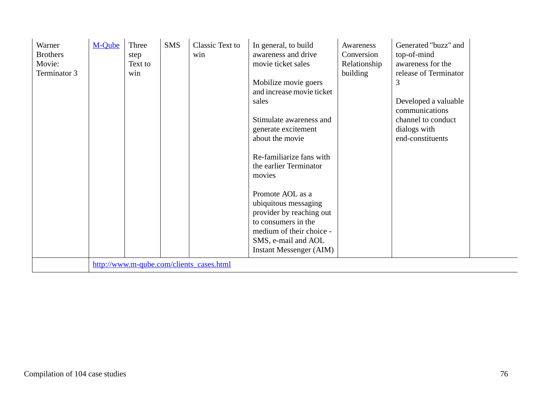| Warner<br><b>Brothers</b><br>Movie:<br>Terminator 3 | M-Qube | Three<br>step<br>Text to<br>win | <b>SMS</b> | Classic Text to<br>win                   | In general, to build<br>awareness and drive<br>movie ticket sales<br>Mobilize movie goers<br>and increase movie ticket<br>sales<br>Stimulate awareness and<br>generate excitement<br>about the movie<br>Re-familiarize fans with<br>the earlier Terminator<br>movies<br>Promote AOL as a<br>ubiquitous messaging<br>provider by reaching out<br>to consumers in the<br>medium of their choice -<br>SMS, e-mail and AOL<br><b>Instant Messenger (AIM)</b> | Awareness<br>Conversion<br>Relationship<br>building | Generated "buzz" and<br>top-of-mind<br>awareness for the<br>release of Terminator<br>3<br>Developed a valuable<br>communications<br>channel to conduct<br>dialogs with<br>end-constituents |  |
|-----------------------------------------------------|--------|---------------------------------|------------|------------------------------------------|----------------------------------------------------------------------------------------------------------------------------------------------------------------------------------------------------------------------------------------------------------------------------------------------------------------------------------------------------------------------------------------------------------------------------------------------------------|-----------------------------------------------------|--------------------------------------------------------------------------------------------------------------------------------------------------------------------------------------------|--|
|                                                     |        |                                 |            | http://www.m-qube.com/clients_cases.html |                                                                                                                                                                                                                                                                                                                                                                                                                                                          |                                                     |                                                                                                                                                                                            |  |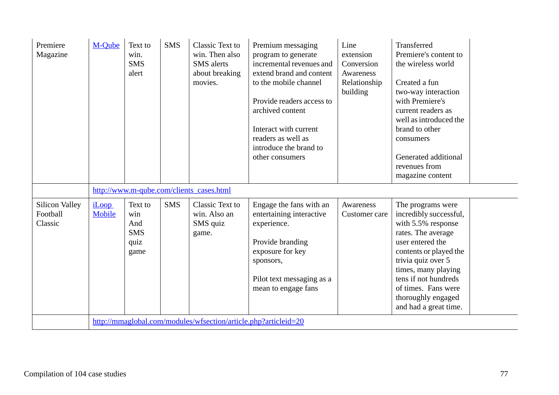| Premiere<br>Magazine                         | M-Qube                 | Text to<br>win.<br><b>SMS</b><br>alert              | <b>SMS</b> | Classic Text to<br>win. Then also<br><b>SMS</b> alerts<br>about breaking<br>movies. | Premium messaging<br>program to generate<br>incremental revenues and<br>extend brand and content<br>to the mobile channel<br>Provide readers access to<br>archived content<br>Interact with current<br>readers as well as<br>introduce the brand to<br>other consumers | Line<br>extension<br>Conversion<br>Awareness<br>Relationship<br>building | Transferred<br>Premiere's content to<br>the wireless world<br>Created a fun<br>two-way interaction<br>with Premiere's<br>current readers as<br>well as introduced the<br>brand to other<br>consumers<br>Generated additional<br>revenues from<br>magazine content                |
|----------------------------------------------|------------------------|-----------------------------------------------------|------------|-------------------------------------------------------------------------------------|------------------------------------------------------------------------------------------------------------------------------------------------------------------------------------------------------------------------------------------------------------------------|--------------------------------------------------------------------------|----------------------------------------------------------------------------------------------------------------------------------------------------------------------------------------------------------------------------------------------------------------------------------|
|                                              |                        |                                                     |            | http://www.m-qube.com/clients_cases.html                                            |                                                                                                                                                                                                                                                                        |                                                                          |                                                                                                                                                                                                                                                                                  |
| <b>Silicon Valley</b><br>Football<br>Classic | <i>iLoop</i><br>Mobile | Text to<br>win<br>And<br><b>SMS</b><br>quiz<br>game | <b>SMS</b> | Classic Text to<br>win. Also an<br>SMS quiz<br>game.                                | Engage the fans with an<br>entertaining interactive<br>experience.<br>Provide branding<br>exposure for key<br>sponsors,<br>Pilot text messaging as a<br>mean to engage fans                                                                                            | Awareness<br>Customer care                                               | The programs were<br>incredibly successful,<br>with 5.5% response<br>rates. The average<br>user entered the<br>contents or played the<br>trivia quiz over 5<br>times, many playing<br>tens if not hundreds<br>of times. Fans were<br>thoroughly engaged<br>and had a great time. |
|                                              |                        |                                                     |            | http://mmaglobal.com/modules/wfsection/article.php?articleid=20                     |                                                                                                                                                                                                                                                                        |                                                                          |                                                                                                                                                                                                                                                                                  |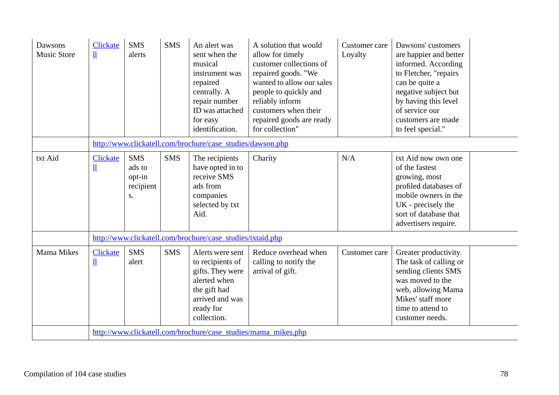| Dawsons<br><b>Music Store</b> | <b>Clickate</b><br>$\mathbf{\underline{\mathit{1}}}\mathbf{\underline{\mathit{1}}}$ | <b>SMS</b><br>alerts                              | <b>SMS</b> | An alert was<br>sent when the<br>musical<br>instrument was<br>repaired<br>centrally. A<br>repair number<br>ID was attached<br>for easy<br>identification. | A solution that would<br>allow for timely<br>customer collections of<br>repaired goods. "We<br>wanted to allow our sales<br>people to quickly and<br>reliably inform<br>customers when their<br>repaired goods are ready<br>for collection" | Customer care<br>Loyalty | Dawsons' customers<br>are happier and better<br>informed. According<br>to Fletcher, "repairs<br>can be quite a<br>negative subject but<br>by having this level<br>of service our<br>customers are made<br>to feel special." |  |
|-------------------------------|-------------------------------------------------------------------------------------|---------------------------------------------------|------------|-----------------------------------------------------------------------------------------------------------------------------------------------------------|---------------------------------------------------------------------------------------------------------------------------------------------------------------------------------------------------------------------------------------------|--------------------------|-----------------------------------------------------------------------------------------------------------------------------------------------------------------------------------------------------------------------------|--|
|                               |                                                                                     |                                                   |            | http://www.clickatell.com/brochure/case_studies/dawson.php                                                                                                |                                                                                                                                                                                                                                             |                          |                                                                                                                                                                                                                             |  |
| txt Aid                       | <b>Clickate</b><br>$\mathbf{u}$                                                     | <b>SMS</b><br>ads to<br>opt-in<br>recipient<br>S. | <b>SMS</b> | The recipients<br>have opted in to<br>receive SMS<br>ads from<br>companies<br>selected by txt<br>Aid.                                                     | Charity                                                                                                                                                                                                                                     | N/A                      | txt Aid now own one<br>of the fastest<br>growing, most<br>profiled databases of<br>mobile owners in the<br>UK - precisely the<br>sort of database that<br>advertisers require.                                              |  |
|                               |                                                                                     |                                                   |            | http://www.clickatell.com/brochure/case_studies/txtaid.php                                                                                                |                                                                                                                                                                                                                                             |                          |                                                                                                                                                                                                                             |  |
| <b>Mama Mikes</b>             | <b>Clickate</b><br>$\underline{\textbf{1}}$                                         | <b>SMS</b><br>alert                               | <b>SMS</b> | Alerts were sent<br>to recipients of<br>gifts. They were<br>alerted when<br>the gift had<br>arrived and was<br>ready for<br>collection.                   | Reduce overhead when<br>calling to notify the<br>arrival of gift.                                                                                                                                                                           | Customer care            | Greater productivity.<br>The task of calling or<br>sending clients SMS<br>was moved to the<br>web, allowing Mama<br>Mikes' staff more<br>time to attend to<br>customer needs.                                               |  |
|                               |                                                                                     |                                                   |            | http://www.clickatell.com/brochure/case_studies/mama_mikes.php                                                                                            |                                                                                                                                                                                                                                             |                          |                                                                                                                                                                                                                             |  |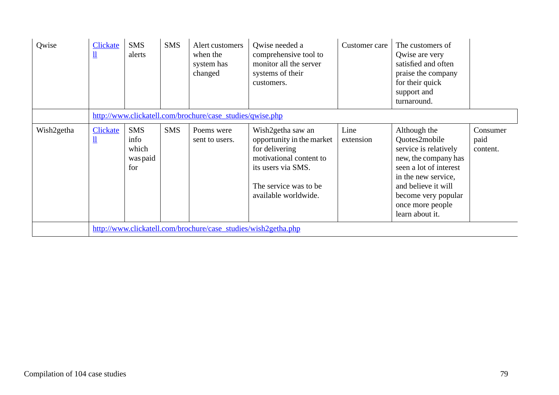| Qwise      | <b>Clickate</b><br>Щ | <b>SMS</b><br>alerts                           | <b>SMS</b> | Alert customers<br>when the<br>system has<br>changed           | Qwise needed a<br>comprehensive tool to<br>monitor all the server<br>systems of their<br>customers.                                                                 | Customer care     | The customers of<br>Qwise are very<br>satisfied and often<br>praise the company<br>for their quick<br>support and<br>turnaround.                                                                                     |                              |
|------------|----------------------|------------------------------------------------|------------|----------------------------------------------------------------|---------------------------------------------------------------------------------------------------------------------------------------------------------------------|-------------------|----------------------------------------------------------------------------------------------------------------------------------------------------------------------------------------------------------------------|------------------------------|
|            |                      |                                                |            | http://www.clickatell.com/brochure/case_studies/qwise.php      |                                                                                                                                                                     |                   |                                                                                                                                                                                                                      |                              |
| Wish2getha | <b>Clickate</b><br>Щ | <b>SMS</b><br>info<br>which<br>was paid<br>for | <b>SMS</b> | Poems were<br>sent to users.                                   | Wish2getha saw an<br>opportunity in the market<br>for delivering<br>motivational content to<br>its users via SMS.<br>The service was to be.<br>available worldwide. | Line<br>extension | Although the<br>Quotes2mobile<br>service is relatively<br>new, the company has<br>seen a lot of interest<br>in the new service,<br>and believe it will<br>become very popular<br>once more people<br>learn about it. | Consumer<br>paid<br>content. |
|            |                      |                                                |            | http://www.clickatell.com/brochure/case_studies/wish2getha.php |                                                                                                                                                                     |                   |                                                                                                                                                                                                                      |                              |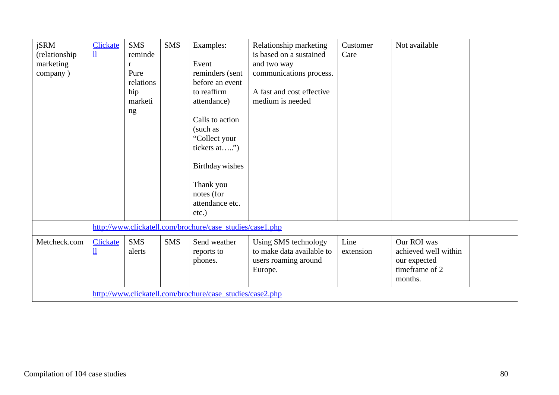| jSRM<br>(relationship)<br>marketing<br>company) | <b>Clickate</b><br>$\mathbf{\underline{\mathit{l}}}\mathbf{\underline{\mathit{l}}}$ | <b>SMS</b><br>reminde<br>r<br>Pure<br>relations<br>hip<br>marketi<br>ng | <b>SMS</b> | Examples:<br>Event<br>reminders (sent<br>before an event<br>to reaffirm<br>attendance)<br>Calls to action<br>(such as<br>"Collect your<br>tickets at")<br>Birthday wishes<br>Thank you<br>notes (for<br>attendance etc.<br>$etc.$ ) | Relationship marketing<br>is based on a sustained<br>and two way<br>communications process.<br>A fast and cost effective<br>medium is needed | Customer<br>Care  | Not available                                                                    |
|-------------------------------------------------|-------------------------------------------------------------------------------------|-------------------------------------------------------------------------|------------|-------------------------------------------------------------------------------------------------------------------------------------------------------------------------------------------------------------------------------------|----------------------------------------------------------------------------------------------------------------------------------------------|-------------------|----------------------------------------------------------------------------------|
|                                                 |                                                                                     |                                                                         |            | http://www.clickatell.com/brochure/case_studies/case1.php                                                                                                                                                                           |                                                                                                                                              |                   |                                                                                  |
| Metcheck.com                                    | <b>Clickate</b><br>Щ                                                                | <b>SMS</b><br>alerts                                                    | <b>SMS</b> | Send weather<br>reports to<br>phones.                                                                                                                                                                                               | Using SMS technology<br>to make data available to<br>users roaming around<br>Europe.                                                         | Line<br>extension | Our ROI was<br>achieved well within<br>our expected<br>timeframe of 2<br>months. |
|                                                 |                                                                                     |                                                                         |            | http://www.clickatell.com/brochure/case_studies/case2.php                                                                                                                                                                           |                                                                                                                                              |                   |                                                                                  |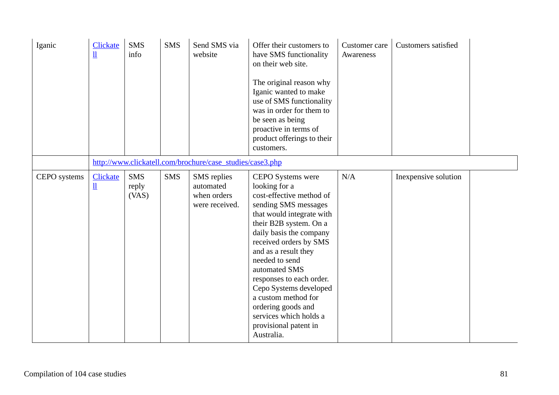| Iganic       | <b>Clickate</b><br>$\mathbf{\underline{\textbf{u}}}$ | <b>SMS</b><br>info           | <b>SMS</b> | Send SMS via<br>website                                   | Offer their customers to<br>have SMS functionality<br>on their web site.<br>The original reason why<br>Iganic wanted to make<br>use of SMS functionality<br>was in order for them to<br>be seen as being<br>proactive in terms of<br>product offerings to their<br>customers.                                                                                                                                                            | Customer care<br>Awareness | <b>Customers satisfied</b> |  |
|--------------|------------------------------------------------------|------------------------------|------------|-----------------------------------------------------------|------------------------------------------------------------------------------------------------------------------------------------------------------------------------------------------------------------------------------------------------------------------------------------------------------------------------------------------------------------------------------------------------------------------------------------------|----------------------------|----------------------------|--|
|              |                                                      |                              |            | http://www.clickatell.com/brochure/case_studies/case3.php |                                                                                                                                                                                                                                                                                                                                                                                                                                          |                            |                            |  |
| CEPO systems | <b>Clickate</b><br>$\mathbf{\underline{\textbf{u}}}$ | <b>SMS</b><br>reply<br>(VAS) | <b>SMS</b> | SMS replies<br>automated<br>when orders<br>were received. | <b>CEPO</b> Systems were<br>looking for a<br>cost-effective method of<br>sending SMS messages<br>that would integrate with<br>their B2B system. On a<br>daily basis the company<br>received orders by SMS<br>and as a result they<br>needed to send<br>automated SMS<br>responses to each order.<br>Cepo Systems developed<br>a custom method for<br>ordering goods and<br>services which holds a<br>provisional patent in<br>Australia. | N/A                        | Inexpensive solution       |  |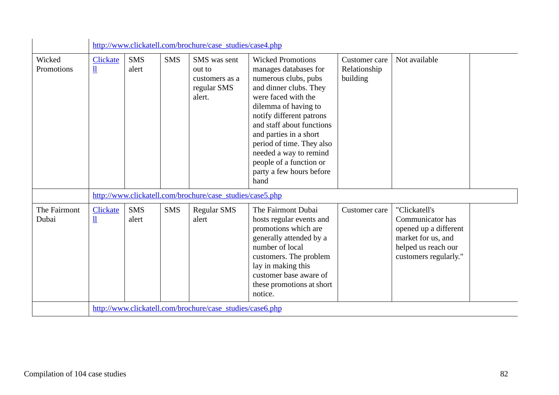|                       |                                               |                     |            | http://www.clickatell.com/brochure/case_studies/case4.php         |                                                                                                                                                                                                                                                                                                                                                             |                                           |                                                                                                                                  |
|-----------------------|-----------------------------------------------|---------------------|------------|-------------------------------------------------------------------|-------------------------------------------------------------------------------------------------------------------------------------------------------------------------------------------------------------------------------------------------------------------------------------------------------------------------------------------------------------|-------------------------------------------|----------------------------------------------------------------------------------------------------------------------------------|
| Wicked<br>Promotions  | Clickate<br>$\mathbf{\underline{\textbf{u}}}$ | <b>SMS</b><br>alert | <b>SMS</b> | SMS was sent<br>out to<br>customers as a<br>regular SMS<br>alert. | <b>Wicked Promotions</b><br>manages databases for<br>numerous clubs, pubs<br>and dinner clubs. They<br>were faced with the<br>dilemma of having to<br>notify different patrons<br>and staff about functions<br>and parties in a short<br>period of time. They also<br>needed a way to remind<br>people of a function or<br>party a few hours before<br>hand | Customer care<br>Relationship<br>building | Not available                                                                                                                    |
|                       |                                               |                     |            | http://www.clickatell.com/brochure/case_studies/case5.php         |                                                                                                                                                                                                                                                                                                                                                             |                                           |                                                                                                                                  |
| The Fairmont<br>Dubai | <b>Clickate</b><br>$\underline{\mathbf{u}}$   | <b>SMS</b><br>alert | <b>SMS</b> | <b>Regular SMS</b><br>alert                                       | The Fairmont Dubai<br>hosts regular events and<br>promotions which are<br>generally attended by a<br>number of local<br>customers. The problem<br>lay in making this<br>customer base aware of<br>these promotions at short<br>notice.                                                                                                                      | Customer care                             | "Clickatell's<br>Communicator has<br>opened up a different<br>market for us, and<br>helped us reach our<br>customers regularly." |
|                       |                                               |                     |            | http://www.clickatell.com/brochure/case_studies/case6.php         |                                                                                                                                                                                                                                                                                                                                                             |                                           |                                                                                                                                  |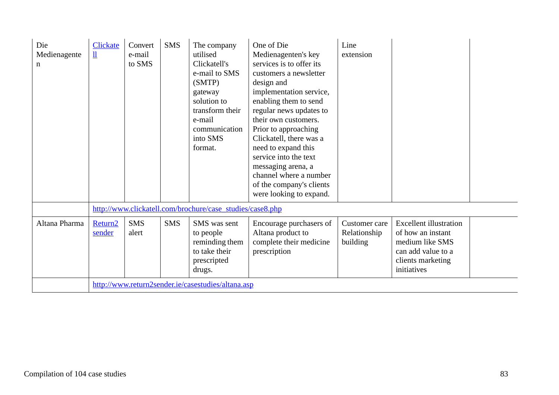| Die<br>Medienagente<br>n | <b>Clickate</b><br>$\mathbf{\underline{\mathit{l}}}\mathbf{\underline{\mathit{l}}}$ | Convert<br>e-mail<br>to SMS | <b>SMS</b> | The company<br>utilised<br>Clickatell's<br>e-mail to SMS<br>(SMTP)<br>gateway<br>solution to<br>transform their<br>e-mail<br>communication<br>into SMS<br>format. | One of Die<br>Medienagenten's key<br>services is to offer its<br>customers a newsletter<br>design and<br>implementation service,<br>enabling them to send<br>regular news updates to<br>their own customers.<br>Prior to approaching<br>Clickatell, there was a<br>need to expand this<br>service into the text<br>messaging arena, a<br>channel where a number<br>of the company's clients<br>were looking to expand. | Line<br>extension                         |                                                                                                                                 |  |
|--------------------------|-------------------------------------------------------------------------------------|-----------------------------|------------|-------------------------------------------------------------------------------------------------------------------------------------------------------------------|------------------------------------------------------------------------------------------------------------------------------------------------------------------------------------------------------------------------------------------------------------------------------------------------------------------------------------------------------------------------------------------------------------------------|-------------------------------------------|---------------------------------------------------------------------------------------------------------------------------------|--|
|                          |                                                                                     |                             |            | http://www.clickatell.com/brochure/case_studies/case8.php                                                                                                         |                                                                                                                                                                                                                                                                                                                                                                                                                        |                                           |                                                                                                                                 |  |
| Altana Pharma            | Return <sub>2</sub><br>sender                                                       | <b>SMS</b><br>alert         | <b>SMS</b> | SMS was sent<br>to people<br>reminding them<br>to take their<br>prescripted<br>drugs.                                                                             | Encourage purchasers of<br>Altana product to<br>complete their medicine<br>prescription                                                                                                                                                                                                                                                                                                                                | Customer care<br>Relationship<br>building | <b>Excellent illustration</b><br>of how an instant<br>medium like SMS<br>can add value to a<br>clients marketing<br>initiatives |  |
|                          |                                                                                     |                             |            | http://www.return2sender.ie/casestudies/altana.asp                                                                                                                |                                                                                                                                                                                                                                                                                                                                                                                                                        |                                           |                                                                                                                                 |  |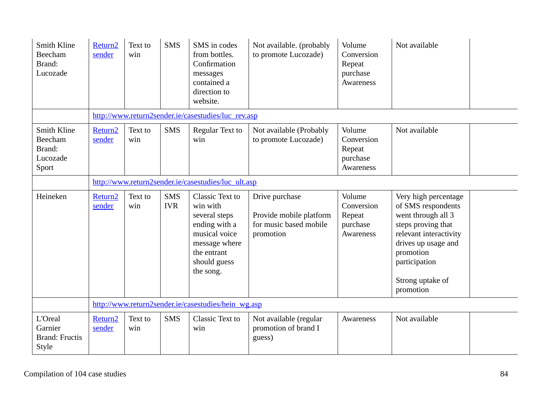| Smith Kline<br>Beecham<br>Brand:<br>Lucozade          | Return <sub>2</sub><br>sender | Text to<br>win | <b>SMS</b>               | SMS in codes<br>from bottles.<br>Confirmation<br>messages<br>contained a<br>direction to<br>website.                                               | Not available. (probably<br>to promote Lucozade)                                 | Volume<br>Conversion<br>Repeat<br>purchase<br>Awareness | Not available                                                                                                                                                                                          |
|-------------------------------------------------------|-------------------------------|----------------|--------------------------|----------------------------------------------------------------------------------------------------------------------------------------------------|----------------------------------------------------------------------------------|---------------------------------------------------------|--------------------------------------------------------------------------------------------------------------------------------------------------------------------------------------------------------|
|                                                       |                               |                |                          | http://www.return2sender.ie/casestudies/luc_rev.asp                                                                                                |                                                                                  |                                                         |                                                                                                                                                                                                        |
| Smith Kline<br>Beecham<br>Brand:<br>Lucozade<br>Sport | Return <sub>2</sub><br>sender | Text to<br>win | <b>SMS</b>               | Regular Text to<br>win                                                                                                                             | Not available (Probably<br>to promote Lucozade)                                  | Volume<br>Conversion<br>Repeat<br>purchase<br>Awareness | Not available                                                                                                                                                                                          |
|                                                       |                               |                |                          | http://www.return2sender.ie/casestudies/luc_ult.asp                                                                                                |                                                                                  |                                                         |                                                                                                                                                                                                        |
| Heineken                                              | Return2<br>sender             | Text to<br>win | <b>SMS</b><br><b>IVR</b> | <b>Classic Text to</b><br>win with<br>several steps<br>ending with a<br>musical voice<br>message where<br>the entrant<br>should guess<br>the song. | Drive purchase<br>Provide mobile platform<br>for music based mobile<br>promotion | Volume<br>Conversion<br>Repeat<br>purchase<br>Awareness | Very high percentage<br>of SMS respondents<br>went through all 3<br>steps proving that<br>relevant interactivity<br>drives up usage and<br>promotion<br>participation<br>Strong uptake of<br>promotion |
|                                                       |                               |                |                          | http://www.return2sender.ie/casestudies/hein wg.asp                                                                                                |                                                                                  |                                                         |                                                                                                                                                                                                        |
| L'Oreal<br>Garnier<br><b>Brand: Fructis</b><br>Style  | Return <sub>2</sub><br>sender | Text to<br>win | <b>SMS</b>               | Classic Text to<br>win                                                                                                                             | Not available (regular<br>promotion of brand I<br>guess)                         | Awareness                                               | Not available                                                                                                                                                                                          |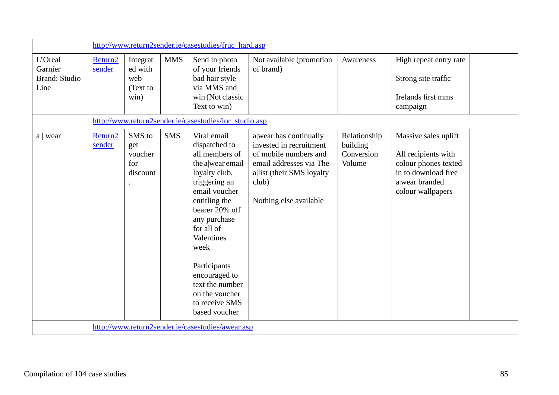|                                                    |                               |                                                |            | http://www.return2sender.ie/casestudies/fruc hard.asp                                                                                                                                                                                                                                                                 |                                                                                                                                                                       |                                                  |                                                                                                                                   |
|----------------------------------------------------|-------------------------------|------------------------------------------------|------------|-----------------------------------------------------------------------------------------------------------------------------------------------------------------------------------------------------------------------------------------------------------------------------------------------------------------------|-----------------------------------------------------------------------------------------------------------------------------------------------------------------------|--------------------------------------------------|-----------------------------------------------------------------------------------------------------------------------------------|
| L'Oreal<br>Garnier<br><b>Brand: Studio</b><br>Line | Return <sub>2</sub><br>sender | Integrat<br>ed with<br>web<br>(Text to<br>win) | <b>MMS</b> | Send in photo<br>of your friends<br>bad hair style<br>via MMS and<br>win (Not classic<br>Text to win)<br>http://www.return2sender.ie/casestudies/lor_studio.asp                                                                                                                                                       | Not available (promotion<br>of brand)                                                                                                                                 | Awareness                                        | High repeat entry rate<br>Strong site traffic<br>Irelands first mms<br>campaign                                                   |
| $a \mid$ wear                                      | Return <sub>2</sub><br>sender | SMS to<br>get<br>voucher<br>for<br>discount    | <b>SMS</b> | Viral email<br>dispatched to<br>all members of<br>the a wear email<br>loyalty club,<br>triggering an<br>email voucher<br>entitling the<br>bearer 20% off<br>any purchase<br>for all of<br>Valentines<br>week<br>Participants<br>encouraged to<br>text the number<br>on the voucher<br>to receive SMS<br>based voucher | a wear has continually<br>invested in recruitment<br>of mobile numbers and<br>email addresses via The<br>allist (their SMS loyalty<br>club)<br>Nothing else available | Relationship<br>building<br>Conversion<br>Volume | Massive sales uplift<br>All recipients with<br>colour phones texted<br>in to download free<br>a wear branded<br>colour wallpapers |
|                                                    |                               |                                                |            | http://www.return2sender.ie/casestudies/awear.asp                                                                                                                                                                                                                                                                     |                                                                                                                                                                       |                                                  |                                                                                                                                   |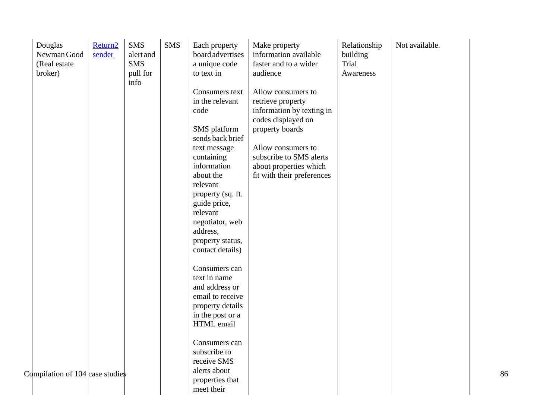| Douglas<br>Newman Good<br>(Real estate)<br>broker) | Return <sub>2</sub><br>sender | <b>SMS</b><br>alert and<br><b>SMS</b><br>pull for<br>info | <b>SMS</b> | Each property<br>board advertises<br>a unique code<br>to text in    | Make property<br>information available<br>faster and to a wider<br>audience                           | Relationship<br>building<br>Trial<br>Awareness | Not available. |    |
|----------------------------------------------------|-------------------------------|-----------------------------------------------------------|------------|---------------------------------------------------------------------|-------------------------------------------------------------------------------------------------------|------------------------------------------------|----------------|----|
|                                                    |                               |                                                           |            | Consumers text<br>in the relevant<br>code                           | Allow consumers to<br>retrieve property<br>information by texting in<br>codes displayed on            |                                                |                |    |
|                                                    |                               |                                                           |            | SMS platform<br>sends back brief                                    | property boards                                                                                       |                                                |                |    |
|                                                    |                               |                                                           |            | text message<br>containing<br>information<br>about the              | Allow consumers to<br>subscribe to SMS alerts<br>about properties which<br>fit with their preferences |                                                |                |    |
|                                                    |                               |                                                           |            | relevant<br>property (sq. ft.<br>guide price,                       |                                                                                                       |                                                |                |    |
|                                                    |                               |                                                           |            | relevant<br>negotiator, web<br>address,                             |                                                                                                       |                                                |                |    |
|                                                    |                               |                                                           |            | property status,<br>contact details)                                |                                                                                                       |                                                |                |    |
|                                                    |                               |                                                           |            | Consumers can<br>text in name<br>and address or<br>email to receive |                                                                                                       |                                                |                |    |
|                                                    |                               |                                                           |            | property details<br>in the post or a<br>HTML email                  |                                                                                                       |                                                |                |    |
|                                                    |                               |                                                           |            | Consumers can<br>subscribe to<br>receive SMS<br>alerts about        |                                                                                                       |                                                |                |    |
| Compilation of 104 case studies                    |                               |                                                           |            | properties that<br>meet their                                       |                                                                                                       |                                                |                | 86 |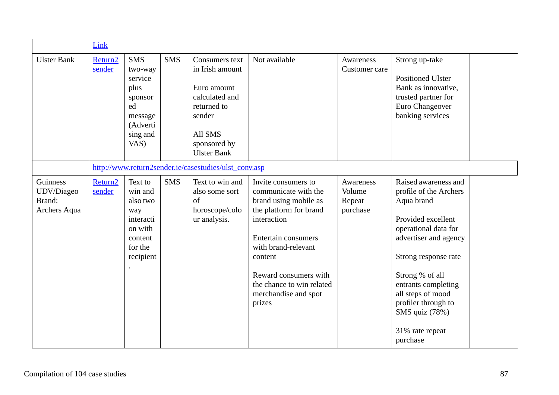|                                                  | Link                          |                                                                                                      |            |                                                                                                                                              |                                                                                                                                                                                                                                                                       |                                           |                                                                                                                                                                                                                                                                                                    |
|--------------------------------------------------|-------------------------------|------------------------------------------------------------------------------------------------------|------------|----------------------------------------------------------------------------------------------------------------------------------------------|-----------------------------------------------------------------------------------------------------------------------------------------------------------------------------------------------------------------------------------------------------------------------|-------------------------------------------|----------------------------------------------------------------------------------------------------------------------------------------------------------------------------------------------------------------------------------------------------------------------------------------------------|
| <b>Ulster Bank</b>                               | Return <sub>2</sub><br>sender | <b>SMS</b><br>two-way<br>service<br>plus<br>sponsor<br>ed<br>message<br>(Adverti<br>sing and<br>VAS) | <b>SMS</b> | Consumers text<br>in Irish amount<br>Euro amount<br>calculated and<br>returned to<br>sender<br>All SMS<br>sponsored by<br><b>Ulster Bank</b> | Not available                                                                                                                                                                                                                                                         | Awareness<br>Customer care                | Strong up-take<br><b>Positioned Ulster</b><br>Bank as innovative,<br>trusted partner for<br>Euro Changeover<br>banking services                                                                                                                                                                    |
|                                                  |                               |                                                                                                      |            | http://www.return2sender.ie/casestudies/ulst_conv.asp                                                                                        |                                                                                                                                                                                                                                                                       |                                           |                                                                                                                                                                                                                                                                                                    |
| Guinness<br>UDV/Diageo<br>Brand:<br>Archers Aqua | Return <sub>2</sub><br>sender | Text to<br>win and<br>also two<br>way<br>interacti<br>on with<br>content<br>for the<br>recipient     | <b>SMS</b> | Text to win and<br>also some sort<br>of<br>horoscope/colo<br>ur analysis.                                                                    | Invite consumers to<br>communicate with the<br>brand using mobile as<br>the platform for brand<br>interaction<br><b>Entertain consumers</b><br>with brand-relevant<br>content<br>Reward consumers with<br>the chance to win related<br>merchandise and spot<br>prizes | Awareness<br>Volume<br>Repeat<br>purchase | Raised awareness and<br>profile of the Archers<br>Aqua brand<br>Provided excellent<br>operational data for<br>advertiser and agency<br>Strong response rate<br>Strong % of all<br>entrants completing<br>all steps of mood<br>profiler through to<br>SMS quiz (78%)<br>31% rate repeat<br>purchase |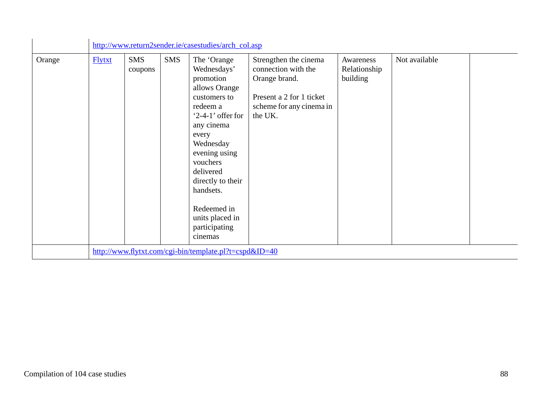|        |               |                       |            | http://www.return2sender.ie/casestudies/arch_col.asp                                                                                                                                                                                                                                        |                                                                                                                                  |                                       |               |  |
|--------|---------------|-----------------------|------------|---------------------------------------------------------------------------------------------------------------------------------------------------------------------------------------------------------------------------------------------------------------------------------------------|----------------------------------------------------------------------------------------------------------------------------------|---------------------------------------|---------------|--|
| Orange | <b>Flytxt</b> | <b>SMS</b><br>coupons | <b>SMS</b> | The 'Orange<br>Wednesdays'<br>promotion<br>allows Orange<br>customers to<br>redeem a<br>' $2-4-1$ ' offer for<br>any cinema<br>every<br>Wednesday<br>evening using<br>vouchers<br>delivered<br>directly to their<br>handsets.<br>Redeemed in<br>units placed in<br>participating<br>cinemas | Strengthen the cinema<br>connection with the<br>Orange brand.<br>Present a 2 for 1 ticket<br>scheme for any cinema in<br>the UK. | Awareness<br>Relationship<br>building | Not available |  |
|        |               |                       |            | http://www.flytxt.com/cgi-bin/template.pl?t=cspd&ID=40                                                                                                                                                                                                                                      |                                                                                                                                  |                                       |               |  |

J.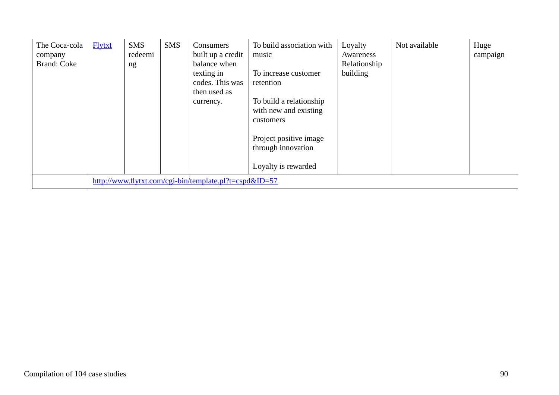| The Coca-cola<br>company<br><b>Brand: Coke</b> | <b>Flytxt</b> | <b>SMS</b><br>redeemi<br>ng | <b>SMS</b> | Consumers<br>built up a credit<br>balance when<br>texting in<br>codes. This was<br>then used as<br>currency. | To build association with<br>music<br>To increase customer<br>retention<br>To build a relationship<br>with new and existing<br>customers<br>Project positive image<br>through innovation<br>Loyalty is rewarded | Loyalty<br>Awareness<br>Relationship<br>building | Not available | Huge<br>campaign |
|------------------------------------------------|---------------|-----------------------------|------------|--------------------------------------------------------------------------------------------------------------|-----------------------------------------------------------------------------------------------------------------------------------------------------------------------------------------------------------------|--------------------------------------------------|---------------|------------------|
|                                                |               |                             |            | http://www.flytxt.com/cgi-bin/template.pl?t=cspd&ID=57                                                       |                                                                                                                                                                                                                 |                                                  |               |                  |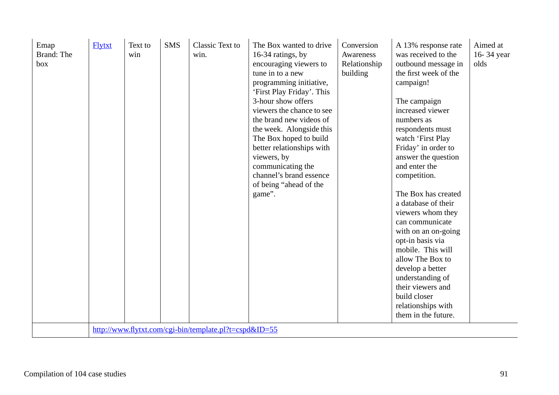| Emap<br>Brand: The<br>box | <b>Flytxt</b> | Text to<br>win | <b>SMS</b> | Classic Text to<br>win.<br>http://www.flytxt.com/cgi-bin/template.pl?t=cspd&ID=55 | The Box wanted to drive<br>16-34 ratings, by<br>encouraging viewers to<br>tune in to a new<br>programming initiative,<br>'First Play Friday'. This<br>3-hour show offers<br>viewers the chance to see<br>the brand new videos of<br>the week. Alongside this<br>The Box hoped to build<br>better relationships with<br>viewers, by<br>communicating the<br>channel's brand essence<br>of being "ahead of the<br>game". | Conversion<br>Awareness<br>Relationship<br>building | A 13% response rate<br>was received to the<br>outbound message in<br>the first week of the<br>campaign!<br>The campaign<br>increased viewer<br>numbers as<br>respondents must<br>watch 'First Play<br>Friday' in order to<br>answer the question<br>and enter the<br>competition.<br>The Box has created<br>a database of their<br>viewers whom they<br>can communicate<br>with on an on-going<br>opt-in basis via<br>mobile. This will<br>allow The Box to<br>develop a better<br>understanding of<br>their viewers and<br>build closer<br>relationships with<br>them in the future. | Aimed at<br>16-34 year<br>olds |
|---------------------------|---------------|----------------|------------|-----------------------------------------------------------------------------------|------------------------------------------------------------------------------------------------------------------------------------------------------------------------------------------------------------------------------------------------------------------------------------------------------------------------------------------------------------------------------------------------------------------------|-----------------------------------------------------|---------------------------------------------------------------------------------------------------------------------------------------------------------------------------------------------------------------------------------------------------------------------------------------------------------------------------------------------------------------------------------------------------------------------------------------------------------------------------------------------------------------------------------------------------------------------------------------|--------------------------------|
|---------------------------|---------------|----------------|------------|-----------------------------------------------------------------------------------|------------------------------------------------------------------------------------------------------------------------------------------------------------------------------------------------------------------------------------------------------------------------------------------------------------------------------------------------------------------------------------------------------------------------|-----------------------------------------------------|---------------------------------------------------------------------------------------------------------------------------------------------------------------------------------------------------------------------------------------------------------------------------------------------------------------------------------------------------------------------------------------------------------------------------------------------------------------------------------------------------------------------------------------------------------------------------------------|--------------------------------|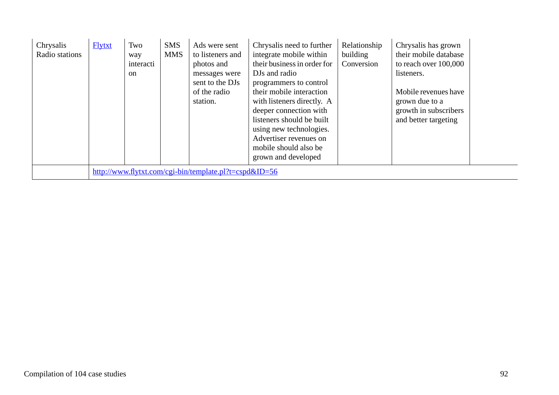| Chrysalis<br>Radio stations | <b>Flytxt</b> | Two<br>way<br>interacti<br><sub>on</sub> | <b>SMS</b><br><b>MMS</b> | Ads were sent<br>to listeners and<br>photos and<br>messages were<br>sent to the DJs<br>of the radio<br>station. | Chrysalis need to further<br>integrate mobile within<br>their business in order for<br>DJs and radio<br>programmers to control<br>their mobile interaction<br>with listeners directly. A<br>deeper connection with<br>listeners should be built<br>using new technologies.<br>Advertiser revenues on<br>mobile should also be<br>grown and developed | Relationship<br>building<br>Conversion | Chrysalis has grown<br>their mobile database<br>to reach over 100,000<br>listeners.<br>Mobile revenues have<br>grown due to a<br>growth in subscribers<br>and better targeting |  |
|-----------------------------|---------------|------------------------------------------|--------------------------|-----------------------------------------------------------------------------------------------------------------|------------------------------------------------------------------------------------------------------------------------------------------------------------------------------------------------------------------------------------------------------------------------------------------------------------------------------------------------------|----------------------------------------|--------------------------------------------------------------------------------------------------------------------------------------------------------------------------------|--|
|                             |               |                                          |                          | http://www.flytxt.com/cgi-bin/template.pl?t=cspd&ID=56                                                          |                                                                                                                                                                                                                                                                                                                                                      |                                        |                                                                                                                                                                                |  |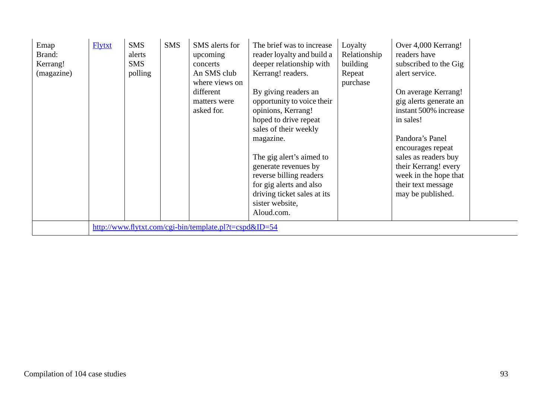| Emap<br>Brand:<br>Kerrang!<br>(magazine) | <b>Flytxt</b> | <b>SMS</b><br>alerts<br><b>SMS</b><br>polling | <b>SMS</b> | SMS alerts for<br>upcoming<br>concerts<br>An SMS club<br>where views on<br>different<br>matters were<br>asked for. | The brief was to increase<br>reader loyalty and build a<br>deeper relationship with<br>Kerrang! readers.<br>By giving readers an<br>opportunity to voice their<br>opinions, Kerrang!<br>hoped to drive repeat<br>sales of their weekly<br>magazine.<br>The gig alert's aimed to<br>generate revenues by<br>reverse billing readers<br>for gig alerts and also<br>driving ticket sales at its<br>sister website,<br>Aloud.com. | Loyalty<br>Relationship<br>building<br>Repeat<br>purchase | Over 4,000 Kerrang!<br>readers have<br>subscribed to the Gig<br>alert service.<br>On average Kerrang!<br>gig alerts generate an<br>instant 500% increase<br>in sales!<br>Pandora's Panel<br>encourages repeat<br>sales as readers buy<br>their Kerrang! every<br>week in the hope that<br>their text message<br>may be published. |  |
|------------------------------------------|---------------|-----------------------------------------------|------------|--------------------------------------------------------------------------------------------------------------------|-------------------------------------------------------------------------------------------------------------------------------------------------------------------------------------------------------------------------------------------------------------------------------------------------------------------------------------------------------------------------------------------------------------------------------|-----------------------------------------------------------|-----------------------------------------------------------------------------------------------------------------------------------------------------------------------------------------------------------------------------------------------------------------------------------------------------------------------------------|--|
|                                          |               |                                               |            | http://www.flytxt.com/cgi-bin/template.pl?t=cspd&ID=54                                                             |                                                                                                                                                                                                                                                                                                                                                                                                                               |                                                           |                                                                                                                                                                                                                                                                                                                                   |  |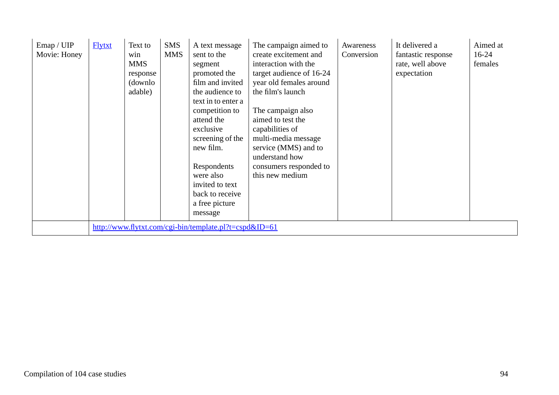| Emap / UIP<br>Movie: Honey | <b>Flytxt</b> | Text to<br>win<br><b>MMS</b><br>response<br>(downlo)<br>adable) | <b>SMS</b><br><b>MMS</b> | A text message<br>sent to the<br>segment<br>promoted the<br>film and invited<br>the audience to<br>text in to enter a<br>competition to<br>attend the<br>exclusive<br>screening of the<br>new film.<br>Respondents<br>were also<br>invited to text<br>back to receive<br>a free picture<br>message | The campaign aimed to<br>create excitement and<br>interaction with the<br>target audience of 16-24<br>year old females around<br>the film's launch<br>The campaign also<br>aimed to test the<br>capabilities of<br>multi-media message<br>service (MMS) and to<br>understand how<br>consumers responded to<br>this new medium | Awareness<br>Conversion | It delivered a<br>fantastic response<br>rate, well above<br>expectation | Aimed at<br>$16-24$<br>females |
|----------------------------|---------------|-----------------------------------------------------------------|--------------------------|----------------------------------------------------------------------------------------------------------------------------------------------------------------------------------------------------------------------------------------------------------------------------------------------------|-------------------------------------------------------------------------------------------------------------------------------------------------------------------------------------------------------------------------------------------------------------------------------------------------------------------------------|-------------------------|-------------------------------------------------------------------------|--------------------------------|
|                            |               |                                                                 |                          | http://www.flytxt.com/cgi-bin/template.pl?t=cspd&ID=61                                                                                                                                                                                                                                             |                                                                                                                                                                                                                                                                                                                               |                         |                                                                         |                                |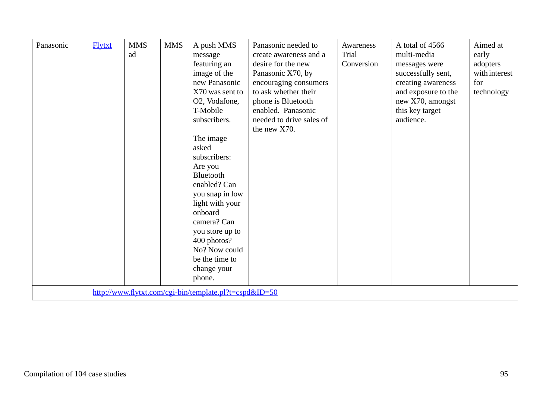| Panasonic | <b>Flytxt</b> | <b>MMS</b><br>ad | <b>MMS</b> | A push MMS<br>message<br>featuring an<br>image of the<br>new Panasonic<br>X70 was sent to<br>O2, Vodafone,<br>T-Mobile<br>subscribers.<br>The image<br>asked<br>subscribers:<br>Are you<br>Bluetooth<br>enabled? Can<br>you snap in low<br>light with your<br>onboard<br>camera? Can<br>you store up to<br>400 photos?<br>No? Now could<br>be the time to<br>change your<br>phone.<br>http://www.flytxt.com/cgi-bin/template.pl?t=cspd&ID=50 | Panasonic needed to<br>create awareness and a<br>desire for the new<br>Panasonic X70, by<br>encouraging consumers<br>to ask whether their<br>phone is Bluetooth<br>enabled. Panasonic<br>needed to drive sales of<br>the new X70. | Awareness<br>Trial<br>Conversion | A total of 4566<br>multi-media<br>messages were<br>successfully sent,<br>creating awareness<br>and exposure to the<br>new X70, amongst<br>this key target<br>audience. | Aimed at<br>early<br>adopters<br>with interest<br>for<br>technology |
|-----------|---------------|------------------|------------|----------------------------------------------------------------------------------------------------------------------------------------------------------------------------------------------------------------------------------------------------------------------------------------------------------------------------------------------------------------------------------------------------------------------------------------------|-----------------------------------------------------------------------------------------------------------------------------------------------------------------------------------------------------------------------------------|----------------------------------|------------------------------------------------------------------------------------------------------------------------------------------------------------------------|---------------------------------------------------------------------|
|-----------|---------------|------------------|------------|----------------------------------------------------------------------------------------------------------------------------------------------------------------------------------------------------------------------------------------------------------------------------------------------------------------------------------------------------------------------------------------------------------------------------------------------|-----------------------------------------------------------------------------------------------------------------------------------------------------------------------------------------------------------------------------------|----------------------------------|------------------------------------------------------------------------------------------------------------------------------------------------------------------------|---------------------------------------------------------------------|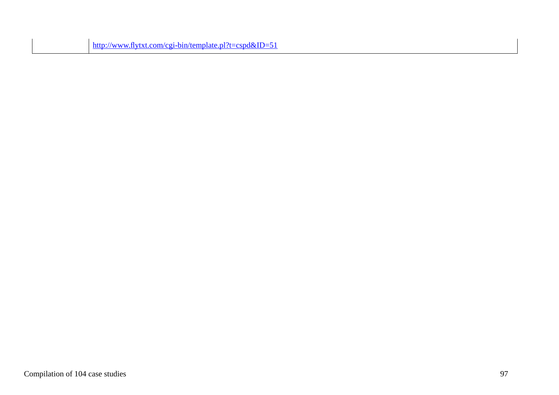| $\frac{\text{http://www.flytxt.com/cgi-bin/template.pl?t=cspd&ID=51}{\text{http://www.flytxt.com/cgi-bin/template.pl?t=cspd&ID=51}$ |
|-------------------------------------------------------------------------------------------------------------------------------------|
|                                                                                                                                     |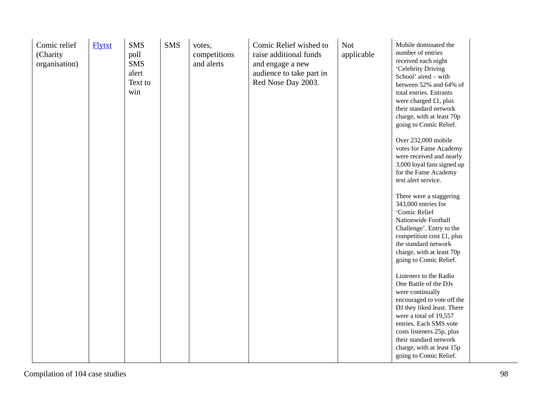| Comic relief<br>(Charity<br>organisation) | <b>Flytxt</b> | <b>SMS</b><br>poll<br><b>SMS</b><br>alert<br>Text to<br>win | <b>SMS</b> | votes,<br>competitions<br>and alerts | Comic Relief wished to<br>raise additional funds<br>and engage a new<br>audience to take part in<br>Red Nose Day 2003. | <b>Not</b><br>applicable | Mobile dominated the<br>number of entries<br>received each night<br>'Celebrity Driving<br>School' aired - with<br>between 52% and 64% of<br>total entries. Entrants<br>were charged £1, plus<br>their standard network<br>charge, with at least 70p<br>going to Comic Relief.<br>Over 232,000 mobile<br>votes for Fame Academy<br>were received and nearly<br>3,000 loyal fans signed up<br>for the Fame Academy<br>text alert service. |  |
|-------------------------------------------|---------------|-------------------------------------------------------------|------------|--------------------------------------|------------------------------------------------------------------------------------------------------------------------|--------------------------|-----------------------------------------------------------------------------------------------------------------------------------------------------------------------------------------------------------------------------------------------------------------------------------------------------------------------------------------------------------------------------------------------------------------------------------------|--|
|                                           |               |                                                             |            |                                      |                                                                                                                        |                          | There were a staggering<br>343,000 entries for<br>'Comic Relief<br>Nationwide Football<br>Challenge'. Entry to the<br>competition cost £1, plus<br>the standard network<br>charge, with at least 70p<br>going to Comic Relief.                                                                                                                                                                                                          |  |
|                                           |               |                                                             |            |                                      |                                                                                                                        |                          | Listeners to the Radio<br>One Battle of the DJs<br>were continually<br>encouraged to vote off the<br>DJ they liked least. There<br>were a total of 19,557<br>entries. Each SMS vote<br>costs listeners 25p, plus<br>their standard network<br>charge, with at least 15p<br>going to Comic Relief.                                                                                                                                       |  |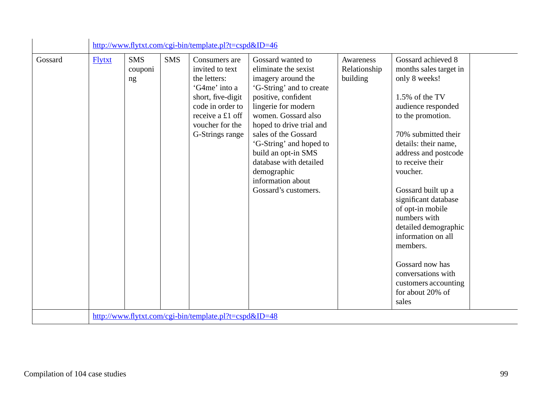|         |               |                             |            | http://www.flytxt.com/cgi-bin/template.pl?t=cspd&ID=46                                                                                                               |                                                                                                                                                                                                                                                                                                                                                              |                                       |                                                                                                                                                                                                                                                                                                                                                                                                                                                                             |
|---------|---------------|-----------------------------|------------|----------------------------------------------------------------------------------------------------------------------------------------------------------------------|--------------------------------------------------------------------------------------------------------------------------------------------------------------------------------------------------------------------------------------------------------------------------------------------------------------------------------------------------------------|---------------------------------------|-----------------------------------------------------------------------------------------------------------------------------------------------------------------------------------------------------------------------------------------------------------------------------------------------------------------------------------------------------------------------------------------------------------------------------------------------------------------------------|
| Gossard | <b>Flytxt</b> | <b>SMS</b><br>couponi<br>ng | <b>SMS</b> | Consumers are<br>invited to text<br>the letters:<br>'G4me' into a<br>short, five-digit<br>code in order to<br>receive a £1 off<br>voucher for the<br>G-Strings range | Gossard wanted to<br>eliminate the sexist<br>imagery around the<br>'G-String' and to create<br>positive, confident<br>lingerie for modern<br>women. Gossard also<br>hoped to drive trial and<br>sales of the Gossard<br>'G-String' and hoped to<br>build an opt-in SMS<br>database with detailed<br>demographic<br>information about<br>Gossard's customers. | Awareness<br>Relationship<br>building | Gossard achieved 8<br>months sales target in<br>only 8 weeks!<br>1.5% of the TV<br>audience responded<br>to the promotion.<br>70% submitted their<br>details: their name,<br>address and postcode<br>to receive their<br>voucher.<br>Gossard built up a<br>significant database<br>of opt-in mobile<br>numbers with<br>detailed demographic<br>information on all<br>members.<br>Gossard now has<br>conversations with<br>customers accounting<br>for about 20% of<br>sales |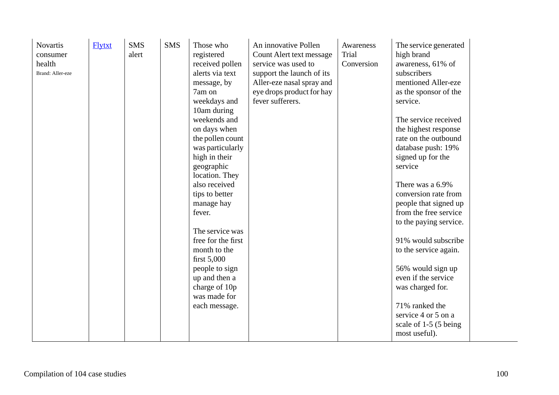| <b>SMS</b><br><b>Novartis</b><br><b>Flytxt</b><br>alert<br>consumer<br>health<br>Brand: Aller-eze | <b>SMS</b><br>Those who<br>registered<br>received pollen<br>alerts via text<br>message, by<br>7am on<br>weekdays and<br>10am during<br>weekends and<br>on days when<br>the pollen count<br>was particularly<br>high in their<br>geographic<br>location. They<br>also received<br>tips to better<br>manage hay<br>fever.<br>The service was<br>free for the first<br>month to the<br>first $5,000$<br>people to sign<br>up and then a<br>charge of 10p<br>was made for<br>each message. | An innovative Pollen<br>Count Alert text message<br>service was used to<br>support the launch of its<br>Aller-eze nasal spray and<br>eye drops product for hay<br>fever sufferers. | Awareness<br>Trial<br>Conversion | The service generated<br>high brand<br>awareness, 61% of<br>subscribers<br>mentioned Aller-eze<br>as the sponsor of the<br>service.<br>The service received<br>the highest response<br>rate on the outbound<br>database push: 19%<br>signed up for the<br>service<br>There was a 6.9%<br>conversion rate from<br>people that signed up<br>from the free service<br>to the paying service.<br>91% would subscribe<br>to the service again.<br>56% would sign up<br>even if the service<br>was charged for.<br>71% ranked the<br>service 4 or 5 on a<br>scale of 1-5 (5 being<br>most useful). |
|---------------------------------------------------------------------------------------------------|----------------------------------------------------------------------------------------------------------------------------------------------------------------------------------------------------------------------------------------------------------------------------------------------------------------------------------------------------------------------------------------------------------------------------------------------------------------------------------------|------------------------------------------------------------------------------------------------------------------------------------------------------------------------------------|----------------------------------|----------------------------------------------------------------------------------------------------------------------------------------------------------------------------------------------------------------------------------------------------------------------------------------------------------------------------------------------------------------------------------------------------------------------------------------------------------------------------------------------------------------------------------------------------------------------------------------------|
|---------------------------------------------------------------------------------------------------|----------------------------------------------------------------------------------------------------------------------------------------------------------------------------------------------------------------------------------------------------------------------------------------------------------------------------------------------------------------------------------------------------------------------------------------------------------------------------------------|------------------------------------------------------------------------------------------------------------------------------------------------------------------------------------|----------------------------------|----------------------------------------------------------------------------------------------------------------------------------------------------------------------------------------------------------------------------------------------------------------------------------------------------------------------------------------------------------------------------------------------------------------------------------------------------------------------------------------------------------------------------------------------------------------------------------------------|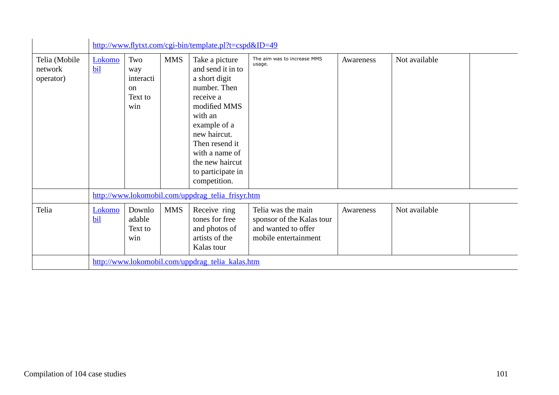|                                       |               |                                                            |            | http://www.flytxt.com/cgi-bin/template.pl?t=cspd&ID=49                                                                                                                                                                                   |                                                                                                |           |               |  |
|---------------------------------------|---------------|------------------------------------------------------------|------------|------------------------------------------------------------------------------------------------------------------------------------------------------------------------------------------------------------------------------------------|------------------------------------------------------------------------------------------------|-----------|---------------|--|
| Telia (Mobile<br>network<br>operator) | Lokomo<br>bil | Two<br>way<br>interacti<br><sub>on</sub><br>Text to<br>win | <b>MMS</b> | Take a picture<br>and send it in to<br>a short digit<br>number. Then<br>receive a<br>modified MMS<br>with an<br>example of a<br>new haircut.<br>Then resend it<br>with a name of<br>the new haircut<br>to participate in<br>competition. | The aim was to increase MMS<br>usage.                                                          | Awareness | Not available |  |
|                                       |               |                                                            |            | http://www.lokomobil.com/uppdrag_telia_frisyr.htm                                                                                                                                                                                        |                                                                                                |           |               |  |
| Telia                                 | Lokomo<br>bil | Downlo<br>adable<br>Text to<br>win                         | <b>MMS</b> | Receive ring<br>tones for free<br>and photos of<br>artists of the<br>Kalas tour                                                                                                                                                          | Telia was the main<br>sponsor of the Kalas tour<br>and wanted to offer<br>mobile entertainment | Awareness | Not available |  |
|                                       |               |                                                            |            | http://www.lokomobil.com/uppdrag_telia_kalas.htm                                                                                                                                                                                         |                                                                                                |           |               |  |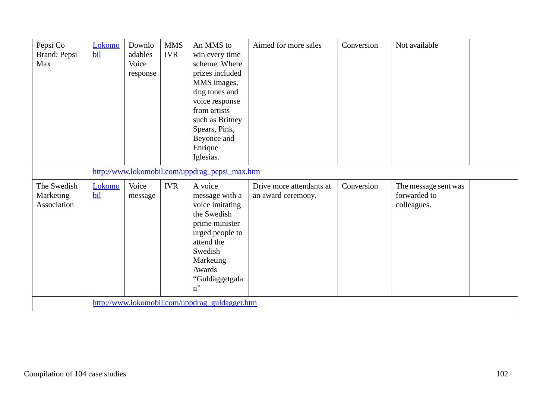| Pepsi Co<br>Brand: Pepsi<br>Max         | Lokomo<br>bil | Downlo<br>adables<br>Voice<br>response | <b>MMS</b><br><b>IVR</b> | An MMS to<br>win every time<br>scheme. Where<br>prizes included<br>MMS images,<br>ring tones and<br>voice response<br>from artists<br>such as Britney<br>Spears, Pink,<br>Beyonce and<br>Enrique<br>Iglesias. | Aimed for more sales                           | Conversion | Not available                                       |
|-----------------------------------------|---------------|----------------------------------------|--------------------------|---------------------------------------------------------------------------------------------------------------------------------------------------------------------------------------------------------------|------------------------------------------------|------------|-----------------------------------------------------|
|                                         |               |                                        |                          | http://www.lokomobil.com/uppdrag_pepsi_max.htm                                                                                                                                                                |                                                |            |                                                     |
| The Swedish<br>Marketing<br>Association | Lokomo<br>bil | Voice<br>message                       | <b>IVR</b>               | A voice<br>message with a<br>voice imitating<br>the Swedish<br>prime minister<br>urged people to<br>attend the<br>Swedish<br>Marketing<br>Awards<br>"Guldäggetgala<br>$n$ "                                   | Drive more attendants at<br>an award ceremony. | Conversion | The message sent was<br>forwarded to<br>colleagues. |
|                                         |               |                                        |                          | http://www.lokomobil.com/uppdrag_guldagget.htm                                                                                                                                                                |                                                |            |                                                     |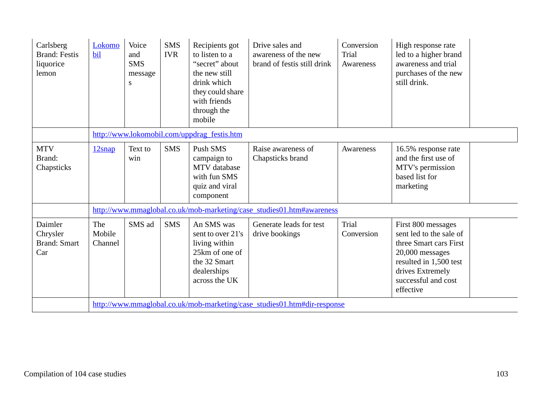| Carlsberg<br><b>Brand: Festis</b><br>liquorice<br>lemon | Lokomo<br>bil            | Voice<br>and<br><b>SMS</b><br>message<br>S | <b>SMS</b><br><b>IVR</b> | Recipients got<br>to listen to a<br>"secret" about<br>the new still<br>drink which<br>they could share<br>with friends<br>through the<br>mobile | Drive sales and<br>awareness of the new<br>brand of festis still drink   | Conversion<br>Trial<br>Awareness | High response rate<br>led to a higher brand<br>awareness and trial<br>purchases of the new<br>still drink.                                                                   |
|---------------------------------------------------------|--------------------------|--------------------------------------------|--------------------------|-------------------------------------------------------------------------------------------------------------------------------------------------|--------------------------------------------------------------------------|----------------------------------|------------------------------------------------------------------------------------------------------------------------------------------------------------------------------|
|                                                         |                          |                                            |                          | http://www.lokomobil.com/uppdrag_festis.htm                                                                                                     |                                                                          |                                  |                                                                                                                                                                              |
| <b>MTV</b><br>Brand:<br>Chapsticks                      | 12snap                   | Text to<br>win                             | <b>SMS</b>               | Push SMS<br>campaign to<br><b>MTV</b> database<br>with fun SMS<br>quiz and viral<br>component                                                   | Raise awareness of<br>Chapsticks brand                                   | Awareness                        | 16.5% response rate<br>and the first use of<br>MTV's permission<br>based list for<br>marketing                                                                               |
|                                                         |                          |                                            |                          |                                                                                                                                                 | http://www.mmaglobal.co.uk/mob-marketing/case_studies01.htm#awareness    |                                  |                                                                                                                                                                              |
| Daimler<br>Chrysler<br><b>Brand: Smart</b><br>Car       | The<br>Mobile<br>Channel | SMS ad                                     | <b>SMS</b>               | An SMS was<br>sent to over 21's<br>living within<br>25km of one of<br>the 32 Smart<br>dealerships<br>across the UK                              | Generate leads for test<br>drive bookings                                | Trial<br>Conversion              | First 800 messages<br>sent led to the sale of<br>three Smart cars First<br>20,000 messages<br>resulted in 1,500 test<br>drives Extremely<br>successful and cost<br>effective |
|                                                         |                          |                                            |                          |                                                                                                                                                 | http://www.mmaglobal.co.uk/mob-marketing/case_studies01.htm#dir-response |                                  |                                                                                                                                                                              |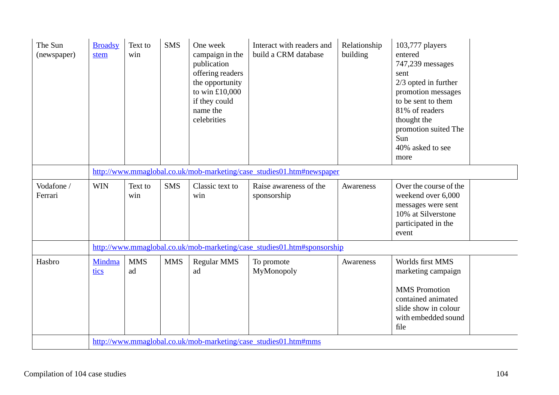| The Sun<br>(newspaper) | <b>Broadsy</b><br>stem | Text to<br>win                                                        | <b>SMS</b> | One week<br>campaign in the<br>publication<br>offering readers<br>the opportunity<br>to win £10,000<br>if they could<br>name the<br>celebrities | Interact with readers and<br>build a CRM database                       | Relationship<br>building | 103,777 players<br>entered<br>747,239 messages<br>sent<br>$2/3$ opted in further<br>promotion messages<br>to be sent to them<br>81% of readers<br>thought the<br>promotion suited The<br>Sun<br>40% asked to see<br>more |  |  |  |  |  |  |
|------------------------|------------------------|-----------------------------------------------------------------------|------------|-------------------------------------------------------------------------------------------------------------------------------------------------|-------------------------------------------------------------------------|--------------------------|--------------------------------------------------------------------------------------------------------------------------------------------------------------------------------------------------------------------------|--|--|--|--|--|--|
|                        |                        | http://www.mmaglobal.co.uk/mob-marketing/case_studies01.htm#newspaper |            |                                                                                                                                                 |                                                                         |                          |                                                                                                                                                                                                                          |  |  |  |  |  |  |
| Vodafone /<br>Ferrari  | <b>WIN</b>             | Text to<br>win                                                        | <b>SMS</b> | Classic text to<br>win                                                                                                                          | Raise awareness of the<br>sponsorship                                   | Awareness                | Over the course of the<br>weekend over 6,000<br>messages were sent<br>10% at Silverstone<br>participated in the<br>event                                                                                                 |  |  |  |  |  |  |
|                        |                        |                                                                       |            |                                                                                                                                                 | http://www.mmaglobal.co.uk/mob-marketing/case_studies01.htm#sponsorship |                          |                                                                                                                                                                                                                          |  |  |  |  |  |  |
| Hasbro                 | Mindma<br>tics         | <b>MMS</b><br>ad                                                      | <b>MMS</b> | <b>Regular MMS</b><br>ad                                                                                                                        | To promote<br>MyMonopoly                                                | Awareness                | Worlds first MMS<br>marketing campaign<br><b>MMS</b> Promotion<br>contained animated<br>slide show in colour<br>with embedded sound<br>file                                                                              |  |  |  |  |  |  |
|                        |                        |                                                                       |            |                                                                                                                                                 | http://www.mmaglobal.co.uk/mob-marketing/case_studies01.htm#mms         |                          |                                                                                                                                                                                                                          |  |  |  |  |  |  |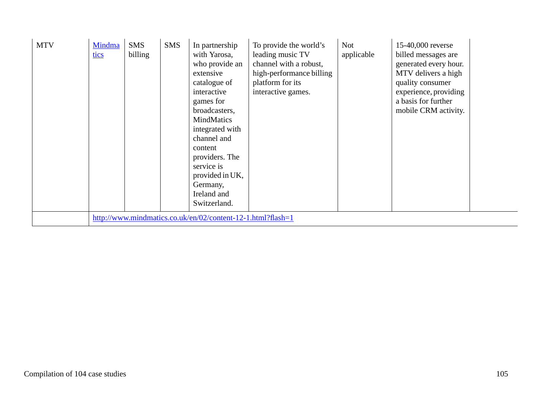| <b>MTV</b> | Mindma<br>tics | <b>SMS</b><br>billing | <b>SMS</b> | In partnership<br>with Yarosa,<br>who provide an<br>extensive<br>catalogue of<br>interactive<br>games for<br>broadcasters,<br>MindMatics<br>integrated with<br>channel and<br>content<br>providers. The<br>service is<br>provided in UK,<br>Germany,<br>Ireland and<br>Switzerland. | To provide the world's<br>leading music TV<br>channel with a robust,<br>high-performance billing<br>platform for its<br>interactive games. | <b>Not</b><br>applicable | 15-40,000 reverse<br>billed messages are<br>generated every hour.<br>MTV delivers a high<br>quality consumer<br>experience, providing<br>a basis for further<br>mobile CRM activity. |  |
|------------|----------------|-----------------------|------------|-------------------------------------------------------------------------------------------------------------------------------------------------------------------------------------------------------------------------------------------------------------------------------------|--------------------------------------------------------------------------------------------------------------------------------------------|--------------------------|--------------------------------------------------------------------------------------------------------------------------------------------------------------------------------------|--|
|            |                |                       |            | http://www.mindmatics.co.uk/en/02/content-12-1.html?flash=1                                                                                                                                                                                                                         |                                                                                                                                            |                          |                                                                                                                                                                                      |  |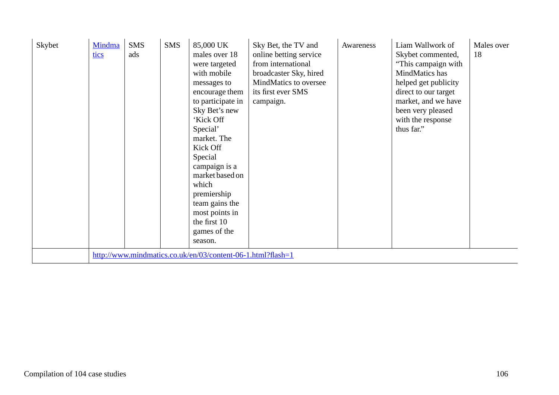| Skybet | Mindma<br>tics | <b>SMS</b><br>ads | <b>SMS</b> | 85,000 UK<br>males over 18<br>were targeted<br>with mobile<br>messages to<br>encourage them<br>to participate in<br>Sky Bet's new<br>'Kick Off<br>Special'<br>market. The<br>Kick Off<br>Special<br>campaign is a<br>market based on<br>which<br>premiership<br>team gains the<br>most points in<br>the first 10<br>games of the<br>season. | Sky Bet, the TV and<br>online betting service<br>from international<br>broadcaster Sky, hired<br>MindMatics to oversee<br>its first ever SMS<br>campaign. | Awareness | Liam Wallwork of<br>Skybet commented,<br>"This campaign with"<br>MindMatics has<br>helped get publicity<br>direct to our target<br>market, and we have<br>been very pleased<br>with the response<br>thus far." | Males over<br>18 |
|--------|----------------|-------------------|------------|---------------------------------------------------------------------------------------------------------------------------------------------------------------------------------------------------------------------------------------------------------------------------------------------------------------------------------------------|-----------------------------------------------------------------------------------------------------------------------------------------------------------|-----------|----------------------------------------------------------------------------------------------------------------------------------------------------------------------------------------------------------------|------------------|
|        |                |                   |            | http://www.mindmatics.co.uk/en/03/content-06-1.html?flash=1                                                                                                                                                                                                                                                                                 |                                                                                                                                                           |           |                                                                                                                                                                                                                |                  |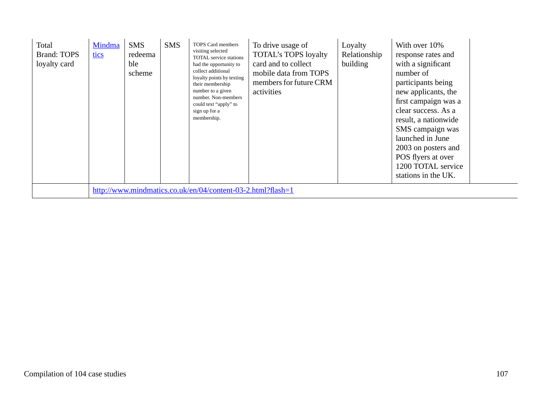| Total<br><b>Brand: TOPS</b><br>loyalty card | Mindma<br><u>tics</u> | <b>SMS</b><br>redeema<br>ble<br>scheme | <b>SMS</b> | TOPS Card members<br>visiting selected<br>TOTAL service stations<br>had the opportunity to<br>collect additional<br>loyalty points by texting<br>their membership<br>number to a given<br>number. Non-members<br>could text "apply" to<br>sign up for a<br>membership. | To drive usage of<br><b>TOTAL's TOPS loyalty</b><br>card and to collect<br>mobile data from TOPS<br>members for future CRM<br>activities | Loyalty<br>Relationship<br>building | With over 10%<br>response rates and<br>with a significant<br>number of<br>participants being<br>new applicants, the<br>first campaign was a<br>clear success. As a<br>result, a nationwide<br>SMS campaign was<br>launched in June<br>2003 on posters and<br>POS flyers at over<br>1200 TOTAL service<br>stations in the UK. |  |
|---------------------------------------------|-----------------------|----------------------------------------|------------|------------------------------------------------------------------------------------------------------------------------------------------------------------------------------------------------------------------------------------------------------------------------|------------------------------------------------------------------------------------------------------------------------------------------|-------------------------------------|------------------------------------------------------------------------------------------------------------------------------------------------------------------------------------------------------------------------------------------------------------------------------------------------------------------------------|--|
|                                             |                       |                                        |            | http://www.mindmatics.co.uk/en/04/content-03-2.html?flash=1                                                                                                                                                                                                            |                                                                                                                                          |                                     |                                                                                                                                                                                                                                                                                                                              |  |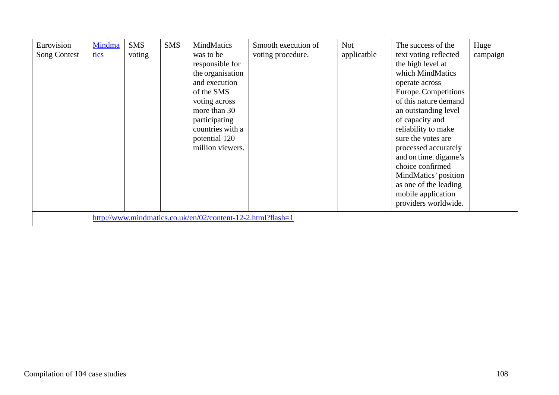| Eurovision<br><b>Song Contest</b> | Mindma<br>tics | <b>SMS</b><br>voting | <b>SMS</b> | <b>MindMatics</b><br>was to be<br>responsible for<br>the organisation<br>and execution<br>of the SMS<br>voting across<br>more than 30<br>participating<br>countries with a<br>potential 120<br>million viewers. | Smooth execution of<br>voting procedure. | <b>Not</b><br>applicatble | The success of the<br>text voting reflected<br>the high level at<br>which MindMatics<br>operate across<br>Europe. Competitions<br>of this nature demand<br>an outstanding level<br>of capacity and<br>reliability to make<br>sure the votes are<br>processed accurately<br>and on time. digame's<br>choice confirmed<br>MindMatics' position<br>as one of the leading<br>mobile application<br>providers worldwide. | Huge<br>campaign |
|-----------------------------------|----------------|----------------------|------------|-----------------------------------------------------------------------------------------------------------------------------------------------------------------------------------------------------------------|------------------------------------------|---------------------------|---------------------------------------------------------------------------------------------------------------------------------------------------------------------------------------------------------------------------------------------------------------------------------------------------------------------------------------------------------------------------------------------------------------------|------------------|
|                                   |                |                      |            | http://www.mindmatics.co.uk/en/02/content-12-2.html?flash=1                                                                                                                                                     |                                          |                           |                                                                                                                                                                                                                                                                                                                                                                                                                     |                  |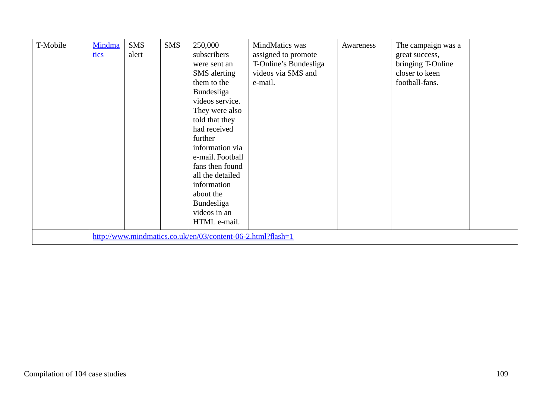| T-Mobile | Mindma<br>tics | <b>SMS</b><br>alert | <b>SMS</b> | 250,000<br>subscribers<br>were sent an<br><b>SMS</b> alerting<br>them to the<br>Bundesliga<br>videos service.<br>They were also<br>told that they<br>had received<br>further<br>information via<br>e-mail. Football<br>fans then found<br>all the detailed<br>information<br>about the<br>Bundesliga<br>videos in an<br>HTML e-mail. | MindMatics was<br>assigned to promote<br>T-Online's Bundesliga<br>videos via SMS and<br>e-mail. | Awareness | The campaign was a<br>great success,<br>bringing T-Online<br>closer to keen<br>football-fans. |
|----------|----------------|---------------------|------------|--------------------------------------------------------------------------------------------------------------------------------------------------------------------------------------------------------------------------------------------------------------------------------------------------------------------------------------|-------------------------------------------------------------------------------------------------|-----------|-----------------------------------------------------------------------------------------------|
|          |                |                     |            | http://www.mindmatics.co.uk/en/03/content-06-2.html?flash=1                                                                                                                                                                                                                                                                          |                                                                                                 |           |                                                                                               |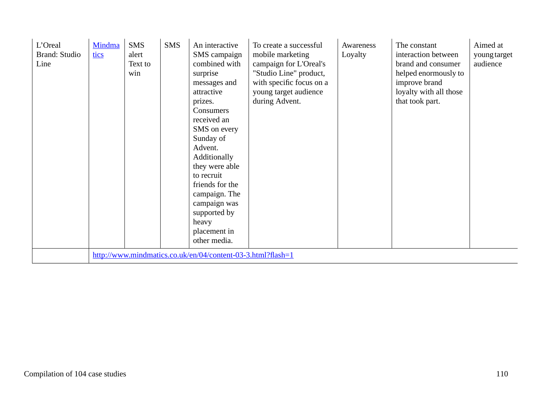| L'Oreal<br><b>Brand: Studio</b><br>Line | Mindma<br>tics | <b>SMS</b><br>alert<br>Text to<br>win | <b>SMS</b> | An interactive<br>SMS campaign<br>combined with<br>surprise<br>messages and<br>attractive<br>prizes.<br>Consumers<br>received an<br>SMS on every<br>Sunday of<br>Advent.<br>Additionally<br>they were able<br>to recruit<br>friends for the<br>campaign. The<br>campaign was<br>supported by<br>heavy<br>placement in<br>other media. | To create a successful<br>mobile marketing<br>campaign for L'Oreal's<br>"Studio Line" product,<br>with specific focus on a<br>young target audience<br>during Advent. | Awareness<br>Loyalty | The constant<br>interaction between<br>brand and consumer<br>helped enormously to<br>improve brand<br>loyalty with all those<br>that took part. | Aimed at<br>young target<br>audience |
|-----------------------------------------|----------------|---------------------------------------|------------|---------------------------------------------------------------------------------------------------------------------------------------------------------------------------------------------------------------------------------------------------------------------------------------------------------------------------------------|-----------------------------------------------------------------------------------------------------------------------------------------------------------------------|----------------------|-------------------------------------------------------------------------------------------------------------------------------------------------|--------------------------------------|
|                                         |                |                                       |            | http://www.mindmatics.co.uk/en/04/content-03-3.html?flash=1                                                                                                                                                                                                                                                                           |                                                                                                                                                                       |                      |                                                                                                                                                 |                                      |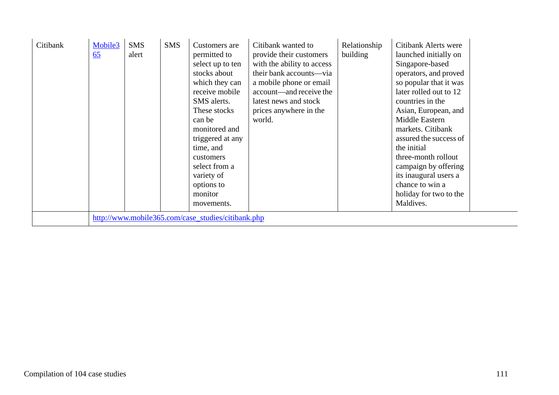| Citibank | Mobile3<br>65 | <b>SMS</b><br>alert | <b>SMS</b> | Customers are<br>permitted to<br>select up to ten<br>stocks about<br>which they can<br>receive mobile<br>SMS alerts.<br>These stocks<br>can be<br>monitored and<br>triggered at any<br>time, and<br>customers<br>select from a<br>variety of<br>options to<br>monitor<br>movements. | Citibank wanted to<br>provide their customers<br>with the ability to access<br>their bank accounts—via<br>a mobile phone or email<br>account—and receive the<br>latest news and stock<br>prices anywhere in the<br>world. | Relationship<br>building | Citibank Alerts were<br>launched initially on<br>Singapore-based<br>operators, and proved<br>so popular that it was<br>later rolled out to 12<br>countries in the<br>Asian, European, and<br>Middle Eastern<br>markets. Citibank<br>assured the success of<br>the initial<br>three-month rollout<br>campaign by offering<br>its inaugural users a<br>chance to win a<br>holiday for two to the<br>Maldives. |  |
|----------|---------------|---------------------|------------|-------------------------------------------------------------------------------------------------------------------------------------------------------------------------------------------------------------------------------------------------------------------------------------|---------------------------------------------------------------------------------------------------------------------------------------------------------------------------------------------------------------------------|--------------------------|-------------------------------------------------------------------------------------------------------------------------------------------------------------------------------------------------------------------------------------------------------------------------------------------------------------------------------------------------------------------------------------------------------------|--|
|          |               |                     |            | http://www.mobile365.com/case_studies/citibank.php                                                                                                                                                                                                                                  |                                                                                                                                                                                                                           |                          |                                                                                                                                                                                                                                                                                                                                                                                                             |  |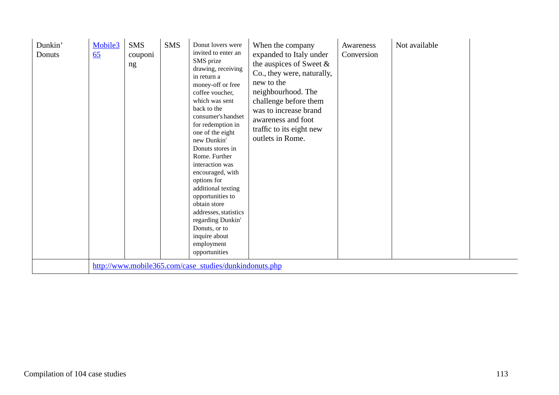| Dunkin'<br>Donuts | Mobile3<br>65                                          | <b>SMS</b><br>couponi<br>ng | <b>SMS</b> | Donut lovers were<br>invited to enter an<br>SMS prize<br>drawing, receiving<br>in return a<br>money-off or free<br>coffee voucher,<br>which was sent<br>back to the<br>consumer's handset<br>for redemption in<br>one of the eight<br>new Dunkin'<br>Donuts stores in<br>Rome. Further<br>interaction was<br>encouraged, with<br>options for<br>additional texting<br>opportunities to<br>obtain store<br>addresses, statistics<br>regarding Dunkin'<br>Donuts, or to<br>inquire about<br>employment<br>opportunities | When the company<br>expanded to Italy under<br>the auspices of Sweet $\&$<br>Co., they were, naturally,<br>new to the<br>neighbourhood. The<br>challenge before them<br>was to increase brand<br>awareness and foot<br>traffic to its eight new<br>outlets in Rome. | Awareness<br>Conversion | Not available |  |
|-------------------|--------------------------------------------------------|-----------------------------|------------|-----------------------------------------------------------------------------------------------------------------------------------------------------------------------------------------------------------------------------------------------------------------------------------------------------------------------------------------------------------------------------------------------------------------------------------------------------------------------------------------------------------------------|---------------------------------------------------------------------------------------------------------------------------------------------------------------------------------------------------------------------------------------------------------------------|-------------------------|---------------|--|
|                   | http://www.mobile365.com/case_studies/dunkindonuts.php |                             |            |                                                                                                                                                                                                                                                                                                                                                                                                                                                                                                                       |                                                                                                                                                                                                                                                                     |                         |               |  |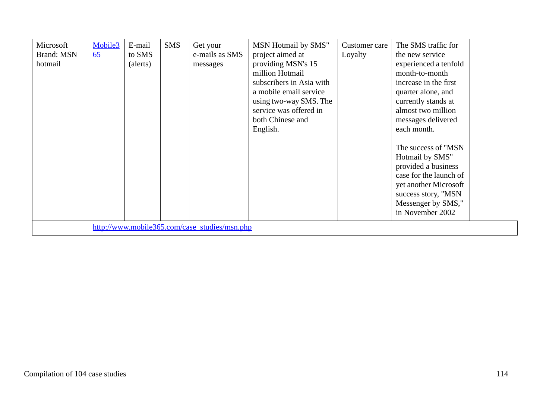| Microsoft<br><b>Brand: MSN</b><br>hotmail | Mobile3<br>65 | E-mail<br>to SMS<br>(alerts) | <b>SMS</b> | Get your<br>e-mails as SMS<br>messages        | MSN Hotmail by SMS"<br>project aimed at<br>providing MSN's 15<br>million Hotmail<br>subscribers in Asia with<br>a mobile email service<br>using two-way SMS. The<br>service was offered in<br>both Chinese and<br>English. | Customer care<br>Loyalty | The SMS traffic for<br>the new service<br>experienced a tenfold<br>month-to-month<br>increase in the first<br>quarter alone, and<br>currently stands at<br>almost two million<br>messages delivered<br>each month. |
|-------------------------------------------|---------------|------------------------------|------------|-----------------------------------------------|----------------------------------------------------------------------------------------------------------------------------------------------------------------------------------------------------------------------------|--------------------------|--------------------------------------------------------------------------------------------------------------------------------------------------------------------------------------------------------------------|
|                                           |               |                              |            |                                               |                                                                                                                                                                                                                            |                          | The success of "MSN"<br>Hotmail by SMS"<br>provided a business<br>case for the launch of<br>yet another Microsoft<br>success story, "MSN<br>Messenger by SMS,"<br>in November 2002                                 |
|                                           |               |                              |            | http://www.mobile365.com/case_studies/msn.php |                                                                                                                                                                                                                            |                          |                                                                                                                                                                                                                    |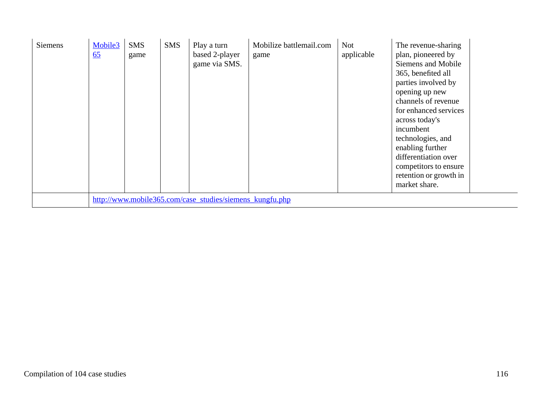| <b>Siemens</b> | Mobile3<br>$\underline{65}$                              | <b>SMS</b><br>game | <b>SMS</b> | Play a turn<br>based 2-player<br>game via SMS. | Mobilize battlemail.com<br>game | <b>Not</b><br>applicable | The revenue-sharing<br>plan, pioneered by<br>Siemens and Mobile<br>365, benefited all<br>parties involved by<br>opening up new<br>channels of revenue<br>for enhanced services<br>across today's<br>incumbent<br>technologies, and<br>enabling further<br>differentiation over<br>competitors to ensure<br>retention or growth in<br>market share. |
|----------------|----------------------------------------------------------|--------------------|------------|------------------------------------------------|---------------------------------|--------------------------|----------------------------------------------------------------------------------------------------------------------------------------------------------------------------------------------------------------------------------------------------------------------------------------------------------------------------------------------------|
|                | http://www.mobile365.com/case_studies/siemens_kungfu.php |                    |            |                                                |                                 |                          |                                                                                                                                                                                                                                                                                                                                                    |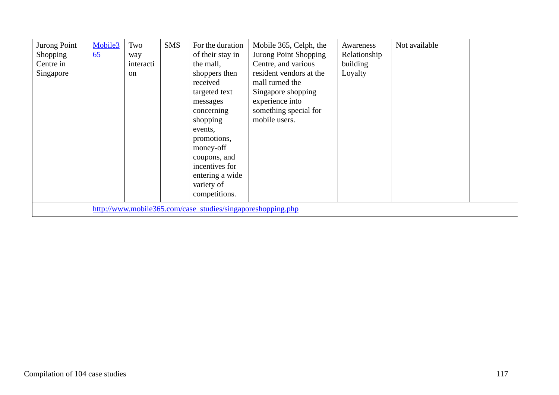| Jurong Point<br><b>Shopping</b><br>Centre in<br>Singapore | Mobile3<br>65                                               | Two<br>way<br>interacti<br><sub>on</sub> | <b>SMS</b> | For the duration<br>of their stay in<br>the mall,<br>shoppers then<br>received<br>targeted text<br>messages<br>concerning<br>shopping<br>events,<br>promotions,<br>money-off<br>coupons, and<br>incentives for<br>entering a wide<br>variety of<br>competitions. | Mobile 365, Celph, the<br>Jurong Point Shopping<br>Centre, and various<br>resident vendors at the<br>mall turned the<br>Singapore shopping<br>experience into<br>something special for<br>mobile users. | Awareness<br>Relationship<br>building<br>Loyalty | Not available |  |
|-----------------------------------------------------------|-------------------------------------------------------------|------------------------------------------|------------|------------------------------------------------------------------------------------------------------------------------------------------------------------------------------------------------------------------------------------------------------------------|---------------------------------------------------------------------------------------------------------------------------------------------------------------------------------------------------------|--------------------------------------------------|---------------|--|
|                                                           | http://www.mobile365.com/case_studies/singaporeshopping.php |                                          |            |                                                                                                                                                                                                                                                                  |                                                                                                                                                                                                         |                                                  |               |  |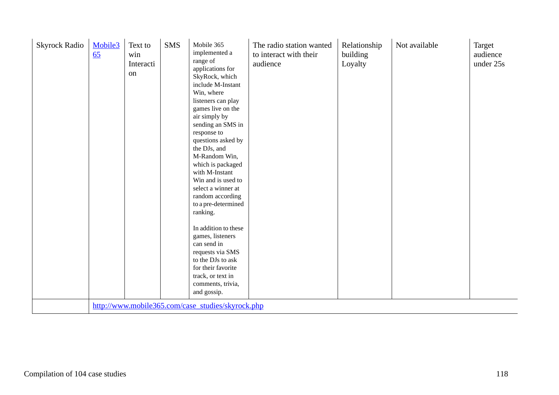| <b>Skyrock Radio</b> | Mobile3<br>65 | Text to<br>win<br>Interacti<br>on | <b>SMS</b> | Mobile 365<br>implemented a<br>range of<br>applications for<br>SkyRock, which<br>include M-Instant<br>Win, where<br>listeners can play<br>games live on the<br>air simply by<br>sending an SMS in<br>response to<br>questions asked by<br>the DJs, and<br>M-Random Win,<br>which is packaged<br>with M-Instant<br>Win and is used to<br>select a winner at<br>random according<br>to a pre-determined<br>ranking.<br>In addition to these<br>games, listeners<br>can send in<br>requests via SMS<br>to the DJs to ask<br>for their favorite<br>track, or text in<br>comments, trivia,<br>and gossip. | The radio station wanted<br>to interact with their<br>audience | Relationship<br>building<br>Loyalty | Not available | Target<br>audience<br>under 25s |
|----------------------|---------------|-----------------------------------|------------|------------------------------------------------------------------------------------------------------------------------------------------------------------------------------------------------------------------------------------------------------------------------------------------------------------------------------------------------------------------------------------------------------------------------------------------------------------------------------------------------------------------------------------------------------------------------------------------------------|----------------------------------------------------------------|-------------------------------------|---------------|---------------------------------|
|                      |               |                                   |            | http://www.mobile365.com/case_studies/skyrock.php                                                                                                                                                                                                                                                                                                                                                                                                                                                                                                                                                    |                                                                |                                     |               |                                 |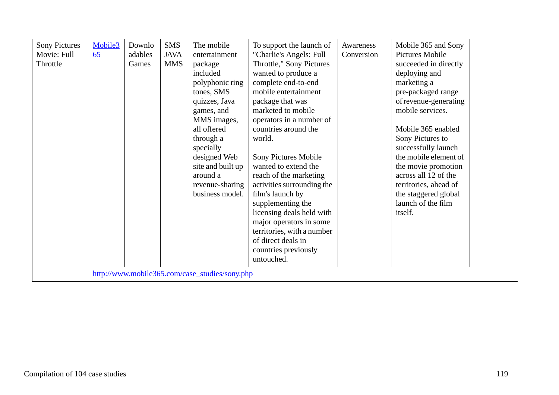| <b>Sony Pictures</b><br>Movie: Full<br>Throttle | Mobile3<br>65 | Downlo<br>adables<br>Games | <b>SMS</b><br><b>JAVA</b><br><b>MMS</b> | The mobile<br>entertainment<br>package<br>included<br>polyphonic ring<br>tones, SMS<br>quizzes, Java<br>games, and<br>MMS images,<br>all offered<br>through a<br>specially<br>designed Web<br>site and built up<br>around a<br>revenue-sharing<br>business model. | To support the launch of<br>"Charlie's Angels: Full<br>Throttle," Sony Pictures<br>wanted to produce a<br>complete end-to-end<br>mobile entertainment<br>package that was<br>marketed to mobile<br>operators in a number of<br>countries around the<br>world.<br>Sony Pictures Mobile<br>wanted to extend the<br>reach of the marketing<br>activities surrounding the<br>film's launch by<br>supplementing the<br>licensing deals held with<br>major operators in some<br>territories, with a number<br>of direct deals in<br>countries previously<br>untouched. | Awareness<br>Conversion | Mobile 365 and Sony<br>Pictures Mobile<br>succeeded in directly<br>deploying and<br>marketing a<br>pre-packaged range<br>of revenue-generating<br>mobile services.<br>Mobile 365 enabled<br>Sony Pictures to<br>successfully launch<br>the mobile element of<br>the movie promotion<br>across all 12 of the<br>territories, ahead of<br>the staggered global<br>launch of the film<br>itself. |  |
|-------------------------------------------------|---------------|----------------------------|-----------------------------------------|-------------------------------------------------------------------------------------------------------------------------------------------------------------------------------------------------------------------------------------------------------------------|------------------------------------------------------------------------------------------------------------------------------------------------------------------------------------------------------------------------------------------------------------------------------------------------------------------------------------------------------------------------------------------------------------------------------------------------------------------------------------------------------------------------------------------------------------------|-------------------------|-----------------------------------------------------------------------------------------------------------------------------------------------------------------------------------------------------------------------------------------------------------------------------------------------------------------------------------------------------------------------------------------------|--|
|                                                 |               |                            |                                         | http://www.mobile365.com/case_studies/sony.php                                                                                                                                                                                                                    |                                                                                                                                                                                                                                                                                                                                                                                                                                                                                                                                                                  |                         |                                                                                                                                                                                                                                                                                                                                                                                               |  |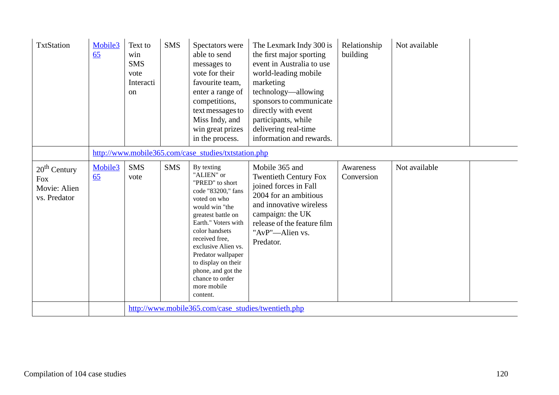| <b>TxtStation</b>                                            | Mobile3<br>65 | Text to<br>win<br><b>SMS</b><br>vote<br>Interacti<br><sub>on</sub> | <b>SMS</b> | Spectators were<br>able to send<br>messages to<br>vote for their<br>favourite team,<br>enter a range of<br>competitions,<br>text messages to<br>Miss Indy, and<br>win great prizes<br>in the process.                                                                                                                        | The Lexmark Indy 300 is<br>the first major sporting<br>event in Australia to use<br>world-leading mobile<br>marketing<br>technology—allowing<br>sponsors to communicate<br>directly with event<br>participants, while<br>delivering real-time<br>information and rewards. | Relationship<br>building | Not available |  |  |
|--------------------------------------------------------------|---------------|--------------------------------------------------------------------|------------|------------------------------------------------------------------------------------------------------------------------------------------------------------------------------------------------------------------------------------------------------------------------------------------------------------------------------|---------------------------------------------------------------------------------------------------------------------------------------------------------------------------------------------------------------------------------------------------------------------------|--------------------------|---------------|--|--|
|                                                              |               | http://www.mobile365.com/case_studies/txtstation.php               |            |                                                                                                                                                                                                                                                                                                                              |                                                                                                                                                                                                                                                                           |                          |               |  |  |
| $20th$ Century<br><b>Fox</b><br>Movie: Alien<br>vs. Predator | Mobile3<br>65 | <b>SMS</b><br>vote                                                 | <b>SMS</b> | By texting<br>"ALIEN" or<br>"PRED" to short<br>code "83200," fans<br>voted on who<br>would win "the<br>greatest battle on<br>Earth." Voters with<br>color handsets<br>received free,<br>exclusive Alien vs.<br>Predator wallpaper<br>to display on their<br>phone, and got the<br>chance to order<br>more mobile<br>content. | Mobile 365 and<br><b>Twentieth Century Fox</b><br>joined forces in Fall<br>2004 for an ambitious<br>and innovative wireless<br>campaign: the UK<br>release of the feature film<br>"AvP"-Alien vs.<br>Predator.                                                            | Awareness<br>Conversion  | Not available |  |  |
|                                                              |               |                                                                    |            | http://www.mobile365.com/case_studies/twentieth.php                                                                                                                                                                                                                                                                          |                                                                                                                                                                                                                                                                           |                          |               |  |  |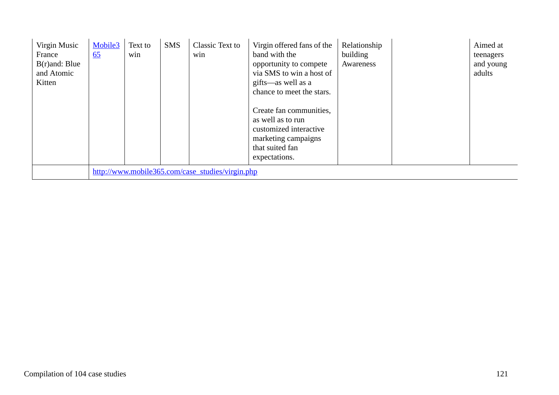| Virgin Music<br>France<br>$B(r)$ and: Blue<br>and Atomic<br>Kitten | Mobile3<br>$\underline{65}$ | Text to<br>win | <b>SMS</b> | Classic Text to<br>win                           | Virgin offered fans of the<br>band with the<br>opportunity to compete<br>via SMS to win a host of<br>gifts—as well as a<br>chance to meet the stars. | Relationship<br>building<br>Awareness | Aimed at<br>teenagers<br>and young<br>adults |
|--------------------------------------------------------------------|-----------------------------|----------------|------------|--------------------------------------------------|------------------------------------------------------------------------------------------------------------------------------------------------------|---------------------------------------|----------------------------------------------|
|                                                                    |                             |                |            |                                                  | Create fan communities,<br>as well as to run<br>customized interactive<br>marketing campaigns<br>that suited fan<br>expectations.                    |                                       |                                              |
|                                                                    |                             |                |            | http://www.mobile365.com/case_studies/virgin.php |                                                                                                                                                      |                                       |                                              |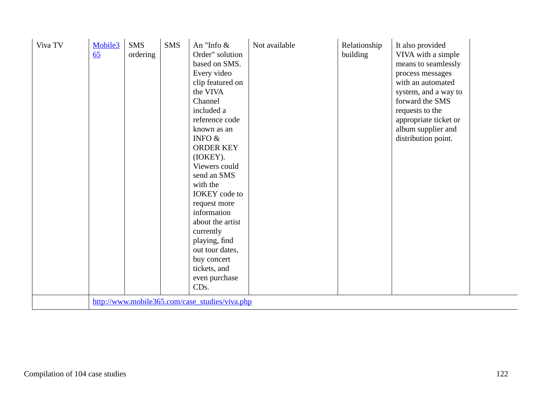| Viva TV | Mobile3<br>65 | <b>SMS</b><br>ordering | <b>SMS</b> | An "Info $\&$<br>Order" solution<br>based on SMS.<br>Every video<br>clip featured on<br>the VIVA<br>Channel<br>included a<br>reference code<br>known as an<br>INFO $&$<br><b>ORDER KEY</b><br>(IOKEY).<br>Viewers could<br>send an SMS<br>with the<br><b>IOKEY</b> code to<br>request more<br>information<br>about the artist<br>currently<br>playing, find<br>out tour dates,<br>buy concert<br>tickets, and<br>even purchase<br>CD <sub>s</sub> .<br>http://www.mobile365.com/case_studies/viva.php | Not available | Relationship<br>building | It also provided<br>VIVA with a simple<br>means to seamlessly<br>process messages<br>with an automated<br>system, and a way to<br>forward the SMS<br>requests to the<br>appropriate ticket or<br>album supplier and<br>distribution point. |  |
|---------|---------------|------------------------|------------|-------------------------------------------------------------------------------------------------------------------------------------------------------------------------------------------------------------------------------------------------------------------------------------------------------------------------------------------------------------------------------------------------------------------------------------------------------------------------------------------------------|---------------|--------------------------|--------------------------------------------------------------------------------------------------------------------------------------------------------------------------------------------------------------------------------------------|--|
|         |               |                        |            |                                                                                                                                                                                                                                                                                                                                                                                                                                                                                                       |               |                          |                                                                                                                                                                                                                                            |  |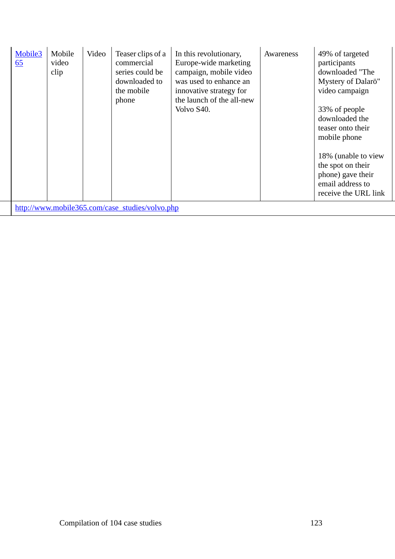| Mobile3<br>65 | Mobile<br>video<br>clip | Video | Teaser clips of a<br>commercial<br>series could be<br>downloaded to<br>the mobile<br>phone | In this revolutionary,<br>Europe-wide marketing<br>campaign, mobile video<br>was used to enhance an<br>innovative strategy for<br>the launch of the all-new<br>Volvo S40. | Awareness | 49% of targeted<br>participants<br>downloaded "The<br>Mystery of Dalarö"<br>video campaign<br>33% of people<br>downloaded the<br>teaser onto their<br>mobile phone<br>18% (unable to view<br>the spot on their<br>phone) gave their<br>email address to<br>receive the URL link |
|---------------|-------------------------|-------|--------------------------------------------------------------------------------------------|---------------------------------------------------------------------------------------------------------------------------------------------------------------------------|-----------|---------------------------------------------------------------------------------------------------------------------------------------------------------------------------------------------------------------------------------------------------------------------------------|
|               |                         |       | http://www.mobile365.com/case_studies/volvo.php                                            |                                                                                                                                                                           |           |                                                                                                                                                                                                                                                                                 |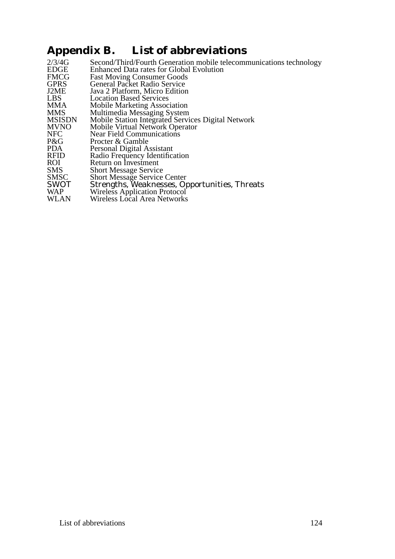## **Appendix B. List of abbreviations**

| Second/Third/Fourth Generation mobile telecommunications technology |
|---------------------------------------------------------------------|
| <b>Enhanced Data rates for Global Evolution</b>                     |
| <b>Fast Moving Consumer Goods</b>                                   |
| <b>General Packet Radio Service</b>                                 |
| Java 2 Platform, Micro Edition                                      |
| <b>Location Based Services</b>                                      |
| <b>Mobile Marketing Association</b>                                 |
| Multimedia Messaging System                                         |
| Mobile Station Integrated Services Digital Network                  |
| Mobile Virtual Network Operator                                     |
| <b>Near Field Communications</b>                                    |
| Procter & Gamble                                                    |
| Personal Digital Assistant                                          |
| Radio Frequency Identification                                      |
| Return on Investment                                                |
| <b>Short Message Service</b>                                        |
| <b>Short Message Service Center</b>                                 |
| Strengths, Weaknesses, Opportunities, Threats                       |
| Wireless Application Protocol                                       |
| <b>Wireless Local Area Networks</b>                                 |
|                                                                     |